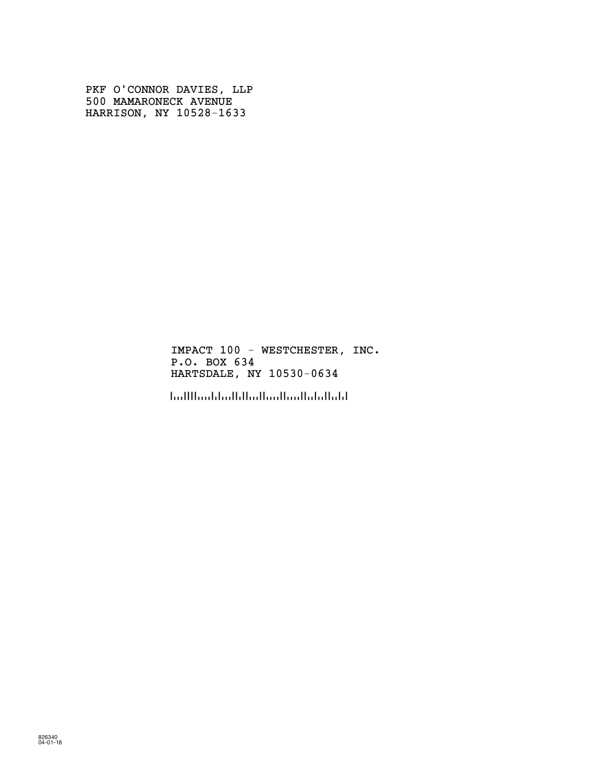PKF O'CONNOR DAVIES, LLP 500 MAMARONECK AVENUE HARRISON, NY 10528-1633

> IMPACT 100 - WESTCHESTER, INC. P.O. BOX 634 HARTSDALE, NY 10530-0634

!1053006348!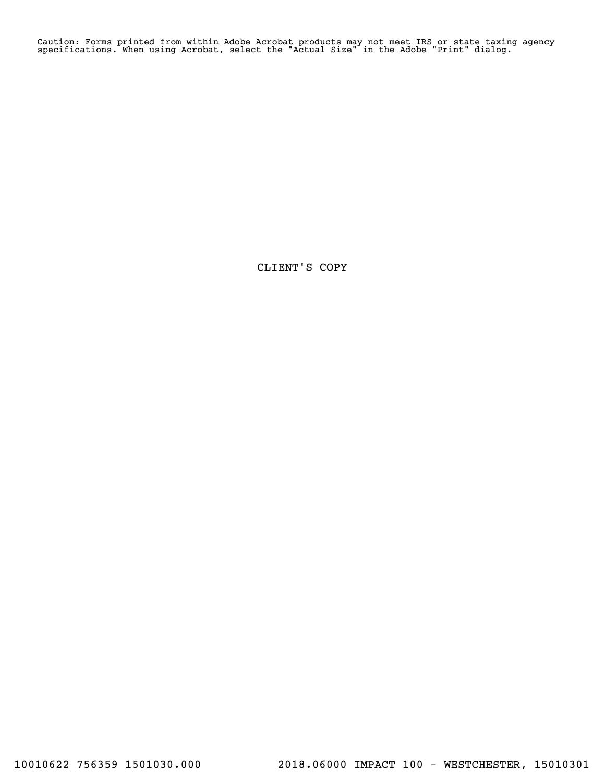Caution: Forms printed from within Adobe Acrobat products may not meet IRS or state taxing agency specifications. When using Acrobat, select the "Actual Size" in the Adobe "Print" dialog.

CLIENT'S COPY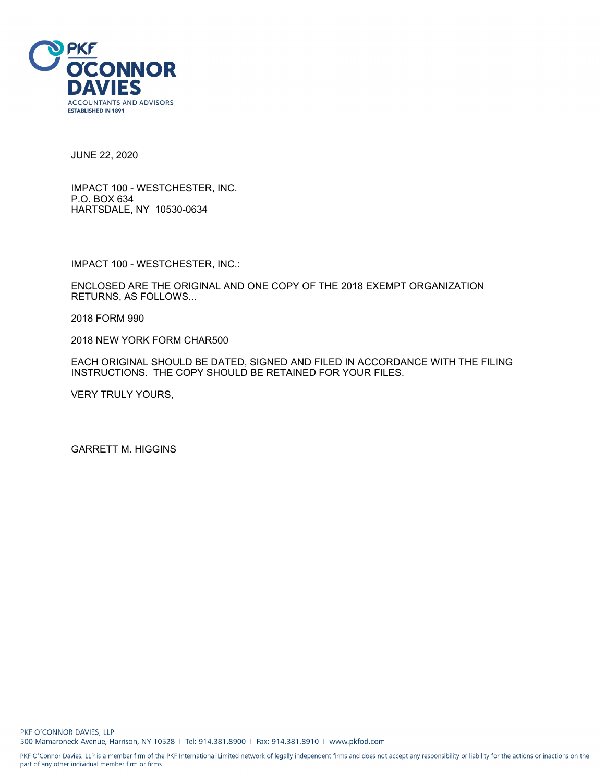

JUNE 22, 2020

IMPACT 100 - WESTCHESTER, INC. P.O. BOX 634 HARTSDALE, NY 10530-0634

IMPACT 100 - WESTCHESTER, INC.:

ENCLOSED ARE THE ORIGINAL AND ONE COPY OF THE 2018 EXEMPT ORGANIZATION RETURNS, AS FOLLOWS...

2018 FORM 990

2018 NEW YORK FORM CHAR500

EACH ORIGINAL SHOULD BE DATED, SIGNED AND FILED IN ACCORDANCE WITH THE FILING INSTRUCTIONS. THE COPY SHOULD BE RETAINED FOR YOUR FILES.

VERY TRULY YOURS,

GARRETT M. HIGGINS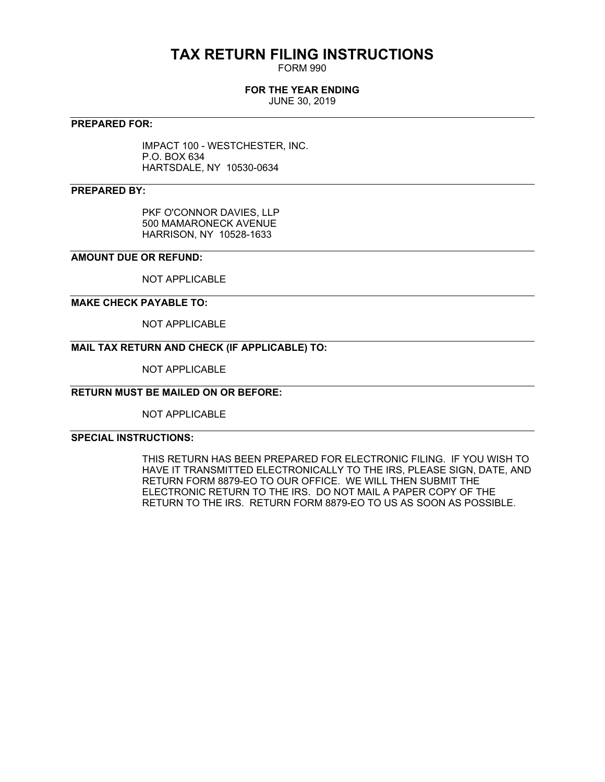## **TAX RETURN FILING INSTRUCTIONS**

FORM 990

### **FOR THE YEAR ENDING**

JUNE 30, 2019

### **PREPARED FOR:**

IMPACT 100 - WESTCHESTER, INC. P.O. BOX 634 HARTSDALE, NY 10530-0634

### **PREPARED BY:**

PKF O'CONNOR DAVIES, LLP 500 MAMARONECK AVENUE HARRISON, NY 10528-1633

### **AMOUNT DUE OR REFUND:**

NOT APPLICABLE

### **MAKE CHECK PAYABLE TO:**

NOT APPLICABLE

### **MAIL TAX RETURN AND CHECK (IF APPLICABLE) TO:**

NOT APPLICABLE

### **RETURN MUST BE MAILED ON OR BEFORE:**

NOT APPLICABLE

### **SPECIAL INSTRUCTIONS:**

THIS RETURN HAS BEEN PREPARED FOR ELECTRONIC FILING. IF YOU WISH TO HAVE IT TRANSMITTED ELECTRONICALLY TO THE IRS, PLEASE SIGN, DATE, AND RETURN FORM 8879-EO TO OUR OFFICE. WE WILL THEN SUBMIT THE ELECTRONIC RETURN TO THE IRS. DO NOT MAIL A PAPER COPY OF THE RETURN TO THE IRS. RETURN FORM 8879-EO TO US AS SOON AS POSSIBLE.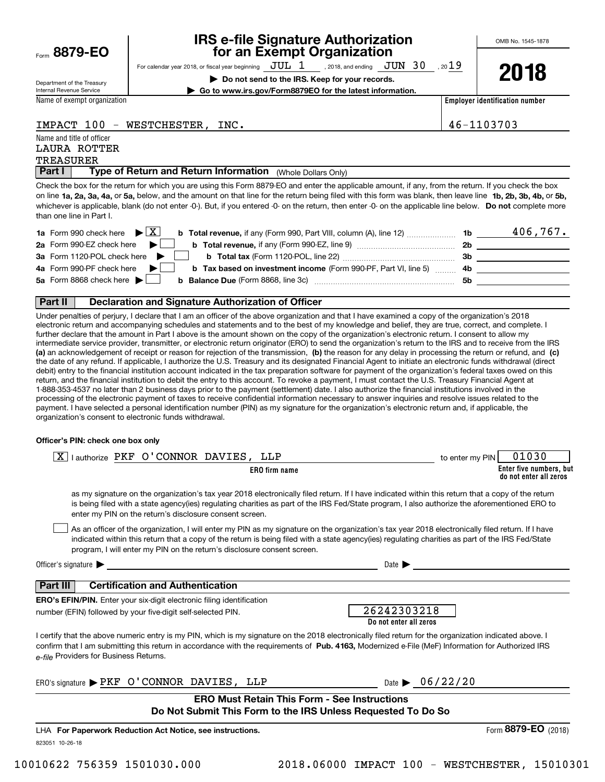Form**8879-EO**

## **IRS e-file Signature Authorization for an Exempt Organization**

For calendar year 2018, or fiscal year beginning  $\rm\,JUL~$   $1$   $\rm\,$  , 2018, and ending  $\rm\,JUN~$   $30$   $\rm\,$  , 20 $19$ 

**| Do not send to the IRS. Keep for your records. | Go to www.irs.gov/Form8879EO for the latest information.** **2018**

Department of the Treasury Internal Revenue Service

Name of exempt organization

**Employer identification number**

### IMPACT 100 - WESTCHESTER, INC. 46-1103703

Name and title of officer

### TREASURER LAURA ROTTER

**Part I** | Type of Return and Return Information (Whole Dollars Only)

on line **1a, 2a, 3a, 4a,** or **5a,** below, and the amount on that line for the return being filed with this form was blank, then leave line **1b, 2b, 3b, 4b,** or **5b,** whichever is applicable, blank (do not enter -0-). But, if you entered -0- on the return, then enter -0- on the applicable line below. **Do not** complete more Check the box for the return for which you are using this Form 8879-EO and enter the applicable amount, if any, from the return. If you check the box than one line in Part I.

| <b>1a</b> Form 990 check here $\blacktriangleright \begin{bmatrix} X \end{bmatrix}$                                                            | 1b  | 406,767. |
|------------------------------------------------------------------------------------------------------------------------------------------------|-----|----------|
| 2a Form 990-EZ check here $\blacktriangleright$<br><b>b</b> Total revenue, if any (Form 990-EZ, line 9) <i>manageranan</i> manageran           | 2b  |          |
| 3a Form 1120-POL check here $\blacktriangleright$ $\Box$                                                                                       | 3b  |          |
| 4a Form 990-PF check here $\blacktriangleright$<br><b>b</b> Tax based on investment income (Form 990-PF, Part VI, line 5) 4b                   |     |          |
| 5a Form 8868 check here $\blacktriangleright$<br><b>b</b> Balance Due (Form 8868, line 3c) <b>Constanting Balance Due</b> (Form 8868, line 3c) | .5b |          |
|                                                                                                                                                |     |          |

### **Part II Declaration and Signature Authorization of Officer**

**(a)** an acknowledgement of receipt or reason for rejection of the transmission, (b) the reason for any delay in processing the return or refund, and (c) Under penalties of perjury, I declare that I am an officer of the above organization and that I have examined a copy of the organization's 2018 electronic return and accompanying schedules and statements and to the best of my knowledge and belief, they are true, correct, and complete. I further declare that the amount in Part I above is the amount shown on the copy of the organization's electronic return. I consent to allow my intermediate service provider, transmitter, or electronic return originator (ERO) to send the organization's return to the IRS and to receive from the IRS the date of any refund. If applicable, I authorize the U.S. Treasury and its designated Financial Agent to initiate an electronic funds withdrawal (direct debit) entry to the financial institution account indicated in the tax preparation software for payment of the organization's federal taxes owed on this return, and the financial institution to debit the entry to this account. To revoke a payment, I must contact the U.S. Treasury Financial Agent at 1-888-353-4537 no later than 2 business days prior to the payment (settlement) date. I also authorize the financial institutions involved in the processing of the electronic payment of taxes to receive confidential information necessary to answer inquiries and resolve issues related to the payment. I have selected a personal identification number (PIN) as my signature for the organization's electronic return and, if applicable, the organization's consent to electronic funds withdrawal.

### **Officer's PIN: check one box only**

| lauthorize PKF O'CONNOR DAVIES, LLP<br> X                                                                                                                                                                                                                                                                                                                                        | 01030<br>to enter my PIN                          |
|----------------------------------------------------------------------------------------------------------------------------------------------------------------------------------------------------------------------------------------------------------------------------------------------------------------------------------------------------------------------------------|---------------------------------------------------|
| <b>ERO</b> firm name                                                                                                                                                                                                                                                                                                                                                             | Enter five numbers, but<br>do not enter all zeros |
| as my signature on the organization's tax year 2018 electronically filed return. If I have indicated within this return that a copy of the return<br>is being filed with a state agency(ies) regulating charities as part of the IRS Fed/State program, I also authorize the aforementioned ERO to<br>enter my PIN on the return's disclosure consent screen.                    |                                                   |
| As an officer of the organization, I will enter my PIN as my signature on the organization's tax year 2018 electronically filed return. If I have<br>indicated within this return that a copy of the return is being filed with a state agency(ies) regulating charities as part of the IRS Fed/State<br>program, I will enter my PIN on the return's disclosure consent screen. |                                                   |
| Officer's signature $\blacktriangleright$                                                                                                                                                                                                                                                                                                                                        | Date $\blacktriangleright$                        |
| <b>Certification and Authentication</b><br><b>Part III</b>                                                                                                                                                                                                                                                                                                                       |                                                   |
| <b>ERO's EFIN/PIN.</b> Enter your six-digit electronic filing identification<br>number (EFIN) followed by your five-digit self-selected PIN.                                                                                                                                                                                                                                     | 26242303218                                       |
|                                                                                                                                                                                                                                                                                                                                                                                  | Do not enter all zeros                            |
| I certify that the above numeric entry is my PIN, which is my signature on the 2018 electronically filed return for the organization indicated above. I<br>confirm that I am submitting this return in accordance with the requirements of Pub. 4163, Modernized e-File (MeF) Information for Authorized IRS<br>e-file Providers for Business Returns.                           |                                                   |
| ERO's signature PKF O'CONNOR DAVIES, LLP                                                                                                                                                                                                                                                                                                                                         | Date $\frac{66}{22}$ /20                          |
| <b>ERO Must Retain This Form - See Instructions</b><br>Do Not Submit This Form to the IRS Unless Requested To Do So                                                                                                                                                                                                                                                              |                                                   |
| LHA For Paperwork Reduction Act Notice, see instructions.                                                                                                                                                                                                                                                                                                                        | Form 8879-EO $(2018)$                             |
| 823051 10-26-18                                                                                                                                                                                                                                                                                                                                                                  |                                                   |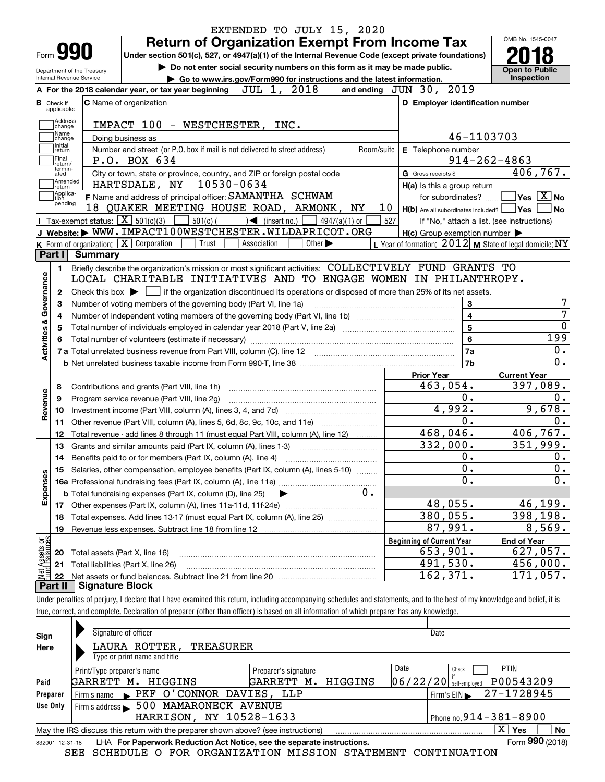| <b>Return of Organization Exempt From Income Tax</b><br>Form <b>990</b><br>Under section 501(c), 527, or 4947(a)(1) of the Internal Revenue Code (except private foundations)<br>Do not enter social security numbers on this form as it may be made public.<br>Department of the Treasury<br>Internal Revenue Service<br>Go to www.irs.gov/Form990 for instructions and the latest information.<br>and ending JUN 30, 2019<br>JUL 1, 2018<br>A For the 2018 calendar year, or tax year beginning<br><b>C</b> Name of organization<br><b>B</b> Check if<br>applicable:<br>Address<br>IMPACT 100 - WESTCHESTER, INC.<br>change<br>Name<br>Doing business as<br>change<br>Initial<br>Number and street (or P.O. box if mail is not delivered to street address)<br>Room/suite<br>return<br> Final<br>P.O. BOX 634<br>return/<br>termin-<br>City or town, state or province, country, and ZIP or foreign postal code<br>ated<br> Amended<br>10530-0634<br>HARTSDALE, NY<br>∣return<br> Applica-<br>F Name and address of principal officer: SAMANTHA SCHWAM<br>tion<br>pending<br>18 QUAKER MEETING HOUSE ROAD, ARMONK, NY<br>10<br>Tax-exempt status: $\overline{X}$ 501(c)(3)<br>$501(c)$ $\left( \qquad \qquad \right)$ $\blacktriangleleft$ (insert no.)<br>$4947(a)(1)$ or<br>527<br>J Website: WWW.IMPACT100WESTCHESTER.WILDAPRICOT.ORG<br><b>K</b> Form of organization: $\boxed{\mathbf{X}}$ Corporation<br>Other $\blacktriangleright$<br>Trust<br>Association<br>Part I<br>Summary<br>Briefly describe the organization's mission or most significant activities: COLLECTIVELY FUND GRANTS TO<br>1.<br>LOCAL CHARITABLE INITIATIVES AND TO ENGAGE WOMEN IN PHILANTHROPY.<br>Check this box $\blacktriangleright$ $\Box$ if the organization discontinued its operations or disposed of more than 25% of its net assets.<br>2<br>Number of voting members of the governing body (Part VI, line 1a)<br>з<br>4<br>5<br>Contributions and grants (Part VIII, line 1h)<br>8<br>Program service revenue (Part VIII, line 2g)<br>9<br>10<br>Other revenue (Part VIII, column (A), lines 5, 6d, 8c, 9c, 10c, and 11e)<br>11<br>Total revenue - add lines 8 through 11 (must equal Part VIII, column (A), line 12)<br>12<br>13<br>Grants and similar amounts paid (Part IX, column (A), lines 1-3)<br>14<br>15 Salaries, other compensation, employee benefits (Part IX, column (A), lines 5-10)<br>$0$ .<br><b>b</b> Total fundraising expenses (Part IX, column (D), line 25)<br>Other expenses (Part IX, column (A), lines 11a-11d, 11f-24e)<br>17<br>Total expenses. Add lines 13-17 (must equal Part IX, column (A), line 25)<br>18<br>19<br>Total assets (Part X, line 16)<br>20 | E Telephone number<br>G Gross receipts \$<br>$H(a)$ is this a group return<br>for subordinates?<br>$H(c)$ Group exemption number $\blacktriangleright$<br>3<br>5<br>6<br>7a<br>7 <sub>b</sub><br><b>Prior Year</b><br>463,054.<br>0. | <b>Open to Public</b><br>Inspection<br>D Employer identification number<br>46-1103703<br>$914 - 262 - 4863$<br>406, 767.<br>$\blacksquare$ Yes $\boxed{\text{X}}$ No<br>$H(b)$ Are all subordinates included? $\Box$ Yes  <br>If "No," attach a list. (see instructions)<br>L Year of formation: $2012$ M State of legal domicile: NY<br>$\overline{\mathbf{4}}$<br>199 |
|--------------------------------------------------------------------------------------------------------------------------------------------------------------------------------------------------------------------------------------------------------------------------------------------------------------------------------------------------------------------------------------------------------------------------------------------------------------------------------------------------------------------------------------------------------------------------------------------------------------------------------------------------------------------------------------------------------------------------------------------------------------------------------------------------------------------------------------------------------------------------------------------------------------------------------------------------------------------------------------------------------------------------------------------------------------------------------------------------------------------------------------------------------------------------------------------------------------------------------------------------------------------------------------------------------------------------------------------------------------------------------------------------------------------------------------------------------------------------------------------------------------------------------------------------------------------------------------------------------------------------------------------------------------------------------------------------------------------------------------------------------------------------------------------------------------------------------------------------------------------------------------------------------------------------------------------------------------------------------------------------------------------------------------------------------------------------------------------------------------------------------------------------------------------------------------------------------------------------------------------------------------------------------------------------------------------------------------------------------------------------------------------------------------------------------------------------------------------------------------------------------------------------------------------------------------------------------------------------------------------------------------------------------------------------------------|--------------------------------------------------------------------------------------------------------------------------------------------------------------------------------------------------------------------------------------|-------------------------------------------------------------------------------------------------------------------------------------------------------------------------------------------------------------------------------------------------------------------------------------------------------------------------------------------------------------------------|
|                                                                                                                                                                                                                                                                                                                                                                                                                                                                                                                                                                                                                                                                                                                                                                                                                                                                                                                                                                                                                                                                                                                                                                                                                                                                                                                                                                                                                                                                                                                                                                                                                                                                                                                                                                                                                                                                                                                                                                                                                                                                                                                                                                                                                                                                                                                                                                                                                                                                                                                                                                                                                                                                                      |                                                                                                                                                                                                                                      |                                                                                                                                                                                                                                                                                                                                                                         |
|                                                                                                                                                                                                                                                                                                                                                                                                                                                                                                                                                                                                                                                                                                                                                                                                                                                                                                                                                                                                                                                                                                                                                                                                                                                                                                                                                                                                                                                                                                                                                                                                                                                                                                                                                                                                                                                                                                                                                                                                                                                                                                                                                                                                                                                                                                                                                                                                                                                                                                                                                                                                                                                                                      |                                                                                                                                                                                                                                      |                                                                                                                                                                                                                                                                                                                                                                         |
|                                                                                                                                                                                                                                                                                                                                                                                                                                                                                                                                                                                                                                                                                                                                                                                                                                                                                                                                                                                                                                                                                                                                                                                                                                                                                                                                                                                                                                                                                                                                                                                                                                                                                                                                                                                                                                                                                                                                                                                                                                                                                                                                                                                                                                                                                                                                                                                                                                                                                                                                                                                                                                                                                      |                                                                                                                                                                                                                                      |                                                                                                                                                                                                                                                                                                                                                                         |
|                                                                                                                                                                                                                                                                                                                                                                                                                                                                                                                                                                                                                                                                                                                                                                                                                                                                                                                                                                                                                                                                                                                                                                                                                                                                                                                                                                                                                                                                                                                                                                                                                                                                                                                                                                                                                                                                                                                                                                                                                                                                                                                                                                                                                                                                                                                                                                                                                                                                                                                                                                                                                                                                                      |                                                                                                                                                                                                                                      |                                                                                                                                                                                                                                                                                                                                                                         |
|                                                                                                                                                                                                                                                                                                                                                                                                                                                                                                                                                                                                                                                                                                                                                                                                                                                                                                                                                                                                                                                                                                                                                                                                                                                                                                                                                                                                                                                                                                                                                                                                                                                                                                                                                                                                                                                                                                                                                                                                                                                                                                                                                                                                                                                                                                                                                                                                                                                                                                                                                                                                                                                                                      |                                                                                                                                                                                                                                      |                                                                                                                                                                                                                                                                                                                                                                         |
|                                                                                                                                                                                                                                                                                                                                                                                                                                                                                                                                                                                                                                                                                                                                                                                                                                                                                                                                                                                                                                                                                                                                                                                                                                                                                                                                                                                                                                                                                                                                                                                                                                                                                                                                                                                                                                                                                                                                                                                                                                                                                                                                                                                                                                                                                                                                                                                                                                                                                                                                                                                                                                                                                      |                                                                                                                                                                                                                                      |                                                                                                                                                                                                                                                                                                                                                                         |
|                                                                                                                                                                                                                                                                                                                                                                                                                                                                                                                                                                                                                                                                                                                                                                                                                                                                                                                                                                                                                                                                                                                                                                                                                                                                                                                                                                                                                                                                                                                                                                                                                                                                                                                                                                                                                                                                                                                                                                                                                                                                                                                                                                                                                                                                                                                                                                                                                                                                                                                                                                                                                                                                                      |                                                                                                                                                                                                                                      |                                                                                                                                                                                                                                                                                                                                                                         |
|                                                                                                                                                                                                                                                                                                                                                                                                                                                                                                                                                                                                                                                                                                                                                                                                                                                                                                                                                                                                                                                                                                                                                                                                                                                                                                                                                                                                                                                                                                                                                                                                                                                                                                                                                                                                                                                                                                                                                                                                                                                                                                                                                                                                                                                                                                                                                                                                                                                                                                                                                                                                                                                                                      |                                                                                                                                                                                                                                      |                                                                                                                                                                                                                                                                                                                                                                         |
|                                                                                                                                                                                                                                                                                                                                                                                                                                                                                                                                                                                                                                                                                                                                                                                                                                                                                                                                                                                                                                                                                                                                                                                                                                                                                                                                                                                                                                                                                                                                                                                                                                                                                                                                                                                                                                                                                                                                                                                                                                                                                                                                                                                                                                                                                                                                                                                                                                                                                                                                                                                                                                                                                      |                                                                                                                                                                                                                                      |                                                                                                                                                                                                                                                                                                                                                                         |
|                                                                                                                                                                                                                                                                                                                                                                                                                                                                                                                                                                                                                                                                                                                                                                                                                                                                                                                                                                                                                                                                                                                                                                                                                                                                                                                                                                                                                                                                                                                                                                                                                                                                                                                                                                                                                                                                                                                                                                                                                                                                                                                                                                                                                                                                                                                                                                                                                                                                                                                                                                                                                                                                                      |                                                                                                                                                                                                                                      |                                                                                                                                                                                                                                                                                                                                                                         |
|                                                                                                                                                                                                                                                                                                                                                                                                                                                                                                                                                                                                                                                                                                                                                                                                                                                                                                                                                                                                                                                                                                                                                                                                                                                                                                                                                                                                                                                                                                                                                                                                                                                                                                                                                                                                                                                                                                                                                                                                                                                                                                                                                                                                                                                                                                                                                                                                                                                                                                                                                                                                                                                                                      |                                                                                                                                                                                                                                      |                                                                                                                                                                                                                                                                                                                                                                         |
|                                                                                                                                                                                                                                                                                                                                                                                                                                                                                                                                                                                                                                                                                                                                                                                                                                                                                                                                                                                                                                                                                                                                                                                                                                                                                                                                                                                                                                                                                                                                                                                                                                                                                                                                                                                                                                                                                                                                                                                                                                                                                                                                                                                                                                                                                                                                                                                                                                                                                                                                                                                                                                                                                      |                                                                                                                                                                                                                                      |                                                                                                                                                                                                                                                                                                                                                                         |
|                                                                                                                                                                                                                                                                                                                                                                                                                                                                                                                                                                                                                                                                                                                                                                                                                                                                                                                                                                                                                                                                                                                                                                                                                                                                                                                                                                                                                                                                                                                                                                                                                                                                                                                                                                                                                                                                                                                                                                                                                                                                                                                                                                                                                                                                                                                                                                                                                                                                                                                                                                                                                                                                                      |                                                                                                                                                                                                                                      |                                                                                                                                                                                                                                                                                                                                                                         |
|                                                                                                                                                                                                                                                                                                                                                                                                                                                                                                                                                                                                                                                                                                                                                                                                                                                                                                                                                                                                                                                                                                                                                                                                                                                                                                                                                                                                                                                                                                                                                                                                                                                                                                                                                                                                                                                                                                                                                                                                                                                                                                                                                                                                                                                                                                                                                                                                                                                                                                                                                                                                                                                                                      |                                                                                                                                                                                                                                      |                                                                                                                                                                                                                                                                                                                                                                         |
|                                                                                                                                                                                                                                                                                                                                                                                                                                                                                                                                                                                                                                                                                                                                                                                                                                                                                                                                                                                                                                                                                                                                                                                                                                                                                                                                                                                                                                                                                                                                                                                                                                                                                                                                                                                                                                                                                                                                                                                                                                                                                                                                                                                                                                                                                                                                                                                                                                                                                                                                                                                                                                                                                      |                                                                                                                                                                                                                                      |                                                                                                                                                                                                                                                                                                                                                                         |
|                                                                                                                                                                                                                                                                                                                                                                                                                                                                                                                                                                                                                                                                                                                                                                                                                                                                                                                                                                                                                                                                                                                                                                                                                                                                                                                                                                                                                                                                                                                                                                                                                                                                                                                                                                                                                                                                                                                                                                                                                                                                                                                                                                                                                                                                                                                                                                                                                                                                                                                                                                                                                                                                                      |                                                                                                                                                                                                                                      |                                                                                                                                                                                                                                                                                                                                                                         |
|                                                                                                                                                                                                                                                                                                                                                                                                                                                                                                                                                                                                                                                                                                                                                                                                                                                                                                                                                                                                                                                                                                                                                                                                                                                                                                                                                                                                                                                                                                                                                                                                                                                                                                                                                                                                                                                                                                                                                                                                                                                                                                                                                                                                                                                                                                                                                                                                                                                                                                                                                                                                                                                                                      |                                                                                                                                                                                                                                      |                                                                                                                                                                                                                                                                                                                                                                         |
|                                                                                                                                                                                                                                                                                                                                                                                                                                                                                                                                                                                                                                                                                                                                                                                                                                                                                                                                                                                                                                                                                                                                                                                                                                                                                                                                                                                                                                                                                                                                                                                                                                                                                                                                                                                                                                                                                                                                                                                                                                                                                                                                                                                                                                                                                                                                                                                                                                                                                                                                                                                                                                                                                      |                                                                                                                                                                                                                                      |                                                                                                                                                                                                                                                                                                                                                                         |
|                                                                                                                                                                                                                                                                                                                                                                                                                                                                                                                                                                                                                                                                                                                                                                                                                                                                                                                                                                                                                                                                                                                                                                                                                                                                                                                                                                                                                                                                                                                                                                                                                                                                                                                                                                                                                                                                                                                                                                                                                                                                                                                                                                                                                                                                                                                                                                                                                                                                                                                                                                                                                                                                                      |                                                                                                                                                                                                                                      |                                                                                                                                                                                                                                                                                                                                                                         |
|                                                                                                                                                                                                                                                                                                                                                                                                                                                                                                                                                                                                                                                                                                                                                                                                                                                                                                                                                                                                                                                                                                                                                                                                                                                                                                                                                                                                                                                                                                                                                                                                                                                                                                                                                                                                                                                                                                                                                                                                                                                                                                                                                                                                                                                                                                                                                                                                                                                                                                                                                                                                                                                                                      |                                                                                                                                                                                                                                      |                                                                                                                                                                                                                                                                                                                                                                         |
|                                                                                                                                                                                                                                                                                                                                                                                                                                                                                                                                                                                                                                                                                                                                                                                                                                                                                                                                                                                                                                                                                                                                                                                                                                                                                                                                                                                                                                                                                                                                                                                                                                                                                                                                                                                                                                                                                                                                                                                                                                                                                                                                                                                                                                                                                                                                                                                                                                                                                                                                                                                                                                                                                      |                                                                                                                                                                                                                                      |                                                                                                                                                                                                                                                                                                                                                                         |
|                                                                                                                                                                                                                                                                                                                                                                                                                                                                                                                                                                                                                                                                                                                                                                                                                                                                                                                                                                                                                                                                                                                                                                                                                                                                                                                                                                                                                                                                                                                                                                                                                                                                                                                                                                                                                                                                                                                                                                                                                                                                                                                                                                                                                                                                                                                                                                                                                                                                                                                                                                                                                                                                                      |                                                                                                                                                                                                                                      |                                                                                                                                                                                                                                                                                                                                                                         |
|                                                                                                                                                                                                                                                                                                                                                                                                                                                                                                                                                                                                                                                                                                                                                                                                                                                                                                                                                                                                                                                                                                                                                                                                                                                                                                                                                                                                                                                                                                                                                                                                                                                                                                                                                                                                                                                                                                                                                                                                                                                                                                                                                                                                                                                                                                                                                                                                                                                                                                                                                                                                                                                                                      |                                                                                                                                                                                                                                      |                                                                                                                                                                                                                                                                                                                                                                         |
|                                                                                                                                                                                                                                                                                                                                                                                                                                                                                                                                                                                                                                                                                                                                                                                                                                                                                                                                                                                                                                                                                                                                                                                                                                                                                                                                                                                                                                                                                                                                                                                                                                                                                                                                                                                                                                                                                                                                                                                                                                                                                                                                                                                                                                                                                                                                                                                                                                                                                                                                                                                                                                                                                      |                                                                                                                                                                                                                                      |                                                                                                                                                                                                                                                                                                                                                                         |
|                                                                                                                                                                                                                                                                                                                                                                                                                                                                                                                                                                                                                                                                                                                                                                                                                                                                                                                                                                                                                                                                                                                                                                                                                                                                                                                                                                                                                                                                                                                                                                                                                                                                                                                                                                                                                                                                                                                                                                                                                                                                                                                                                                                                                                                                                                                                                                                                                                                                                                                                                                                                                                                                                      |                                                                                                                                                                                                                                      | <b>Current Year</b><br>397,089.                                                                                                                                                                                                                                                                                                                                         |
|                                                                                                                                                                                                                                                                                                                                                                                                                                                                                                                                                                                                                                                                                                                                                                                                                                                                                                                                                                                                                                                                                                                                                                                                                                                                                                                                                                                                                                                                                                                                                                                                                                                                                                                                                                                                                                                                                                                                                                                                                                                                                                                                                                                                                                                                                                                                                                                                                                                                                                                                                                                                                                                                                      |                                                                                                                                                                                                                                      |                                                                                                                                                                                                                                                                                                                                                                         |
|                                                                                                                                                                                                                                                                                                                                                                                                                                                                                                                                                                                                                                                                                                                                                                                                                                                                                                                                                                                                                                                                                                                                                                                                                                                                                                                                                                                                                                                                                                                                                                                                                                                                                                                                                                                                                                                                                                                                                                                                                                                                                                                                                                                                                                                                                                                                                                                                                                                                                                                                                                                                                                                                                      | 4,992.                                                                                                                                                                                                                               | 9,678.                                                                                                                                                                                                                                                                                                                                                                  |
|                                                                                                                                                                                                                                                                                                                                                                                                                                                                                                                                                                                                                                                                                                                                                                                                                                                                                                                                                                                                                                                                                                                                                                                                                                                                                                                                                                                                                                                                                                                                                                                                                                                                                                                                                                                                                                                                                                                                                                                                                                                                                                                                                                                                                                                                                                                                                                                                                                                                                                                                                                                                                                                                                      | 0.                                                                                                                                                                                                                                   |                                                                                                                                                                                                                                                                                                                                                                         |
|                                                                                                                                                                                                                                                                                                                                                                                                                                                                                                                                                                                                                                                                                                                                                                                                                                                                                                                                                                                                                                                                                                                                                                                                                                                                                                                                                                                                                                                                                                                                                                                                                                                                                                                                                                                                                                                                                                                                                                                                                                                                                                                                                                                                                                                                                                                                                                                                                                                                                                                                                                                                                                                                                      | 468,046.                                                                                                                                                                                                                             | 406, 767.                                                                                                                                                                                                                                                                                                                                                               |
|                                                                                                                                                                                                                                                                                                                                                                                                                                                                                                                                                                                                                                                                                                                                                                                                                                                                                                                                                                                                                                                                                                                                                                                                                                                                                                                                                                                                                                                                                                                                                                                                                                                                                                                                                                                                                                                                                                                                                                                                                                                                                                                                                                                                                                                                                                                                                                                                                                                                                                                                                                                                                                                                                      | 332,000.                                                                                                                                                                                                                             | 351,999.                                                                                                                                                                                                                                                                                                                                                                |
|                                                                                                                                                                                                                                                                                                                                                                                                                                                                                                                                                                                                                                                                                                                                                                                                                                                                                                                                                                                                                                                                                                                                                                                                                                                                                                                                                                                                                                                                                                                                                                                                                                                                                                                                                                                                                                                                                                                                                                                                                                                                                                                                                                                                                                                                                                                                                                                                                                                                                                                                                                                                                                                                                      | $0$ .                                                                                                                                                                                                                                |                                                                                                                                                                                                                                                                                                                                                                         |
|                                                                                                                                                                                                                                                                                                                                                                                                                                                                                                                                                                                                                                                                                                                                                                                                                                                                                                                                                                                                                                                                                                                                                                                                                                                                                                                                                                                                                                                                                                                                                                                                                                                                                                                                                                                                                                                                                                                                                                                                                                                                                                                                                                                                                                                                                                                                                                                                                                                                                                                                                                                                                                                                                      | $\overline{\mathbf{0}}$ .                                                                                                                                                                                                            |                                                                                                                                                                                                                                                                                                                                                                         |
|                                                                                                                                                                                                                                                                                                                                                                                                                                                                                                                                                                                                                                                                                                                                                                                                                                                                                                                                                                                                                                                                                                                                                                                                                                                                                                                                                                                                                                                                                                                                                                                                                                                                                                                                                                                                                                                                                                                                                                                                                                                                                                                                                                                                                                                                                                                                                                                                                                                                                                                                                                                                                                                                                      | 0.                                                                                                                                                                                                                                   |                                                                                                                                                                                                                                                                                                                                                                         |
|                                                                                                                                                                                                                                                                                                                                                                                                                                                                                                                                                                                                                                                                                                                                                                                                                                                                                                                                                                                                                                                                                                                                                                                                                                                                                                                                                                                                                                                                                                                                                                                                                                                                                                                                                                                                                                                                                                                                                                                                                                                                                                                                                                                                                                                                                                                                                                                                                                                                                                                                                                                                                                                                                      |                                                                                                                                                                                                                                      |                                                                                                                                                                                                                                                                                                                                                                         |
|                                                                                                                                                                                                                                                                                                                                                                                                                                                                                                                                                                                                                                                                                                                                                                                                                                                                                                                                                                                                                                                                                                                                                                                                                                                                                                                                                                                                                                                                                                                                                                                                                                                                                                                                                                                                                                                                                                                                                                                                                                                                                                                                                                                                                                                                                                                                                                                                                                                                                                                                                                                                                                                                                      | 48,055.                                                                                                                                                                                                                              | 46,199.                                                                                                                                                                                                                                                                                                                                                                 |
|                                                                                                                                                                                                                                                                                                                                                                                                                                                                                                                                                                                                                                                                                                                                                                                                                                                                                                                                                                                                                                                                                                                                                                                                                                                                                                                                                                                                                                                                                                                                                                                                                                                                                                                                                                                                                                                                                                                                                                                                                                                                                                                                                                                                                                                                                                                                                                                                                                                                                                                                                                                                                                                                                      | 380,055.                                                                                                                                                                                                                             | 398,198.                                                                                                                                                                                                                                                                                                                                                                |
|                                                                                                                                                                                                                                                                                                                                                                                                                                                                                                                                                                                                                                                                                                                                                                                                                                                                                                                                                                                                                                                                                                                                                                                                                                                                                                                                                                                                                                                                                                                                                                                                                                                                                                                                                                                                                                                                                                                                                                                                                                                                                                                                                                                                                                                                                                                                                                                                                                                                                                                                                                                                                                                                                      | 87,991.                                                                                                                                                                                                                              | 8,569.                                                                                                                                                                                                                                                                                                                                                                  |
|                                                                                                                                                                                                                                                                                                                                                                                                                                                                                                                                                                                                                                                                                                                                                                                                                                                                                                                                                                                                                                                                                                                                                                                                                                                                                                                                                                                                                                                                                                                                                                                                                                                                                                                                                                                                                                                                                                                                                                                                                                                                                                                                                                                                                                                                                                                                                                                                                                                                                                                                                                                                                                                                                      | <b>Beginning of Current Year</b>                                                                                                                                                                                                     | <b>End of Year</b>                                                                                                                                                                                                                                                                                                                                                      |
|                                                                                                                                                                                                                                                                                                                                                                                                                                                                                                                                                                                                                                                                                                                                                                                                                                                                                                                                                                                                                                                                                                                                                                                                                                                                                                                                                                                                                                                                                                                                                                                                                                                                                                                                                                                                                                                                                                                                                                                                                                                                                                                                                                                                                                                                                                                                                                                                                                                                                                                                                                                                                                                                                      | 653,901.                                                                                                                                                                                                                             | 627,057.                                                                                                                                                                                                                                                                                                                                                                |
| Total liabilities (Part X, line 26)<br>21                                                                                                                                                                                                                                                                                                                                                                                                                                                                                                                                                                                                                                                                                                                                                                                                                                                                                                                                                                                                                                                                                                                                                                                                                                                                                                                                                                                                                                                                                                                                                                                                                                                                                                                                                                                                                                                                                                                                                                                                                                                                                                                                                                                                                                                                                                                                                                                                                                                                                                                                                                                                                                            | 491,530.                                                                                                                                                                                                                             | $\overline{456}$ , 000.                                                                                                                                                                                                                                                                                                                                                 |
| 22                                                                                                                                                                                                                                                                                                                                                                                                                                                                                                                                                                                                                                                                                                                                                                                                                                                                                                                                                                                                                                                                                                                                                                                                                                                                                                                                                                                                                                                                                                                                                                                                                                                                                                                                                                                                                                                                                                                                                                                                                                                                                                                                                                                                                                                                                                                                                                                                                                                                                                                                                                                                                                                                                   | 162, 371.                                                                                                                                                                                                                            | 171,057.                                                                                                                                                                                                                                                                                                                                                                |
| Part II<br><b>Signature Block</b>                                                                                                                                                                                                                                                                                                                                                                                                                                                                                                                                                                                                                                                                                                                                                                                                                                                                                                                                                                                                                                                                                                                                                                                                                                                                                                                                                                                                                                                                                                                                                                                                                                                                                                                                                                                                                                                                                                                                                                                                                                                                                                                                                                                                                                                                                                                                                                                                                                                                                                                                                                                                                                                    |                                                                                                                                                                                                                                      |                                                                                                                                                                                                                                                                                                                                                                         |

| Sign            | Signature of officer                                                              |                                 | Date                     |                              |
|-----------------|-----------------------------------------------------------------------------------|---------------------------------|--------------------------|------------------------------|
| Here            | LAURA ROTTER,<br><b>TREASURER</b>                                                 |                                 |                          |                              |
|                 | Type or print name and title                                                      |                                 |                          |                              |
|                 | Print/Type preparer's name                                                        | Preparer's signature            | Date<br>Check            | <b>PTIN</b>                  |
| Paid            | GARRETT M.<br>HIGGINS                                                             | HIGGINS<br><b>GARRETT</b><br>м. | $06/22/20$ self-employed | P00543209                    |
| Preparer        | FKF O'CONNOR DAVIES, LLP<br>Firm's name                                           |                                 | Firm's $EIN$             | 27-1728945                   |
| Use Only        | 500 MAMARONECK AVENUE<br>Firm's address                                           |                                 |                          |                              |
|                 | HARRISON, NY 10528-1633                                                           |                                 |                          | Phone no. $914 - 381 - 8900$ |
|                 | May the IRS discuss this return with the preparer shown above? (see instructions) |                                 |                          | X.<br>Yes<br><b>No</b>       |
| 832001 12-31-18 | LHA For Paperwork Reduction Act Notice, see the separate instructions.            |                                 |                          | Form 990 (2018)              |

SEE SCHEDULE O FOR ORGANIZATION MISSION STATEMENT CONTINUATION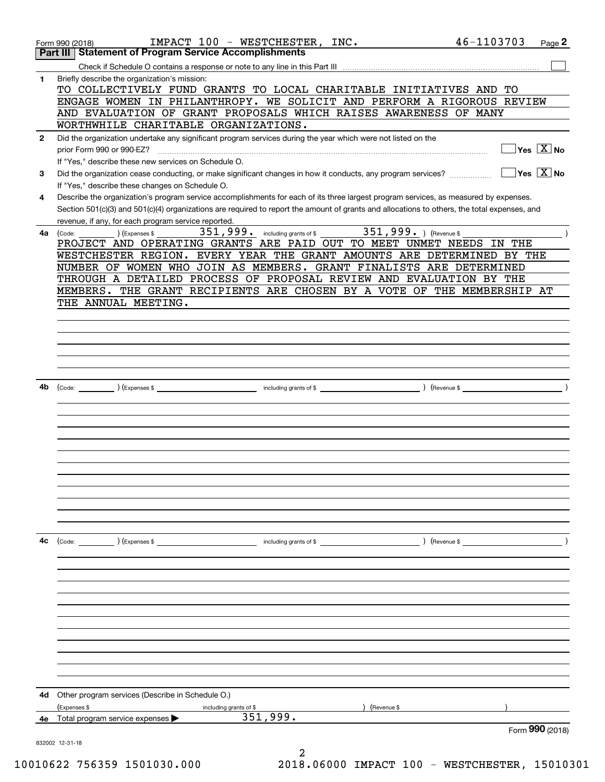|              | IMPACT 100 - WESTCHESTER, INC.<br>Form 990 (2018)                                                                                                                                                                                                | 46-1103703                                      | Page 2 |
|--------------|--------------------------------------------------------------------------------------------------------------------------------------------------------------------------------------------------------------------------------------------------|-------------------------------------------------|--------|
|              | Part III Statement of Program Service Accomplishments                                                                                                                                                                                            |                                                 |        |
|              |                                                                                                                                                                                                                                                  |                                                 |        |
| 1            | Briefly describe the organization's mission:<br>TO COLLECTIVELY FUND GRANTS TO LOCAL CHARITABLE INITIATIVES AND TO                                                                                                                               |                                                 |        |
|              | ENGAGE WOMEN IN PHILANTHROPY. WE SOLICIT AND PERFORM A RIGOROUS REVIEW                                                                                                                                                                           |                                                 |        |
|              | AND EVALUATION OF GRANT PROPOSALS WHICH RAISES AWARENESS OF MANY                                                                                                                                                                                 |                                                 |        |
|              | WORTHWHILE CHARITABLE ORGANIZATIONS.                                                                                                                                                                                                             |                                                 |        |
| $\mathbf{2}$ | Did the organization undertake any significant program services during the year which were not listed on the                                                                                                                                     |                                                 |        |
|              | prior Form 990 or 990-EZ?                                                                                                                                                                                                                        | $\overline{\ }$ Yes $\overline{\phantom{X}}$ No |        |
|              | If "Yes," describe these new services on Schedule O.                                                                                                                                                                                             |                                                 |        |
| 3            | Did the organization cease conducting, or make significant changes in how it conducts, any program services?                                                                                                                                     | $\overline{\ }$ Yes $\overline{\mathrm{X}}$ No  |        |
|              | If "Yes," describe these changes on Schedule O.                                                                                                                                                                                                  |                                                 |        |
| 4            | Describe the organization's program service accomplishments for each of its three largest program services, as measured by expenses.                                                                                                             |                                                 |        |
|              | Section 501(c)(3) and 501(c)(4) organizations are required to report the amount of grants and allocations to others, the total expenses, and                                                                                                     |                                                 |        |
|              | revenue, if any, for each program service reported.                                                                                                                                                                                              |                                                 |        |
|              | (Expenses \$<br>4a (Code:<br>PROJECT AND OPERATING GRANTS ARE PAID OUT TO MEET UNMET NEEDS IN THE                                                                                                                                                |                                                 |        |
|              | WESTCHESTER REGION. EVERY YEAR THE GRANT AMOUNTS ARE DETERMINED BY THE                                                                                                                                                                           |                                                 |        |
|              | NUMBER OF WOMEN WHO JOIN AS MEMBERS. GRANT FINALISTS ARE DETERMINED                                                                                                                                                                              |                                                 |        |
|              | THROUGH A DETAILED PROCESS OF PROPOSAL REVIEW AND EVALUATION BY THE                                                                                                                                                                              |                                                 |        |
|              | MEMBERS. THE GRANT RECIPIENTS ARE CHOSEN BY A VOTE OF THE MEMBERSHIP AT                                                                                                                                                                          |                                                 |        |
|              | THE ANNUAL MEETING.                                                                                                                                                                                                                              |                                                 |        |
|              |                                                                                                                                                                                                                                                  |                                                 |        |
|              |                                                                                                                                                                                                                                                  |                                                 |        |
|              |                                                                                                                                                                                                                                                  |                                                 |        |
|              |                                                                                                                                                                                                                                                  |                                                 |        |
|              |                                                                                                                                                                                                                                                  |                                                 |        |
|              |                                                                                                                                                                                                                                                  |                                                 |        |
| 4b           |                                                                                                                                                                                                                                                  | $\sqrt{ }$ (Revenue \$                          |        |
|              |                                                                                                                                                                                                                                                  |                                                 |        |
|              |                                                                                                                                                                                                                                                  |                                                 |        |
|              |                                                                                                                                                                                                                                                  |                                                 |        |
|              |                                                                                                                                                                                                                                                  |                                                 |        |
|              |                                                                                                                                                                                                                                                  |                                                 |        |
|              |                                                                                                                                                                                                                                                  |                                                 |        |
|              |                                                                                                                                                                                                                                                  |                                                 |        |
|              |                                                                                                                                                                                                                                                  |                                                 |        |
|              |                                                                                                                                                                                                                                                  |                                                 |        |
|              |                                                                                                                                                                                                                                                  |                                                 |        |
|              |                                                                                                                                                                                                                                                  |                                                 |        |
| 4с           | ) (Revenue \$<br>(Code:                                                                                                                                                                                                                          |                                                 |        |
|              | ) (Expenses \$<br>and the contract of the contract of the contract of the contract of the contract of the contract of the contract of the contract of the contract of the contract of the contract of the contract of the contract of the contra |                                                 |        |
|              |                                                                                                                                                                                                                                                  |                                                 |        |
|              |                                                                                                                                                                                                                                                  |                                                 |        |
|              |                                                                                                                                                                                                                                                  |                                                 |        |
|              |                                                                                                                                                                                                                                                  |                                                 |        |
|              |                                                                                                                                                                                                                                                  |                                                 |        |
|              |                                                                                                                                                                                                                                                  |                                                 |        |
|              |                                                                                                                                                                                                                                                  |                                                 |        |
|              |                                                                                                                                                                                                                                                  |                                                 |        |
|              |                                                                                                                                                                                                                                                  |                                                 |        |
|              |                                                                                                                                                                                                                                                  |                                                 |        |
|              |                                                                                                                                                                                                                                                  |                                                 |        |
| 4d           | Other program services (Describe in Schedule O.)                                                                                                                                                                                                 |                                                 |        |
|              | (Expenses \$<br>Revenue \$<br>including grants of \$                                                                                                                                                                                             |                                                 |        |
| 4е           | 351,999.<br>Total program service expenses                                                                                                                                                                                                       |                                                 |        |
|              |                                                                                                                                                                                                                                                  | Form 990 (2018)                                 |        |
|              | 832002 12-31-18<br>2                                                                                                                                                                                                                             |                                                 |        |
|              |                                                                                                                                                                                                                                                  |                                                 |        |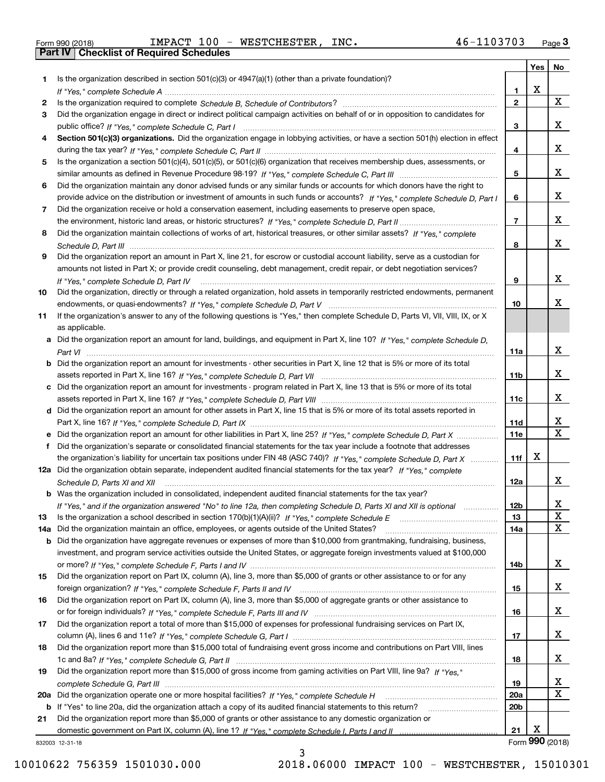| Form 990 (2018) |  |  |
|-----------------|--|--|

Form 990 (2018) IMPACT  10 0 **- WESTCHESTER,** INC. 4 6-110 3 7 0 3 <sub>Page</sub> 3<br><mark>Part IV | Checklist of Required Schedules</mark>

| Is the organization described in section $501(c)(3)$ or $4947(a)(1)$ (other than a private foundation)?<br>1.<br>X<br>1.<br>$\overline{2}$<br>X<br>2<br>Did the organization engage in direct or indirect political campaign activities on behalf of or in opposition to candidates for<br>3<br>x<br>3<br>Section 501(c)(3) organizations. Did the organization engage in lobbying activities, or have a section 501(h) election in effect<br>4<br>x<br>4<br>Is the organization a section 501(c)(4), 501(c)(5), or 501(c)(6) organization that receives membership dues, assessments, or<br>5<br>x<br>5<br>Did the organization maintain any donor advised funds or any similar funds or accounts for which donors have the right to<br>6<br>x<br>provide advice on the distribution or investment of amounts in such funds or accounts? If "Yes," complete Schedule D, Part I<br>6<br>Did the organization receive or hold a conservation easement, including easements to preserve open space,<br>7<br>x<br>$\overline{7}$<br>Did the organization maintain collections of works of art, historical treasures, or other similar assets? If "Yes," complete<br>8<br>x<br>8<br>Did the organization report an amount in Part X, line 21, for escrow or custodial account liability, serve as a custodian for<br>9<br>amounts not listed in Part X; or provide credit counseling, debt management, credit repair, or debt negotiation services?<br>x<br>9<br>If "Yes," complete Schedule D, Part IV<br>Did the organization, directly or through a related organization, hold assets in temporarily restricted endowments, permanent<br>10<br>x<br>10<br>If the organization's answer to any of the following questions is "Yes," then complete Schedule D, Parts VI, VIII, VIII, IX, or X<br>11<br>as applicable.<br>a Did the organization report an amount for land, buildings, and equipment in Part X, line 10? If "Yes," complete Schedule D,<br>x<br>11a<br><b>b</b> Did the organization report an amount for investments - other securities in Part X, line 12 that is 5% or more of its total<br>x<br>11 <sub>b</sub><br>c Did the organization report an amount for investments - program related in Part X, line 13 that is 5% or more of its total<br>x<br>11c<br>d Did the organization report an amount for other assets in Part X, line 15 that is 5% or more of its total assets reported in<br>X<br>11d<br>$\mathbf X$<br>11e<br>e Did the organization report an amount for other liabilities in Part X, line 25? If "Yes," complete Schedule D, Part X<br>Did the organization's separate or consolidated financial statements for the tax year include a footnote that addresses<br>X<br>the organization's liability for uncertain tax positions under FIN 48 (ASC 740)? If "Yes," complete Schedule D, Part X<br>11f<br>12a Did the organization obtain separate, independent audited financial statements for the tax year? If "Yes," complete<br>x<br>12a<br>Schedule D, Parts XI and XII<br>b Was the organization included in consolidated, independent audited financial statements for the tax year?<br>If "Yes," and if the organization answered "No" to line 12a, then completing Schedule D, Parts XI and XII is optional<br>12b<br>ᅀ<br>X<br>13<br>13<br>X<br>Did the organization maintain an office, employees, or agents outside of the United States?<br>14a<br>14a<br><b>b</b> Did the organization have aggregate revenues or expenses of more than \$10,000 from grantmaking, fundraising, business,<br>investment, and program service activities outside the United States, or aggregate foreign investments valued at \$100,000<br>x<br>14b<br>Did the organization report on Part IX, column (A), line 3, more than \$5,000 of grants or other assistance to or for any<br>15<br>x<br>15<br>Did the organization report on Part IX, column (A), line 3, more than \$5,000 of aggregate grants or other assistance to<br>16<br>x<br>16<br>Did the organization report a total of more than \$15,000 of expenses for professional fundraising services on Part IX,<br>17<br>x<br>17<br>Did the organization report more than \$15,000 total of fundraising event gross income and contributions on Part VIII, lines<br>18<br>x<br>18<br>Did the organization report more than \$15,000 of gross income from gaming activities on Part VIII, line 9a? If "Yes."<br>19<br>X,<br>19<br>X<br>20a<br>20 <sub>b</sub><br>b If "Yes" to line 20a, did the organization attach a copy of its audited financial statements to this return?<br>Did the organization report more than \$5,000 of grants or other assistance to any domestic organization or<br>21<br>х<br>21<br>Form 990 (2018)<br>832003 12-31-18 |  | Yes | No |
|----------------------------------------------------------------------------------------------------------------------------------------------------------------------------------------------------------------------------------------------------------------------------------------------------------------------------------------------------------------------------------------------------------------------------------------------------------------------------------------------------------------------------------------------------------------------------------------------------------------------------------------------------------------------------------------------------------------------------------------------------------------------------------------------------------------------------------------------------------------------------------------------------------------------------------------------------------------------------------------------------------------------------------------------------------------------------------------------------------------------------------------------------------------------------------------------------------------------------------------------------------------------------------------------------------------------------------------------------------------------------------------------------------------------------------------------------------------------------------------------------------------------------------------------------------------------------------------------------------------------------------------------------------------------------------------------------------------------------------------------------------------------------------------------------------------------------------------------------------------------------------------------------------------------------------------------------------------------------------------------------------------------------------------------------------------------------------------------------------------------------------------------------------------------------------------------------------------------------------------------------------------------------------------------------------------------------------------------------------------------------------------------------------------------------------------------------------------------------------------------------------------------------------------------------------------------------------------------------------------------------------------------------------------------------------------------------------------------------------------------------------------------------------------------------------------------------------------------------------------------------------------------------------------------------------------------------------------------------------------------------------------------------------------------------------------------------------------------------------------------------------------------------------------------------------------------------------------------------------------------------------------------------------------------------------------------------------------------------------------------------------------------------------------------------------------------------------------------------------------------------------------------------------------------------------------------------------------------------------------------------------------------------------------------------------------------------------------------------------------------------------------------------------------------------------------------------------------------------------------------------------------------------------------------------------------------------------------------------------------------------------------------------------------------------------------------------------------------------------------------------------------------------------------------------------------------------------------------------------------------------------------------------------------------------------------------------------------------------------------------------------------------------------------------------------------------------------------------------------------------------------------------------------------------------------------------------------------------------------------------------------------------------------------------------------------------------------------------------------------------------|--|-----|----|
|                                                                                                                                                                                                                                                                                                                                                                                                                                                                                                                                                                                                                                                                                                                                                                                                                                                                                                                                                                                                                                                                                                                                                                                                                                                                                                                                                                                                                                                                                                                                                                                                                                                                                                                                                                                                                                                                                                                                                                                                                                                                                                                                                                                                                                                                                                                                                                                                                                                                                                                                                                                                                                                                                                                                                                                                                                                                                                                                                                                                                                                                                                                                                                                                                                                                                                                                                                                                                                                                                                                                                                                                                                                                                                                                                                                                                                                                                                                                                                                                                                                                                                                                                                                                                                                                                                                                                                                                                                                                                                                                                                                                                                                                                                                                                    |  |     |    |
|                                                                                                                                                                                                                                                                                                                                                                                                                                                                                                                                                                                                                                                                                                                                                                                                                                                                                                                                                                                                                                                                                                                                                                                                                                                                                                                                                                                                                                                                                                                                                                                                                                                                                                                                                                                                                                                                                                                                                                                                                                                                                                                                                                                                                                                                                                                                                                                                                                                                                                                                                                                                                                                                                                                                                                                                                                                                                                                                                                                                                                                                                                                                                                                                                                                                                                                                                                                                                                                                                                                                                                                                                                                                                                                                                                                                                                                                                                                                                                                                                                                                                                                                                                                                                                                                                                                                                                                                                                                                                                                                                                                                                                                                                                                                                    |  |     |    |
|                                                                                                                                                                                                                                                                                                                                                                                                                                                                                                                                                                                                                                                                                                                                                                                                                                                                                                                                                                                                                                                                                                                                                                                                                                                                                                                                                                                                                                                                                                                                                                                                                                                                                                                                                                                                                                                                                                                                                                                                                                                                                                                                                                                                                                                                                                                                                                                                                                                                                                                                                                                                                                                                                                                                                                                                                                                                                                                                                                                                                                                                                                                                                                                                                                                                                                                                                                                                                                                                                                                                                                                                                                                                                                                                                                                                                                                                                                                                                                                                                                                                                                                                                                                                                                                                                                                                                                                                                                                                                                                                                                                                                                                                                                                                                    |  |     |    |
|                                                                                                                                                                                                                                                                                                                                                                                                                                                                                                                                                                                                                                                                                                                                                                                                                                                                                                                                                                                                                                                                                                                                                                                                                                                                                                                                                                                                                                                                                                                                                                                                                                                                                                                                                                                                                                                                                                                                                                                                                                                                                                                                                                                                                                                                                                                                                                                                                                                                                                                                                                                                                                                                                                                                                                                                                                                                                                                                                                                                                                                                                                                                                                                                                                                                                                                                                                                                                                                                                                                                                                                                                                                                                                                                                                                                                                                                                                                                                                                                                                                                                                                                                                                                                                                                                                                                                                                                                                                                                                                                                                                                                                                                                                                                                    |  |     |    |
|                                                                                                                                                                                                                                                                                                                                                                                                                                                                                                                                                                                                                                                                                                                                                                                                                                                                                                                                                                                                                                                                                                                                                                                                                                                                                                                                                                                                                                                                                                                                                                                                                                                                                                                                                                                                                                                                                                                                                                                                                                                                                                                                                                                                                                                                                                                                                                                                                                                                                                                                                                                                                                                                                                                                                                                                                                                                                                                                                                                                                                                                                                                                                                                                                                                                                                                                                                                                                                                                                                                                                                                                                                                                                                                                                                                                                                                                                                                                                                                                                                                                                                                                                                                                                                                                                                                                                                                                                                                                                                                                                                                                                                                                                                                                                    |  |     |    |
|                                                                                                                                                                                                                                                                                                                                                                                                                                                                                                                                                                                                                                                                                                                                                                                                                                                                                                                                                                                                                                                                                                                                                                                                                                                                                                                                                                                                                                                                                                                                                                                                                                                                                                                                                                                                                                                                                                                                                                                                                                                                                                                                                                                                                                                                                                                                                                                                                                                                                                                                                                                                                                                                                                                                                                                                                                                                                                                                                                                                                                                                                                                                                                                                                                                                                                                                                                                                                                                                                                                                                                                                                                                                                                                                                                                                                                                                                                                                                                                                                                                                                                                                                                                                                                                                                                                                                                                                                                                                                                                                                                                                                                                                                                                                                    |  |     |    |
|                                                                                                                                                                                                                                                                                                                                                                                                                                                                                                                                                                                                                                                                                                                                                                                                                                                                                                                                                                                                                                                                                                                                                                                                                                                                                                                                                                                                                                                                                                                                                                                                                                                                                                                                                                                                                                                                                                                                                                                                                                                                                                                                                                                                                                                                                                                                                                                                                                                                                                                                                                                                                                                                                                                                                                                                                                                                                                                                                                                                                                                                                                                                                                                                                                                                                                                                                                                                                                                                                                                                                                                                                                                                                                                                                                                                                                                                                                                                                                                                                                                                                                                                                                                                                                                                                                                                                                                                                                                                                                                                                                                                                                                                                                                                                    |  |     |    |
|                                                                                                                                                                                                                                                                                                                                                                                                                                                                                                                                                                                                                                                                                                                                                                                                                                                                                                                                                                                                                                                                                                                                                                                                                                                                                                                                                                                                                                                                                                                                                                                                                                                                                                                                                                                                                                                                                                                                                                                                                                                                                                                                                                                                                                                                                                                                                                                                                                                                                                                                                                                                                                                                                                                                                                                                                                                                                                                                                                                                                                                                                                                                                                                                                                                                                                                                                                                                                                                                                                                                                                                                                                                                                                                                                                                                                                                                                                                                                                                                                                                                                                                                                                                                                                                                                                                                                                                                                                                                                                                                                                                                                                                                                                                                                    |  |     |    |
|                                                                                                                                                                                                                                                                                                                                                                                                                                                                                                                                                                                                                                                                                                                                                                                                                                                                                                                                                                                                                                                                                                                                                                                                                                                                                                                                                                                                                                                                                                                                                                                                                                                                                                                                                                                                                                                                                                                                                                                                                                                                                                                                                                                                                                                                                                                                                                                                                                                                                                                                                                                                                                                                                                                                                                                                                                                                                                                                                                                                                                                                                                                                                                                                                                                                                                                                                                                                                                                                                                                                                                                                                                                                                                                                                                                                                                                                                                                                                                                                                                                                                                                                                                                                                                                                                                                                                                                                                                                                                                                                                                                                                                                                                                                                                    |  |     |    |
|                                                                                                                                                                                                                                                                                                                                                                                                                                                                                                                                                                                                                                                                                                                                                                                                                                                                                                                                                                                                                                                                                                                                                                                                                                                                                                                                                                                                                                                                                                                                                                                                                                                                                                                                                                                                                                                                                                                                                                                                                                                                                                                                                                                                                                                                                                                                                                                                                                                                                                                                                                                                                                                                                                                                                                                                                                                                                                                                                                                                                                                                                                                                                                                                                                                                                                                                                                                                                                                                                                                                                                                                                                                                                                                                                                                                                                                                                                                                                                                                                                                                                                                                                                                                                                                                                                                                                                                                                                                                                                                                                                                                                                                                                                                                                    |  |     |    |
|                                                                                                                                                                                                                                                                                                                                                                                                                                                                                                                                                                                                                                                                                                                                                                                                                                                                                                                                                                                                                                                                                                                                                                                                                                                                                                                                                                                                                                                                                                                                                                                                                                                                                                                                                                                                                                                                                                                                                                                                                                                                                                                                                                                                                                                                                                                                                                                                                                                                                                                                                                                                                                                                                                                                                                                                                                                                                                                                                                                                                                                                                                                                                                                                                                                                                                                                                                                                                                                                                                                                                                                                                                                                                                                                                                                                                                                                                                                                                                                                                                                                                                                                                                                                                                                                                                                                                                                                                                                                                                                                                                                                                                                                                                                                                    |  |     |    |
|                                                                                                                                                                                                                                                                                                                                                                                                                                                                                                                                                                                                                                                                                                                                                                                                                                                                                                                                                                                                                                                                                                                                                                                                                                                                                                                                                                                                                                                                                                                                                                                                                                                                                                                                                                                                                                                                                                                                                                                                                                                                                                                                                                                                                                                                                                                                                                                                                                                                                                                                                                                                                                                                                                                                                                                                                                                                                                                                                                                                                                                                                                                                                                                                                                                                                                                                                                                                                                                                                                                                                                                                                                                                                                                                                                                                                                                                                                                                                                                                                                                                                                                                                                                                                                                                                                                                                                                                                                                                                                                                                                                                                                                                                                                                                    |  |     |    |
|                                                                                                                                                                                                                                                                                                                                                                                                                                                                                                                                                                                                                                                                                                                                                                                                                                                                                                                                                                                                                                                                                                                                                                                                                                                                                                                                                                                                                                                                                                                                                                                                                                                                                                                                                                                                                                                                                                                                                                                                                                                                                                                                                                                                                                                                                                                                                                                                                                                                                                                                                                                                                                                                                                                                                                                                                                                                                                                                                                                                                                                                                                                                                                                                                                                                                                                                                                                                                                                                                                                                                                                                                                                                                                                                                                                                                                                                                                                                                                                                                                                                                                                                                                                                                                                                                                                                                                                                                                                                                                                                                                                                                                                                                                                                                    |  |     |    |
|                                                                                                                                                                                                                                                                                                                                                                                                                                                                                                                                                                                                                                                                                                                                                                                                                                                                                                                                                                                                                                                                                                                                                                                                                                                                                                                                                                                                                                                                                                                                                                                                                                                                                                                                                                                                                                                                                                                                                                                                                                                                                                                                                                                                                                                                                                                                                                                                                                                                                                                                                                                                                                                                                                                                                                                                                                                                                                                                                                                                                                                                                                                                                                                                                                                                                                                                                                                                                                                                                                                                                                                                                                                                                                                                                                                                                                                                                                                                                                                                                                                                                                                                                                                                                                                                                                                                                                                                                                                                                                                                                                                                                                                                                                                                                    |  |     |    |
|                                                                                                                                                                                                                                                                                                                                                                                                                                                                                                                                                                                                                                                                                                                                                                                                                                                                                                                                                                                                                                                                                                                                                                                                                                                                                                                                                                                                                                                                                                                                                                                                                                                                                                                                                                                                                                                                                                                                                                                                                                                                                                                                                                                                                                                                                                                                                                                                                                                                                                                                                                                                                                                                                                                                                                                                                                                                                                                                                                                                                                                                                                                                                                                                                                                                                                                                                                                                                                                                                                                                                                                                                                                                                                                                                                                                                                                                                                                                                                                                                                                                                                                                                                                                                                                                                                                                                                                                                                                                                                                                                                                                                                                                                                                                                    |  |     |    |
|                                                                                                                                                                                                                                                                                                                                                                                                                                                                                                                                                                                                                                                                                                                                                                                                                                                                                                                                                                                                                                                                                                                                                                                                                                                                                                                                                                                                                                                                                                                                                                                                                                                                                                                                                                                                                                                                                                                                                                                                                                                                                                                                                                                                                                                                                                                                                                                                                                                                                                                                                                                                                                                                                                                                                                                                                                                                                                                                                                                                                                                                                                                                                                                                                                                                                                                                                                                                                                                                                                                                                                                                                                                                                                                                                                                                                                                                                                                                                                                                                                                                                                                                                                                                                                                                                                                                                                                                                                                                                                                                                                                                                                                                                                                                                    |  |     |    |
|                                                                                                                                                                                                                                                                                                                                                                                                                                                                                                                                                                                                                                                                                                                                                                                                                                                                                                                                                                                                                                                                                                                                                                                                                                                                                                                                                                                                                                                                                                                                                                                                                                                                                                                                                                                                                                                                                                                                                                                                                                                                                                                                                                                                                                                                                                                                                                                                                                                                                                                                                                                                                                                                                                                                                                                                                                                                                                                                                                                                                                                                                                                                                                                                                                                                                                                                                                                                                                                                                                                                                                                                                                                                                                                                                                                                                                                                                                                                                                                                                                                                                                                                                                                                                                                                                                                                                                                                                                                                                                                                                                                                                                                                                                                                                    |  |     |    |
|                                                                                                                                                                                                                                                                                                                                                                                                                                                                                                                                                                                                                                                                                                                                                                                                                                                                                                                                                                                                                                                                                                                                                                                                                                                                                                                                                                                                                                                                                                                                                                                                                                                                                                                                                                                                                                                                                                                                                                                                                                                                                                                                                                                                                                                                                                                                                                                                                                                                                                                                                                                                                                                                                                                                                                                                                                                                                                                                                                                                                                                                                                                                                                                                                                                                                                                                                                                                                                                                                                                                                                                                                                                                                                                                                                                                                                                                                                                                                                                                                                                                                                                                                                                                                                                                                                                                                                                                                                                                                                                                                                                                                                                                                                                                                    |  |     |    |
|                                                                                                                                                                                                                                                                                                                                                                                                                                                                                                                                                                                                                                                                                                                                                                                                                                                                                                                                                                                                                                                                                                                                                                                                                                                                                                                                                                                                                                                                                                                                                                                                                                                                                                                                                                                                                                                                                                                                                                                                                                                                                                                                                                                                                                                                                                                                                                                                                                                                                                                                                                                                                                                                                                                                                                                                                                                                                                                                                                                                                                                                                                                                                                                                                                                                                                                                                                                                                                                                                                                                                                                                                                                                                                                                                                                                                                                                                                                                                                                                                                                                                                                                                                                                                                                                                                                                                                                                                                                                                                                                                                                                                                                                                                                                                    |  |     |    |
|                                                                                                                                                                                                                                                                                                                                                                                                                                                                                                                                                                                                                                                                                                                                                                                                                                                                                                                                                                                                                                                                                                                                                                                                                                                                                                                                                                                                                                                                                                                                                                                                                                                                                                                                                                                                                                                                                                                                                                                                                                                                                                                                                                                                                                                                                                                                                                                                                                                                                                                                                                                                                                                                                                                                                                                                                                                                                                                                                                                                                                                                                                                                                                                                                                                                                                                                                                                                                                                                                                                                                                                                                                                                                                                                                                                                                                                                                                                                                                                                                                                                                                                                                                                                                                                                                                                                                                                                                                                                                                                                                                                                                                                                                                                                                    |  |     |    |
|                                                                                                                                                                                                                                                                                                                                                                                                                                                                                                                                                                                                                                                                                                                                                                                                                                                                                                                                                                                                                                                                                                                                                                                                                                                                                                                                                                                                                                                                                                                                                                                                                                                                                                                                                                                                                                                                                                                                                                                                                                                                                                                                                                                                                                                                                                                                                                                                                                                                                                                                                                                                                                                                                                                                                                                                                                                                                                                                                                                                                                                                                                                                                                                                                                                                                                                                                                                                                                                                                                                                                                                                                                                                                                                                                                                                                                                                                                                                                                                                                                                                                                                                                                                                                                                                                                                                                                                                                                                                                                                                                                                                                                                                                                                                                    |  |     |    |
|                                                                                                                                                                                                                                                                                                                                                                                                                                                                                                                                                                                                                                                                                                                                                                                                                                                                                                                                                                                                                                                                                                                                                                                                                                                                                                                                                                                                                                                                                                                                                                                                                                                                                                                                                                                                                                                                                                                                                                                                                                                                                                                                                                                                                                                                                                                                                                                                                                                                                                                                                                                                                                                                                                                                                                                                                                                                                                                                                                                                                                                                                                                                                                                                                                                                                                                                                                                                                                                                                                                                                                                                                                                                                                                                                                                                                                                                                                                                                                                                                                                                                                                                                                                                                                                                                                                                                                                                                                                                                                                                                                                                                                                                                                                                                    |  |     |    |
|                                                                                                                                                                                                                                                                                                                                                                                                                                                                                                                                                                                                                                                                                                                                                                                                                                                                                                                                                                                                                                                                                                                                                                                                                                                                                                                                                                                                                                                                                                                                                                                                                                                                                                                                                                                                                                                                                                                                                                                                                                                                                                                                                                                                                                                                                                                                                                                                                                                                                                                                                                                                                                                                                                                                                                                                                                                                                                                                                                                                                                                                                                                                                                                                                                                                                                                                                                                                                                                                                                                                                                                                                                                                                                                                                                                                                                                                                                                                                                                                                                                                                                                                                                                                                                                                                                                                                                                                                                                                                                                                                                                                                                                                                                                                                    |  |     |    |
|                                                                                                                                                                                                                                                                                                                                                                                                                                                                                                                                                                                                                                                                                                                                                                                                                                                                                                                                                                                                                                                                                                                                                                                                                                                                                                                                                                                                                                                                                                                                                                                                                                                                                                                                                                                                                                                                                                                                                                                                                                                                                                                                                                                                                                                                                                                                                                                                                                                                                                                                                                                                                                                                                                                                                                                                                                                                                                                                                                                                                                                                                                                                                                                                                                                                                                                                                                                                                                                                                                                                                                                                                                                                                                                                                                                                                                                                                                                                                                                                                                                                                                                                                                                                                                                                                                                                                                                                                                                                                                                                                                                                                                                                                                                                                    |  |     |    |
|                                                                                                                                                                                                                                                                                                                                                                                                                                                                                                                                                                                                                                                                                                                                                                                                                                                                                                                                                                                                                                                                                                                                                                                                                                                                                                                                                                                                                                                                                                                                                                                                                                                                                                                                                                                                                                                                                                                                                                                                                                                                                                                                                                                                                                                                                                                                                                                                                                                                                                                                                                                                                                                                                                                                                                                                                                                                                                                                                                                                                                                                                                                                                                                                                                                                                                                                                                                                                                                                                                                                                                                                                                                                                                                                                                                                                                                                                                                                                                                                                                                                                                                                                                                                                                                                                                                                                                                                                                                                                                                                                                                                                                                                                                                                                    |  |     |    |
|                                                                                                                                                                                                                                                                                                                                                                                                                                                                                                                                                                                                                                                                                                                                                                                                                                                                                                                                                                                                                                                                                                                                                                                                                                                                                                                                                                                                                                                                                                                                                                                                                                                                                                                                                                                                                                                                                                                                                                                                                                                                                                                                                                                                                                                                                                                                                                                                                                                                                                                                                                                                                                                                                                                                                                                                                                                                                                                                                                                                                                                                                                                                                                                                                                                                                                                                                                                                                                                                                                                                                                                                                                                                                                                                                                                                                                                                                                                                                                                                                                                                                                                                                                                                                                                                                                                                                                                                                                                                                                                                                                                                                                                                                                                                                    |  |     |    |
|                                                                                                                                                                                                                                                                                                                                                                                                                                                                                                                                                                                                                                                                                                                                                                                                                                                                                                                                                                                                                                                                                                                                                                                                                                                                                                                                                                                                                                                                                                                                                                                                                                                                                                                                                                                                                                                                                                                                                                                                                                                                                                                                                                                                                                                                                                                                                                                                                                                                                                                                                                                                                                                                                                                                                                                                                                                                                                                                                                                                                                                                                                                                                                                                                                                                                                                                                                                                                                                                                                                                                                                                                                                                                                                                                                                                                                                                                                                                                                                                                                                                                                                                                                                                                                                                                                                                                                                                                                                                                                                                                                                                                                                                                                                                                    |  |     |    |
|                                                                                                                                                                                                                                                                                                                                                                                                                                                                                                                                                                                                                                                                                                                                                                                                                                                                                                                                                                                                                                                                                                                                                                                                                                                                                                                                                                                                                                                                                                                                                                                                                                                                                                                                                                                                                                                                                                                                                                                                                                                                                                                                                                                                                                                                                                                                                                                                                                                                                                                                                                                                                                                                                                                                                                                                                                                                                                                                                                                                                                                                                                                                                                                                                                                                                                                                                                                                                                                                                                                                                                                                                                                                                                                                                                                                                                                                                                                                                                                                                                                                                                                                                                                                                                                                                                                                                                                                                                                                                                                                                                                                                                                                                                                                                    |  |     |    |
|                                                                                                                                                                                                                                                                                                                                                                                                                                                                                                                                                                                                                                                                                                                                                                                                                                                                                                                                                                                                                                                                                                                                                                                                                                                                                                                                                                                                                                                                                                                                                                                                                                                                                                                                                                                                                                                                                                                                                                                                                                                                                                                                                                                                                                                                                                                                                                                                                                                                                                                                                                                                                                                                                                                                                                                                                                                                                                                                                                                                                                                                                                                                                                                                                                                                                                                                                                                                                                                                                                                                                                                                                                                                                                                                                                                                                                                                                                                                                                                                                                                                                                                                                                                                                                                                                                                                                                                                                                                                                                                                                                                                                                                                                                                                                    |  |     |    |
|                                                                                                                                                                                                                                                                                                                                                                                                                                                                                                                                                                                                                                                                                                                                                                                                                                                                                                                                                                                                                                                                                                                                                                                                                                                                                                                                                                                                                                                                                                                                                                                                                                                                                                                                                                                                                                                                                                                                                                                                                                                                                                                                                                                                                                                                                                                                                                                                                                                                                                                                                                                                                                                                                                                                                                                                                                                                                                                                                                                                                                                                                                                                                                                                                                                                                                                                                                                                                                                                                                                                                                                                                                                                                                                                                                                                                                                                                                                                                                                                                                                                                                                                                                                                                                                                                                                                                                                                                                                                                                                                                                                                                                                                                                                                                    |  |     |    |
|                                                                                                                                                                                                                                                                                                                                                                                                                                                                                                                                                                                                                                                                                                                                                                                                                                                                                                                                                                                                                                                                                                                                                                                                                                                                                                                                                                                                                                                                                                                                                                                                                                                                                                                                                                                                                                                                                                                                                                                                                                                                                                                                                                                                                                                                                                                                                                                                                                                                                                                                                                                                                                                                                                                                                                                                                                                                                                                                                                                                                                                                                                                                                                                                                                                                                                                                                                                                                                                                                                                                                                                                                                                                                                                                                                                                                                                                                                                                                                                                                                                                                                                                                                                                                                                                                                                                                                                                                                                                                                                                                                                                                                                                                                                                                    |  |     |    |
|                                                                                                                                                                                                                                                                                                                                                                                                                                                                                                                                                                                                                                                                                                                                                                                                                                                                                                                                                                                                                                                                                                                                                                                                                                                                                                                                                                                                                                                                                                                                                                                                                                                                                                                                                                                                                                                                                                                                                                                                                                                                                                                                                                                                                                                                                                                                                                                                                                                                                                                                                                                                                                                                                                                                                                                                                                                                                                                                                                                                                                                                                                                                                                                                                                                                                                                                                                                                                                                                                                                                                                                                                                                                                                                                                                                                                                                                                                                                                                                                                                                                                                                                                                                                                                                                                                                                                                                                                                                                                                                                                                                                                                                                                                                                                    |  |     |    |
|                                                                                                                                                                                                                                                                                                                                                                                                                                                                                                                                                                                                                                                                                                                                                                                                                                                                                                                                                                                                                                                                                                                                                                                                                                                                                                                                                                                                                                                                                                                                                                                                                                                                                                                                                                                                                                                                                                                                                                                                                                                                                                                                                                                                                                                                                                                                                                                                                                                                                                                                                                                                                                                                                                                                                                                                                                                                                                                                                                                                                                                                                                                                                                                                                                                                                                                                                                                                                                                                                                                                                                                                                                                                                                                                                                                                                                                                                                                                                                                                                                                                                                                                                                                                                                                                                                                                                                                                                                                                                                                                                                                                                                                                                                                                                    |  |     |    |
|                                                                                                                                                                                                                                                                                                                                                                                                                                                                                                                                                                                                                                                                                                                                                                                                                                                                                                                                                                                                                                                                                                                                                                                                                                                                                                                                                                                                                                                                                                                                                                                                                                                                                                                                                                                                                                                                                                                                                                                                                                                                                                                                                                                                                                                                                                                                                                                                                                                                                                                                                                                                                                                                                                                                                                                                                                                                                                                                                                                                                                                                                                                                                                                                                                                                                                                                                                                                                                                                                                                                                                                                                                                                                                                                                                                                                                                                                                                                                                                                                                                                                                                                                                                                                                                                                                                                                                                                                                                                                                                                                                                                                                                                                                                                                    |  |     |    |
|                                                                                                                                                                                                                                                                                                                                                                                                                                                                                                                                                                                                                                                                                                                                                                                                                                                                                                                                                                                                                                                                                                                                                                                                                                                                                                                                                                                                                                                                                                                                                                                                                                                                                                                                                                                                                                                                                                                                                                                                                                                                                                                                                                                                                                                                                                                                                                                                                                                                                                                                                                                                                                                                                                                                                                                                                                                                                                                                                                                                                                                                                                                                                                                                                                                                                                                                                                                                                                                                                                                                                                                                                                                                                                                                                                                                                                                                                                                                                                                                                                                                                                                                                                                                                                                                                                                                                                                                                                                                                                                                                                                                                                                                                                                                                    |  |     |    |
|                                                                                                                                                                                                                                                                                                                                                                                                                                                                                                                                                                                                                                                                                                                                                                                                                                                                                                                                                                                                                                                                                                                                                                                                                                                                                                                                                                                                                                                                                                                                                                                                                                                                                                                                                                                                                                                                                                                                                                                                                                                                                                                                                                                                                                                                                                                                                                                                                                                                                                                                                                                                                                                                                                                                                                                                                                                                                                                                                                                                                                                                                                                                                                                                                                                                                                                                                                                                                                                                                                                                                                                                                                                                                                                                                                                                                                                                                                                                                                                                                                                                                                                                                                                                                                                                                                                                                                                                                                                                                                                                                                                                                                                                                                                                                    |  |     |    |
|                                                                                                                                                                                                                                                                                                                                                                                                                                                                                                                                                                                                                                                                                                                                                                                                                                                                                                                                                                                                                                                                                                                                                                                                                                                                                                                                                                                                                                                                                                                                                                                                                                                                                                                                                                                                                                                                                                                                                                                                                                                                                                                                                                                                                                                                                                                                                                                                                                                                                                                                                                                                                                                                                                                                                                                                                                                                                                                                                                                                                                                                                                                                                                                                                                                                                                                                                                                                                                                                                                                                                                                                                                                                                                                                                                                                                                                                                                                                                                                                                                                                                                                                                                                                                                                                                                                                                                                                                                                                                                                                                                                                                                                                                                                                                    |  |     |    |
|                                                                                                                                                                                                                                                                                                                                                                                                                                                                                                                                                                                                                                                                                                                                                                                                                                                                                                                                                                                                                                                                                                                                                                                                                                                                                                                                                                                                                                                                                                                                                                                                                                                                                                                                                                                                                                                                                                                                                                                                                                                                                                                                                                                                                                                                                                                                                                                                                                                                                                                                                                                                                                                                                                                                                                                                                                                                                                                                                                                                                                                                                                                                                                                                                                                                                                                                                                                                                                                                                                                                                                                                                                                                                                                                                                                                                                                                                                                                                                                                                                                                                                                                                                                                                                                                                                                                                                                                                                                                                                                                                                                                                                                                                                                                                    |  |     |    |
|                                                                                                                                                                                                                                                                                                                                                                                                                                                                                                                                                                                                                                                                                                                                                                                                                                                                                                                                                                                                                                                                                                                                                                                                                                                                                                                                                                                                                                                                                                                                                                                                                                                                                                                                                                                                                                                                                                                                                                                                                                                                                                                                                                                                                                                                                                                                                                                                                                                                                                                                                                                                                                                                                                                                                                                                                                                                                                                                                                                                                                                                                                                                                                                                                                                                                                                                                                                                                                                                                                                                                                                                                                                                                                                                                                                                                                                                                                                                                                                                                                                                                                                                                                                                                                                                                                                                                                                                                                                                                                                                                                                                                                                                                                                                                    |  |     |    |
|                                                                                                                                                                                                                                                                                                                                                                                                                                                                                                                                                                                                                                                                                                                                                                                                                                                                                                                                                                                                                                                                                                                                                                                                                                                                                                                                                                                                                                                                                                                                                                                                                                                                                                                                                                                                                                                                                                                                                                                                                                                                                                                                                                                                                                                                                                                                                                                                                                                                                                                                                                                                                                                                                                                                                                                                                                                                                                                                                                                                                                                                                                                                                                                                                                                                                                                                                                                                                                                                                                                                                                                                                                                                                                                                                                                                                                                                                                                                                                                                                                                                                                                                                                                                                                                                                                                                                                                                                                                                                                                                                                                                                                                                                                                                                    |  |     |    |
|                                                                                                                                                                                                                                                                                                                                                                                                                                                                                                                                                                                                                                                                                                                                                                                                                                                                                                                                                                                                                                                                                                                                                                                                                                                                                                                                                                                                                                                                                                                                                                                                                                                                                                                                                                                                                                                                                                                                                                                                                                                                                                                                                                                                                                                                                                                                                                                                                                                                                                                                                                                                                                                                                                                                                                                                                                                                                                                                                                                                                                                                                                                                                                                                                                                                                                                                                                                                                                                                                                                                                                                                                                                                                                                                                                                                                                                                                                                                                                                                                                                                                                                                                                                                                                                                                                                                                                                                                                                                                                                                                                                                                                                                                                                                                    |  |     |    |
|                                                                                                                                                                                                                                                                                                                                                                                                                                                                                                                                                                                                                                                                                                                                                                                                                                                                                                                                                                                                                                                                                                                                                                                                                                                                                                                                                                                                                                                                                                                                                                                                                                                                                                                                                                                                                                                                                                                                                                                                                                                                                                                                                                                                                                                                                                                                                                                                                                                                                                                                                                                                                                                                                                                                                                                                                                                                                                                                                                                                                                                                                                                                                                                                                                                                                                                                                                                                                                                                                                                                                                                                                                                                                                                                                                                                                                                                                                                                                                                                                                                                                                                                                                                                                                                                                                                                                                                                                                                                                                                                                                                                                                                                                                                                                    |  |     |    |
|                                                                                                                                                                                                                                                                                                                                                                                                                                                                                                                                                                                                                                                                                                                                                                                                                                                                                                                                                                                                                                                                                                                                                                                                                                                                                                                                                                                                                                                                                                                                                                                                                                                                                                                                                                                                                                                                                                                                                                                                                                                                                                                                                                                                                                                                                                                                                                                                                                                                                                                                                                                                                                                                                                                                                                                                                                                                                                                                                                                                                                                                                                                                                                                                                                                                                                                                                                                                                                                                                                                                                                                                                                                                                                                                                                                                                                                                                                                                                                                                                                                                                                                                                                                                                                                                                                                                                                                                                                                                                                                                                                                                                                                                                                                                                    |  |     |    |
|                                                                                                                                                                                                                                                                                                                                                                                                                                                                                                                                                                                                                                                                                                                                                                                                                                                                                                                                                                                                                                                                                                                                                                                                                                                                                                                                                                                                                                                                                                                                                                                                                                                                                                                                                                                                                                                                                                                                                                                                                                                                                                                                                                                                                                                                                                                                                                                                                                                                                                                                                                                                                                                                                                                                                                                                                                                                                                                                                                                                                                                                                                                                                                                                                                                                                                                                                                                                                                                                                                                                                                                                                                                                                                                                                                                                                                                                                                                                                                                                                                                                                                                                                                                                                                                                                                                                                                                                                                                                                                                                                                                                                                                                                                                                                    |  |     |    |
|                                                                                                                                                                                                                                                                                                                                                                                                                                                                                                                                                                                                                                                                                                                                                                                                                                                                                                                                                                                                                                                                                                                                                                                                                                                                                                                                                                                                                                                                                                                                                                                                                                                                                                                                                                                                                                                                                                                                                                                                                                                                                                                                                                                                                                                                                                                                                                                                                                                                                                                                                                                                                                                                                                                                                                                                                                                                                                                                                                                                                                                                                                                                                                                                                                                                                                                                                                                                                                                                                                                                                                                                                                                                                                                                                                                                                                                                                                                                                                                                                                                                                                                                                                                                                                                                                                                                                                                                                                                                                                                                                                                                                                                                                                                                                    |  |     |    |
|                                                                                                                                                                                                                                                                                                                                                                                                                                                                                                                                                                                                                                                                                                                                                                                                                                                                                                                                                                                                                                                                                                                                                                                                                                                                                                                                                                                                                                                                                                                                                                                                                                                                                                                                                                                                                                                                                                                                                                                                                                                                                                                                                                                                                                                                                                                                                                                                                                                                                                                                                                                                                                                                                                                                                                                                                                                                                                                                                                                                                                                                                                                                                                                                                                                                                                                                                                                                                                                                                                                                                                                                                                                                                                                                                                                                                                                                                                                                                                                                                                                                                                                                                                                                                                                                                                                                                                                                                                                                                                                                                                                                                                                                                                                                                    |  |     |    |
|                                                                                                                                                                                                                                                                                                                                                                                                                                                                                                                                                                                                                                                                                                                                                                                                                                                                                                                                                                                                                                                                                                                                                                                                                                                                                                                                                                                                                                                                                                                                                                                                                                                                                                                                                                                                                                                                                                                                                                                                                                                                                                                                                                                                                                                                                                                                                                                                                                                                                                                                                                                                                                                                                                                                                                                                                                                                                                                                                                                                                                                                                                                                                                                                                                                                                                                                                                                                                                                                                                                                                                                                                                                                                                                                                                                                                                                                                                                                                                                                                                                                                                                                                                                                                                                                                                                                                                                                                                                                                                                                                                                                                                                                                                                                                    |  |     |    |
|                                                                                                                                                                                                                                                                                                                                                                                                                                                                                                                                                                                                                                                                                                                                                                                                                                                                                                                                                                                                                                                                                                                                                                                                                                                                                                                                                                                                                                                                                                                                                                                                                                                                                                                                                                                                                                                                                                                                                                                                                                                                                                                                                                                                                                                                                                                                                                                                                                                                                                                                                                                                                                                                                                                                                                                                                                                                                                                                                                                                                                                                                                                                                                                                                                                                                                                                                                                                                                                                                                                                                                                                                                                                                                                                                                                                                                                                                                                                                                                                                                                                                                                                                                                                                                                                                                                                                                                                                                                                                                                                                                                                                                                                                                                                                    |  |     |    |
|                                                                                                                                                                                                                                                                                                                                                                                                                                                                                                                                                                                                                                                                                                                                                                                                                                                                                                                                                                                                                                                                                                                                                                                                                                                                                                                                                                                                                                                                                                                                                                                                                                                                                                                                                                                                                                                                                                                                                                                                                                                                                                                                                                                                                                                                                                                                                                                                                                                                                                                                                                                                                                                                                                                                                                                                                                                                                                                                                                                                                                                                                                                                                                                                                                                                                                                                                                                                                                                                                                                                                                                                                                                                                                                                                                                                                                                                                                                                                                                                                                                                                                                                                                                                                                                                                                                                                                                                                                                                                                                                                                                                                                                                                                                                                    |  |     |    |
|                                                                                                                                                                                                                                                                                                                                                                                                                                                                                                                                                                                                                                                                                                                                                                                                                                                                                                                                                                                                                                                                                                                                                                                                                                                                                                                                                                                                                                                                                                                                                                                                                                                                                                                                                                                                                                                                                                                                                                                                                                                                                                                                                                                                                                                                                                                                                                                                                                                                                                                                                                                                                                                                                                                                                                                                                                                                                                                                                                                                                                                                                                                                                                                                                                                                                                                                                                                                                                                                                                                                                                                                                                                                                                                                                                                                                                                                                                                                                                                                                                                                                                                                                                                                                                                                                                                                                                                                                                                                                                                                                                                                                                                                                                                                                    |  |     |    |
|                                                                                                                                                                                                                                                                                                                                                                                                                                                                                                                                                                                                                                                                                                                                                                                                                                                                                                                                                                                                                                                                                                                                                                                                                                                                                                                                                                                                                                                                                                                                                                                                                                                                                                                                                                                                                                                                                                                                                                                                                                                                                                                                                                                                                                                                                                                                                                                                                                                                                                                                                                                                                                                                                                                                                                                                                                                                                                                                                                                                                                                                                                                                                                                                                                                                                                                                                                                                                                                                                                                                                                                                                                                                                                                                                                                                                                                                                                                                                                                                                                                                                                                                                                                                                                                                                                                                                                                                                                                                                                                                                                                                                                                                                                                                                    |  |     |    |
|                                                                                                                                                                                                                                                                                                                                                                                                                                                                                                                                                                                                                                                                                                                                                                                                                                                                                                                                                                                                                                                                                                                                                                                                                                                                                                                                                                                                                                                                                                                                                                                                                                                                                                                                                                                                                                                                                                                                                                                                                                                                                                                                                                                                                                                                                                                                                                                                                                                                                                                                                                                                                                                                                                                                                                                                                                                                                                                                                                                                                                                                                                                                                                                                                                                                                                                                                                                                                                                                                                                                                                                                                                                                                                                                                                                                                                                                                                                                                                                                                                                                                                                                                                                                                                                                                                                                                                                                                                                                                                                                                                                                                                                                                                                                                    |  |     |    |
|                                                                                                                                                                                                                                                                                                                                                                                                                                                                                                                                                                                                                                                                                                                                                                                                                                                                                                                                                                                                                                                                                                                                                                                                                                                                                                                                                                                                                                                                                                                                                                                                                                                                                                                                                                                                                                                                                                                                                                                                                                                                                                                                                                                                                                                                                                                                                                                                                                                                                                                                                                                                                                                                                                                                                                                                                                                                                                                                                                                                                                                                                                                                                                                                                                                                                                                                                                                                                                                                                                                                                                                                                                                                                                                                                                                                                                                                                                                                                                                                                                                                                                                                                                                                                                                                                                                                                                                                                                                                                                                                                                                                                                                                                                                                                    |  |     |    |
|                                                                                                                                                                                                                                                                                                                                                                                                                                                                                                                                                                                                                                                                                                                                                                                                                                                                                                                                                                                                                                                                                                                                                                                                                                                                                                                                                                                                                                                                                                                                                                                                                                                                                                                                                                                                                                                                                                                                                                                                                                                                                                                                                                                                                                                                                                                                                                                                                                                                                                                                                                                                                                                                                                                                                                                                                                                                                                                                                                                                                                                                                                                                                                                                                                                                                                                                                                                                                                                                                                                                                                                                                                                                                                                                                                                                                                                                                                                                                                                                                                                                                                                                                                                                                                                                                                                                                                                                                                                                                                                                                                                                                                                                                                                                                    |  |     |    |

3

832003 12-31-18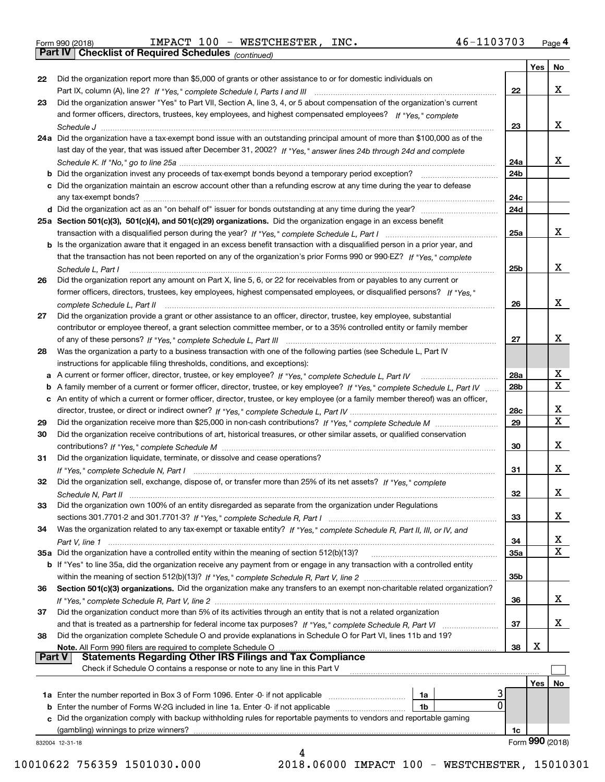| Form 990 (2018) |  |  |
|-----------------|--|--|

|          |                                                                                                                                   |                 | Yes | <b>No</b>       |
|----------|-----------------------------------------------------------------------------------------------------------------------------------|-----------------|-----|-----------------|
| 22       | Did the organization report more than \$5,000 of grants or other assistance to or for domestic individuals on                     |                 |     |                 |
|          |                                                                                                                                   | 22              |     | х               |
| 23       | Did the organization answer "Yes" to Part VII, Section A, line 3, 4, or 5 about compensation of the organization's current        |                 |     |                 |
|          | and former officers, directors, trustees, key employees, and highest compensated employees? If "Yes," complete                    |                 |     |                 |
|          |                                                                                                                                   | 23              |     | x               |
|          | 24a Did the organization have a tax-exempt bond issue with an outstanding principal amount of more than \$100,000 as of the       |                 |     |                 |
|          | last day of the year, that was issued after December 31, 2002? If "Yes," answer lines 24b through 24d and complete                |                 |     |                 |
|          |                                                                                                                                   | 24a             |     | x               |
|          | <b>b</b> Did the organization invest any proceeds of tax-exempt bonds beyond a temporary period exception?                        | 24b             |     |                 |
|          | c Did the organization maintain an escrow account other than a refunding escrow at any time during the year to defease            |                 |     |                 |
|          | any tax-exempt bonds?                                                                                                             | 24c             |     |                 |
|          |                                                                                                                                   | 24d             |     |                 |
|          | 25a Section 501(c)(3), 501(c)(4), and 501(c)(29) organizations. Did the organization engage in an excess benefit                  |                 |     |                 |
|          |                                                                                                                                   | 25a             |     | х               |
|          | b Is the organization aware that it engaged in an excess benefit transaction with a disqualified person in a prior year, and      |                 |     |                 |
|          | that the transaction has not been reported on any of the organization's prior Forms 990 or 990-EZ? If "Yes," complete             |                 |     |                 |
|          | Schedule L, Part I                                                                                                                | 25 <sub>b</sub> |     | х               |
| 26       | Did the organization report any amount on Part X, line 5, 6, or 22 for receivables from or payables to any current or             |                 |     |                 |
|          | former officers, directors, trustees, key employees, highest compensated employees, or disqualified persons? If "Yes."            |                 |     |                 |
|          |                                                                                                                                   | 26              |     | х               |
| 27       | Did the organization provide a grant or other assistance to an officer, director, trustee, key employee, substantial              |                 |     |                 |
|          | contributor or employee thereof, a grant selection committee member, or to a 35% controlled entity or family member               |                 |     |                 |
|          |                                                                                                                                   | 27              |     | х               |
| 28       | Was the organization a party to a business transaction with one of the following parties (see Schedule L, Part IV                 |                 |     |                 |
|          | instructions for applicable filing thresholds, conditions, and exceptions):                                                       |                 |     |                 |
|          | a A current or former officer, director, trustee, or key employee? If "Yes," complete Schedule L, Part IV                         | 28a             |     | x               |
|          | b A family member of a current or former officer, director, trustee, or key employee? If "Yes," complete Schedule L, Part IV      | 28 <sub>b</sub> |     | $\mathbf X$     |
|          | c An entity of which a current or former officer, director, trustee, or key employee (or a family member thereof) was an officer, |                 |     |                 |
|          |                                                                                                                                   | 28c             |     | X               |
| 29       |                                                                                                                                   | 29              |     | $\mathbf X$     |
| 30       | Did the organization receive contributions of art, historical treasures, or other similar assets, or qualified conservation       |                 |     |                 |
|          |                                                                                                                                   | 30              |     | х               |
| 31       | Did the organization liquidate, terminate, or dissolve and cease operations?                                                      |                 |     |                 |
|          |                                                                                                                                   | 31              |     | х               |
| 32       | Did the organization sell, exchange, dispose of, or transfer more than 25% of its net assets? If "Yes," complete                  |                 |     |                 |
|          |                                                                                                                                   | 32              |     | х               |
| 33       | Did the organization own 100% of an entity disregarded as separate from the organization under Regulations                        |                 |     |                 |
|          |                                                                                                                                   | 33              |     | х               |
| 34       | Was the organization related to any tax-exempt or taxable entity? If "Yes," complete Schedule R, Part II, III, or IV, and         |                 |     |                 |
|          |                                                                                                                                   | 34              |     | x               |
|          | 35a Did the organization have a controlled entity within the meaning of section 512(b)(13)?                                       | 35a             |     | х               |
|          | b If "Yes" to line 35a, did the organization receive any payment from or engage in any transaction with a controlled entity       |                 |     |                 |
|          |                                                                                                                                   | 35 <sub>b</sub> |     |                 |
| 36       | Section 501(c)(3) organizations. Did the organization make any transfers to an exempt non-charitable related organization?        |                 |     |                 |
|          |                                                                                                                                   | 36              |     | x               |
| 37       | Did the organization conduct more than 5% of its activities through an entity that is not a related organization                  |                 |     |                 |
|          |                                                                                                                                   | 37              |     | x               |
| 38       | Did the organization complete Schedule O and provide explanations in Schedule O for Part VI, lines 11b and 19?                    |                 |     |                 |
|          | Note. All Form 990 filers are required to complete Schedule O                                                                     | 38              | х   |                 |
| ∣ Part V | <b>Statements Regarding Other IRS Filings and Tax Compliance</b>                                                                  |                 |     |                 |
|          | Check if Schedule O contains a response or note to any line in this Part V                                                        |                 |     |                 |
|          |                                                                                                                                   |                 | Yes | No              |
|          | <b>1a</b> Enter the number reported in Box 3 of Form 1096. Enter -0- if not applicable <i>mummumumum</i><br>1a                    |                 |     |                 |
|          | 0<br><b>b</b> Enter the number of Forms W-2G included in line 1a. Enter -0- if not applicable <i>manumumumum</i><br>1b            |                 |     |                 |
|          | c Did the organization comply with backup withholding rules for reportable payments to vendors and reportable gaming              |                 |     |                 |
|          | (gambling) winnings to prize winners?                                                                                             | 1c              |     |                 |
|          | 832004 12-31-18                                                                                                                   |                 |     | Form 990 (2018) |
|          |                                                                                                                                   |                 |     |                 |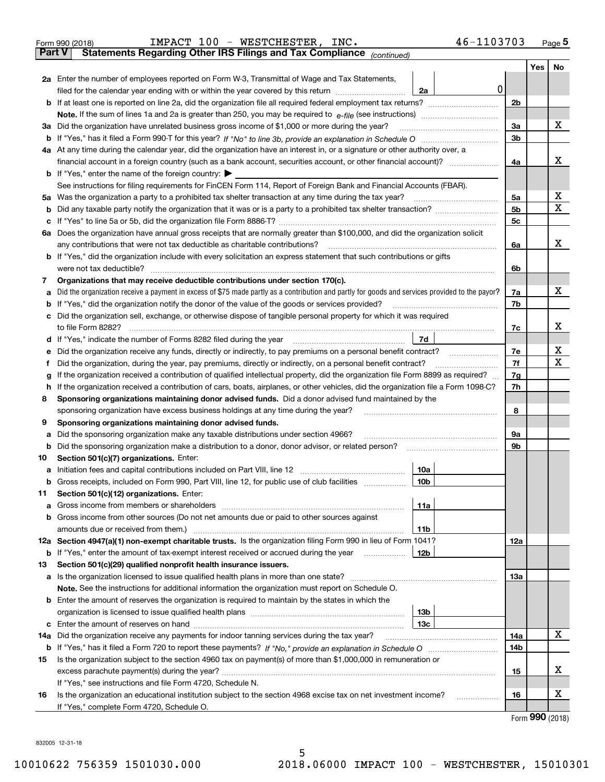|     | Form 990 (2018) | IMPACT 100 - WESTCHESTER, INC.<br>46-1103703                                                                                                                                                                                          |                |     | $Page$ <sup>5</sup> |
|-----|-----------------|---------------------------------------------------------------------------------------------------------------------------------------------------------------------------------------------------------------------------------------|----------------|-----|---------------------|
|     | <b>Part V</b>   | Statements Regarding Other IRS Filings and Tax Compliance (continued)                                                                                                                                                                 |                |     |                     |
|     |                 |                                                                                                                                                                                                                                       |                | Yes | No                  |
|     |                 | 2a Enter the number of employees reported on Form W-3, Transmittal of Wage and Tax Statements,                                                                                                                                        |                |     |                     |
|     |                 | filed for the calendar year ending with or within the year covered by this return <i>manumumumum</i><br>2a                                                                                                                            | 0              |     |                     |
|     |                 |                                                                                                                                                                                                                                       | 2 <sub>b</sub> |     |                     |
|     |                 |                                                                                                                                                                                                                                       |                |     |                     |
|     |                 | 3a Did the organization have unrelated business gross income of \$1,000 or more during the year?                                                                                                                                      | 3a             |     | х                   |
|     |                 |                                                                                                                                                                                                                                       | 3b             |     |                     |
|     |                 | 4a At any time during the calendar year, did the organization have an interest in, or a signature or other authority over, a                                                                                                          |                |     |                     |
|     |                 |                                                                                                                                                                                                                                       | 4a             |     | х                   |
|     |                 | <b>b</b> If "Yes," enter the name of the foreign country: $\blacktriangleright$                                                                                                                                                       |                |     |                     |
|     |                 | See instructions for filing requirements for FinCEN Form 114, Report of Foreign Bank and Financial Accounts (FBAR).                                                                                                                   |                |     |                     |
|     |                 | 5a Was the organization a party to a prohibited tax shelter transaction at any time during the tax year?                                                                                                                              | 5a             |     | х                   |
| b   |                 |                                                                                                                                                                                                                                       | 5 <sub>b</sub> |     | х                   |
| c   |                 |                                                                                                                                                                                                                                       | 5c             |     |                     |
|     |                 | 6a Does the organization have annual gross receipts that are normally greater than \$100,000, and did the organization solicit                                                                                                        |                |     |                     |
|     |                 |                                                                                                                                                                                                                                       | 6a             |     | х                   |
|     |                 | <b>b</b> If "Yes," did the organization include with every solicitation an express statement that such contributions or gifts                                                                                                         |                |     |                     |
|     |                 |                                                                                                                                                                                                                                       | 6b             |     |                     |
| 7   |                 | Organizations that may receive deductible contributions under section 170(c).                                                                                                                                                         |                |     |                     |
| а   |                 | Did the organization receive a payment in excess of \$75 made partly as a contribution and partly for goods and services provided to the payor?                                                                                       | 7a             |     | х                   |
| b   |                 | If "Yes," did the organization notify the donor of the value of the goods or services provided?                                                                                                                                       | 7b             |     |                     |
| с   |                 | Did the organization sell, exchange, or otherwise dispose of tangible personal property for which it was required                                                                                                                     |                |     |                     |
|     |                 |                                                                                                                                                                                                                                       | 7c             |     | х                   |
|     |                 | 7d <br>d If "Yes," indicate the number of Forms 8282 filed during the year [11] [11] No. 2010 [12] Henry Marian Marian Marian Marian Marian Marian Marian Marian Marian Marian Marian Marian Marian Marian Marian Marian Marian Maria |                |     |                     |
| е   |                 |                                                                                                                                                                                                                                       | 7e             |     | х<br>х              |
| f   |                 | Did the organization, during the year, pay premiums, directly or indirectly, on a personal benefit contract?                                                                                                                          | 7f             |     |                     |
| g   |                 | If the organization received a contribution of qualified intellectual property, did the organization file Form 8899 as required?                                                                                                      | 7g             |     |                     |
| h   |                 | If the organization received a contribution of cars, boats, airplanes, or other vehicles, did the organization file a Form 1098-C?                                                                                                    | 7h             |     |                     |
| 8   |                 | Sponsoring organizations maintaining donor advised funds. Did a donor advised fund maintained by the                                                                                                                                  | 8              |     |                     |
| 9   |                 | sponsoring organization have excess business holdings at any time during the year?<br>Sponsoring organizations maintaining donor advised funds.                                                                                       |                |     |                     |
| а   |                 | Did the sponsoring organization make any taxable distributions under section 4966?                                                                                                                                                    | 9а             |     |                     |
| b   |                 | Did the sponsoring organization make a distribution to a donor, donor advisor, or related person?                                                                                                                                     | 9b             |     |                     |
| 10  |                 | Section 501(c)(7) organizations. Enter:                                                                                                                                                                                               |                |     |                     |
|     |                 | 10a<br>a Initiation fees and capital contributions included on Part VIII, line 12 [111] [11] [11] Initiation fees and capital contributions included on Part VIII, line 12                                                            |                |     |                     |
|     |                 |                                                                                                                                                                                                                                       |                |     |                     |
| 11  |                 | Section 501(c)(12) organizations. Enter:                                                                                                                                                                                              |                |     |                     |
| а   |                 | 11a                                                                                                                                                                                                                                   |                |     |                     |
| b   |                 | Gross income from other sources (Do not net amounts due or paid to other sources against                                                                                                                                              |                |     |                     |
|     |                 | <b>11b</b>                                                                                                                                                                                                                            |                |     |                     |
|     |                 | 12a Section 4947(a)(1) non-exempt charitable trusts. Is the organization filing Form 990 in lieu of Form 1041?                                                                                                                        | 12a            |     |                     |
|     |                 | 12b<br><b>b</b> If "Yes," enter the amount of tax-exempt interest received or accrued during the year <i>manument</i>                                                                                                                 |                |     |                     |
| 13  |                 | Section 501(c)(29) qualified nonprofit health insurance issuers.                                                                                                                                                                      |                |     |                     |
|     |                 | a Is the organization licensed to issue qualified health plans in more than one state?                                                                                                                                                | 13а            |     |                     |
|     |                 | Note. See the instructions for additional information the organization must report on Schedule O.                                                                                                                                     |                |     |                     |
| b   |                 | Enter the amount of reserves the organization is required to maintain by the states in which the                                                                                                                                      |                |     |                     |
|     |                 | 13b                                                                                                                                                                                                                                   |                |     |                     |
|     |                 | 13с                                                                                                                                                                                                                                   |                |     |                     |
| 14a |                 | Did the organization receive any payments for indoor tanning services during the tax year?                                                                                                                                            | 14a            |     | х                   |
|     |                 |                                                                                                                                                                                                                                       | 14b            |     |                     |
| 15  |                 | Is the organization subject to the section 4960 tax on payment(s) of more than \$1,000,000 in remuneration or                                                                                                                         |                |     |                     |
|     |                 |                                                                                                                                                                                                                                       | 15             |     | X                   |
|     |                 | If "Yes," see instructions and file Form 4720, Schedule N.                                                                                                                                                                            |                |     |                     |
| 16  |                 | Is the organization an educational institution subject to the section 4968 excise tax on net investment income?                                                                                                                       | 16             |     | X                   |
|     |                 | If "Yes," complete Form 4720, Schedule O.                                                                                                                                                                                             |                |     | $Eorm$ 990 (2019)   |

Form (2018) **990**

832005 12-31-18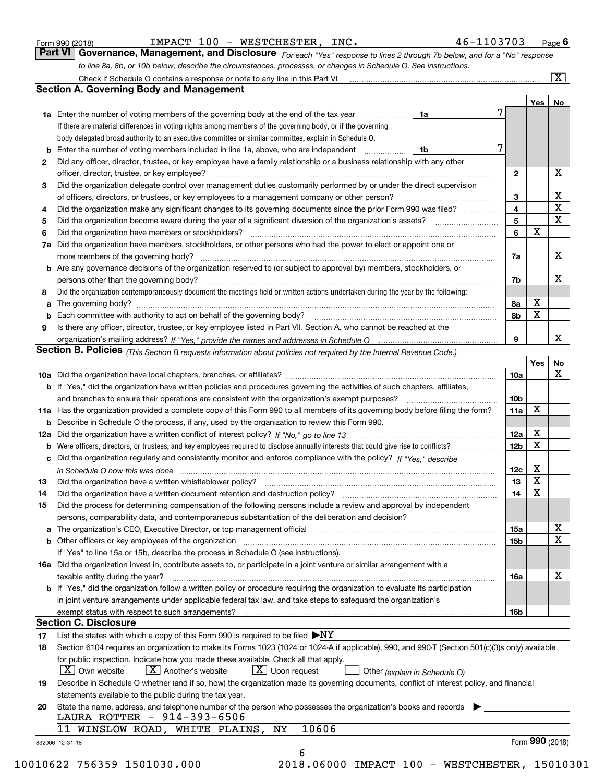|  | Form 990 (2018) |
|--|-----------------|
|  |                 |

IMPACT 100 - WESTCHESTER, INC. 46-1103703

*For each "Yes" response to lines 2 through 7b below, and for a "No" response to line 8a, 8b, or 10b below, describe the circumstances, processes, or changes in Schedule O. See instructions.* Form 990 (2018) **COMBACT 100 - WESTCHESTER, INC.** 46-1103703 Page 6<br>**Part VI Governance, Management, and Disclosure** For each "Yes" response to lines 2 through 7b below, and for a "No" response

|                 |                                                                                                                                                                                                                                |                 | Yes   No        |                         |
|-----------------|--------------------------------------------------------------------------------------------------------------------------------------------------------------------------------------------------------------------------------|-----------------|-----------------|-------------------------|
|                 | <b>1a</b> Enter the number of voting members of the governing body at the end of the tax year<br>1a                                                                                                                            |                 |                 |                         |
|                 | If there are material differences in voting rights among members of the governing body, or if the governing                                                                                                                    |                 |                 |                         |
|                 | body delegated broad authority to an executive committee or similar committee, explain in Schedule O.                                                                                                                          |                 |                 |                         |
| b               | Enter the number of voting members included in line 1a, above, who are independent<br>1b                                                                                                                                       | 7               |                 |                         |
| 2               | Did any officer, director, trustee, or key employee have a family relationship or a business relationship with any other                                                                                                       |                 |                 |                         |
|                 | officer, director, trustee, or key employee?                                                                                                                                                                                   | $\mathbf{2}$    |                 | X                       |
| 3               | Did the organization delegate control over management duties customarily performed by or under the direct supervision                                                                                                          |                 |                 |                         |
|                 |                                                                                                                                                                                                                                | 3               |                 | X                       |
| 4               | Did the organization make any significant changes to its governing documents since the prior Form 990 was filed?                                                                                                               | 4               |                 | $\overline{\mathtt{x}}$ |
| 5               |                                                                                                                                                                                                                                | 5               |                 | $\overline{\mathbf{x}}$ |
| 6               | Did the organization have members or stockholders?                                                                                                                                                                             | 6               | $\mathbf X$     |                         |
| 7a              | Did the organization have members, stockholders, or other persons who had the power to elect or appoint one or                                                                                                                 |                 |                 |                         |
|                 |                                                                                                                                                                                                                                | 7a              |                 | X                       |
|                 | <b>b</b> Are any governance decisions of the organization reserved to (or subject to approval by) members, stockholders, or                                                                                                    |                 |                 |                         |
|                 | persons other than the governing body?                                                                                                                                                                                         | 7b              |                 | X                       |
| 8               | Did the organization contemporaneously document the meetings held or written actions undertaken during the year by the following:                                                                                              |                 |                 |                         |
| a               |                                                                                                                                                                                                                                | 8а              | X               |                         |
|                 |                                                                                                                                                                                                                                | 8b              | X               |                         |
| 9               | Is there any officer, director, trustee, or key employee listed in Part VII, Section A, who cannot be reached at the                                                                                                           |                 |                 |                         |
|                 |                                                                                                                                                                                                                                | 9               |                 | X                       |
|                 | Section B. Policies <sub>(This</sub> Section B requests information about policies not required by the Internal Revenue Code.)                                                                                                 |                 |                 |                         |
|                 |                                                                                                                                                                                                                                |                 | Yes             | No                      |
|                 |                                                                                                                                                                                                                                | 10a             |                 | X                       |
|                 | <b>b</b> If "Yes," did the organization have written policies and procedures governing the activities of such chapters, affiliates,                                                                                            |                 |                 |                         |
|                 |                                                                                                                                                                                                                                | 10 <sub>b</sub> |                 |                         |
|                 | 11a Has the organization provided a complete copy of this Form 990 to all members of its governing body before filing the form?                                                                                                | 11a             | X               |                         |
|                 | <b>b</b> Describe in Schedule O the process, if any, used by the organization to review this Form 990.                                                                                                                         |                 |                 |                         |
|                 |                                                                                                                                                                                                                                | 12a             | X               |                         |
| b               |                                                                                                                                                                                                                                | 12 <sub>b</sub> | X               |                         |
|                 | c Did the organization regularly and consistently monitor and enforce compliance with the policy? If "Yes," describe                                                                                                           |                 |                 |                         |
|                 | in Schedule O how this was done measured and the control of the control of the state of the control of the control of the control of the control of the control of the control of the control of the control of the control of | 12c             | X               |                         |
| 13              |                                                                                                                                                                                                                                | 13              | $\mathbf x$     |                         |
| 14              |                                                                                                                                                                                                                                | 14              | X               |                         |
| 15              | Did the process for determining compensation of the following persons include a review and approval by independent                                                                                                             |                 |                 |                         |
|                 | persons, comparability data, and contemporaneous substantiation of the deliberation and decision?                                                                                                                              |                 |                 |                         |
|                 |                                                                                                                                                                                                                                | 15a             |                 | х                       |
|                 |                                                                                                                                                                                                                                | 15b             |                 | $\overline{\mathbf{x}}$ |
|                 | If "Yes" to line 15a or 15b, describe the process in Schedule O (see instructions).                                                                                                                                            |                 |                 |                         |
|                 | 16a Did the organization invest in, contribute assets to, or participate in a joint venture or similar arrangement with a                                                                                                      |                 |                 |                         |
|                 | taxable entity during the year?                                                                                                                                                                                                | 16a             |                 | $\mathbf X$             |
|                 | <b>b</b> If "Yes," did the organization follow a written policy or procedure requiring the organization to evaluate its participation                                                                                          |                 |                 |                         |
|                 | in joint venture arrangements under applicable federal tax law, and take steps to safeguard the organization's                                                                                                                 |                 |                 |                         |
|                 |                                                                                                                                                                                                                                | 16b             |                 |                         |
|                 | <b>Section C. Disclosure</b>                                                                                                                                                                                                   |                 |                 |                         |
| 17              | List the states with which a copy of this Form 990 is required to be filed $\blacktriangleright$ NY                                                                                                                            |                 |                 |                         |
| 18              | Section 6104 requires an organization to make its Forms 1023 (1024 or 1024 A if applicable), 990, and 990-T (Section 501(c)(3)s only) available                                                                                |                 |                 |                         |
|                 | for public inspection. Indicate how you made these available. Check all that apply.                                                                                                                                            |                 |                 |                         |
|                 | $X$ Upon request<br>$ X $ Own website<br>$ X $ Another's website<br>Other (explain in Schedule O)                                                                                                                              |                 |                 |                         |
| 19              | Describe in Schedule O whether (and if so, how) the organization made its governing documents, conflict of interest policy, and financial                                                                                      |                 |                 |                         |
|                 | statements available to the public during the tax year.                                                                                                                                                                        |                 |                 |                         |
| 20              | State the name, address, and telephone number of the person who possesses the organization's books and records                                                                                                                 |                 |                 |                         |
|                 | LAURA ROTTER - 914-393-6506                                                                                                                                                                                                    |                 |                 |                         |
|                 | 10606<br>11 WINSLOW ROAD, WHITE PLAINS,<br>ΝY                                                                                                                                                                                  |                 |                 |                         |
| 832006 12-31-18 |                                                                                                                                                                                                                                |                 | Form 990 (2018) |                         |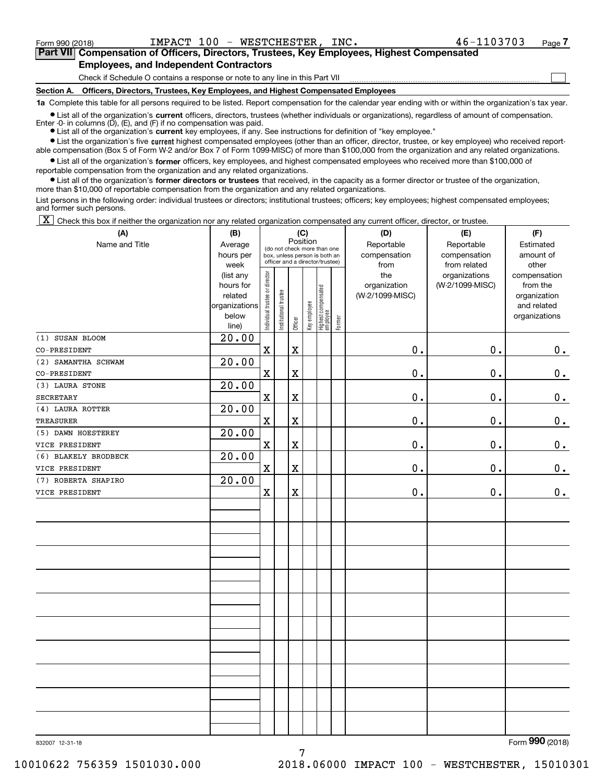**(A)**

 $\mathcal{L}^{\text{max}}$ 

## **7Part VII Compensation of Officers, Directors, Trustees, Key Employees, Highest Compensated Employees, and Independent Contractors**

Check if Schedule O contains a response or note to any line in this Part VII

**Section A. Officers, Directors, Trustees, Key Employees, and Highest Compensated Employees**

**1a**  Complete this table for all persons required to be listed. Report compensation for the calendar year ending with or within the organization's tax year.

**•** List all of the organization's current officers, directors, trustees (whether individuals or organizations), regardless of amount of compensation. Enter -0- in columns  $(D)$ ,  $(E)$ , and  $(F)$  if no compensation was paid.

● List all of the organization's **current** key employees, if any. See instructions for definition of "key employee."

**•** List the organization's five current highest compensated employees (other than an officer, director, trustee, or key employee) who received reportable compensation (Box 5 of Form W-2 and/or Box 7 of Form 1099-MISC) of more than \$100,000 from the organization and any related organizations.

 $\bullet$  List all of the organization's **former** officers, key employees, and highest compensated employees who received more than \$100,000 of reportable compensation from the organization and any related organizations.

**•** List all of the organization's former directors or trustees that received, in the capacity as a former director or trustee of the organization, more than \$10,000 of reportable compensation from the organization and any related organizations.

List persons in the following order: individual trustees or directors; institutional trustees; officers; key employees; highest compensated employees; and former such persons.

 $\boxed{\textbf{X}}$  Check this box if neither the organization nor any related organization compensated any current officer, director, or trustee.

| (A)                  | (B)                                                                          | (C)<br>Position                |                       |                         |              |                                                                                                 |        | (D)                                    | (E)                                              | (F)                                                                               |
|----------------------|------------------------------------------------------------------------------|--------------------------------|-----------------------|-------------------------|--------------|-------------------------------------------------------------------------------------------------|--------|----------------------------------------|--------------------------------------------------|-----------------------------------------------------------------------------------|
| Name and Title       | Average<br>hours per                                                         |                                |                       |                         |              | (do not check more than one<br>box, unless person is both an<br>officer and a director/trustee) |        | Reportable<br>compensation<br>from     | Reportable<br>compensation                       | Estimated<br>amount of                                                            |
|                      | week<br>(list any<br>hours for<br>related<br>organizations<br>below<br>line) | Individual trustee or director | Institutional trustee | Officer                 | Key employee | Highest compensated<br> employee                                                                | Former | the<br>organization<br>(W-2/1099-MISC) | from related<br>organizations<br>(W-2/1099-MISC) | other<br>compensation<br>from the<br>organization<br>and related<br>organizations |
| (1) SUSAN BLOOM      | 20.00                                                                        |                                |                       |                         |              |                                                                                                 |        |                                        |                                                  |                                                                                   |
| CO-PRESIDENT         |                                                                              | $\mathbf X$                    |                       | $\mathbf X$             |              |                                                                                                 |        | 0.                                     | 0.                                               | 0.                                                                                |
| (2) SAMANTHA SCHWAM  | 20.00                                                                        |                                |                       |                         |              |                                                                                                 |        |                                        |                                                  |                                                                                   |
| CO-PRESIDENT         |                                                                              | $\mathbf X$                    |                       | $\overline{\textbf{X}}$ |              |                                                                                                 |        | 0.                                     | 0.                                               | $0_{.}$                                                                           |
| (3) LAURA STONE      | 20.00                                                                        |                                |                       |                         |              |                                                                                                 |        |                                        |                                                  |                                                                                   |
| <b>SECRETARY</b>     |                                                                              | $\mathbf X$                    |                       | $\mathbf X$             |              |                                                                                                 |        | 0.                                     | 0.                                               | $0_{.}$                                                                           |
| (4) LAURA ROTTER     | 20.00                                                                        |                                |                       |                         |              |                                                                                                 |        |                                        |                                                  |                                                                                   |
| <b>TREASURER</b>     |                                                                              | $\mathbf X$                    |                       | $\overline{\textbf{X}}$ |              |                                                                                                 |        | 0.                                     | 0.                                               | $\mathbf 0$ .                                                                     |
| (5) DAWN HOESTEREY   | 20.00                                                                        |                                |                       |                         |              |                                                                                                 |        |                                        |                                                  |                                                                                   |
| VICE PRESIDENT       |                                                                              | $\mathbf X$                    |                       | $\mathbf X$             |              |                                                                                                 |        | 0.                                     | 0.                                               | 0.                                                                                |
| (6) BLAKELY BRODBECK | 20.00                                                                        |                                |                       |                         |              |                                                                                                 |        |                                        |                                                  |                                                                                   |
| VICE PRESIDENT       |                                                                              | $\mathbf X$                    |                       | $\overline{\textbf{X}}$ |              |                                                                                                 |        | 0.                                     | 0.                                               | 0.                                                                                |
| (7) ROBERTA SHAPIRO  | 20.00                                                                        |                                |                       |                         |              |                                                                                                 |        |                                        |                                                  |                                                                                   |
| VICE PRESIDENT       |                                                                              | $\mathbf X$                    |                       | $\mathbf X$             |              |                                                                                                 |        | $0$ .                                  | 0.                                               | 0.                                                                                |
|                      |                                                                              |                                |                       |                         |              |                                                                                                 |        |                                        |                                                  |                                                                                   |
|                      |                                                                              |                                |                       |                         |              |                                                                                                 |        |                                        |                                                  |                                                                                   |
|                      |                                                                              |                                |                       |                         |              |                                                                                                 |        |                                        |                                                  |                                                                                   |
|                      |                                                                              |                                |                       |                         |              |                                                                                                 |        |                                        |                                                  |                                                                                   |
|                      |                                                                              |                                |                       |                         |              |                                                                                                 |        |                                        |                                                  |                                                                                   |
|                      |                                                                              |                                |                       |                         |              |                                                                                                 |        |                                        |                                                  |                                                                                   |
|                      |                                                                              |                                |                       |                         |              |                                                                                                 |        |                                        |                                                  |                                                                                   |
|                      |                                                                              |                                |                       |                         |              |                                                                                                 |        |                                        |                                                  |                                                                                   |
|                      |                                                                              |                                |                       |                         |              |                                                                                                 |        |                                        |                                                  |                                                                                   |
|                      |                                                                              |                                |                       |                         |              |                                                                                                 |        |                                        |                                                  |                                                                                   |
|                      |                                                                              |                                |                       |                         |              |                                                                                                 |        |                                        |                                                  |                                                                                   |
|                      |                                                                              |                                |                       |                         |              |                                                                                                 |        |                                        |                                                  |                                                                                   |
|                      |                                                                              |                                |                       |                         |              |                                                                                                 |        |                                        |                                                  |                                                                                   |
|                      |                                                                              |                                |                       |                         |              |                                                                                                 |        |                                        |                                                  |                                                                                   |
|                      |                                                                              |                                |                       |                         |              |                                                                                                 |        |                                        |                                                  |                                                                                   |

7

832007 12-31-18

Form (2018) **990**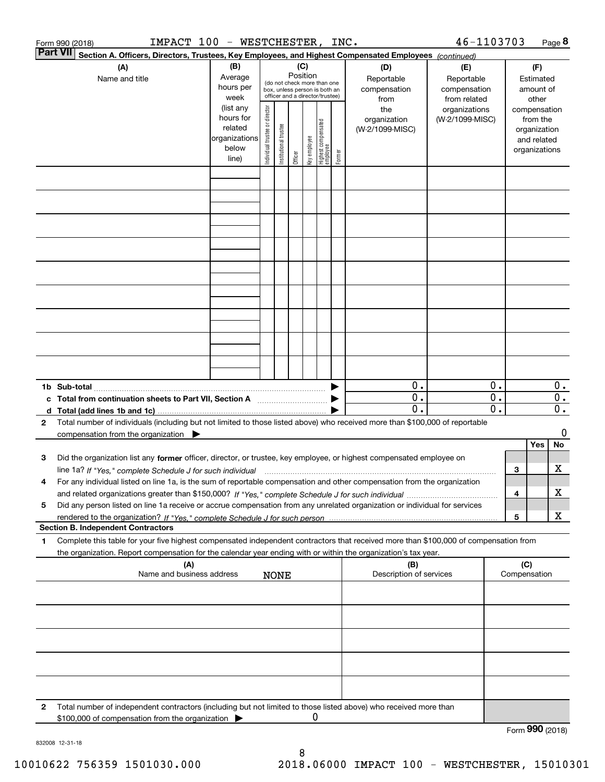| 46-1103703<br>IMPACT 100 - WESTCHESTER, INC.<br>Form 990 (2018)                                                    |                                                                                                                                                                                                                                                                                                                                                                                                     |                                                                      |                                |                       |                 |              |                                                                                                 |        |                                           |                                                   |                        |                     | Page 8                                                                   |                                      |
|--------------------------------------------------------------------------------------------------------------------|-----------------------------------------------------------------------------------------------------------------------------------------------------------------------------------------------------------------------------------------------------------------------------------------------------------------------------------------------------------------------------------------------------|----------------------------------------------------------------------|--------------------------------|-----------------------|-----------------|--------------|-------------------------------------------------------------------------------------------------|--------|-------------------------------------------|---------------------------------------------------|------------------------|---------------------|--------------------------------------------------------------------------|--------------------------------------|
| Part VII<br>Section A. Officers, Directors, Trustees, Key Employees, and Highest Compensated Employees (continued) |                                                                                                                                                                                                                                                                                                                                                                                                     |                                                                      |                                |                       |                 |              |                                                                                                 |        |                                           |                                                   |                        |                     |                                                                          |                                      |
|                                                                                                                    | (A)<br>Name and title                                                                                                                                                                                                                                                                                                                                                                               | (B)<br>Average<br>hours per<br>week                                  |                                |                       | (C)<br>Position |              | (do not check more than one<br>box, unless person is both an<br>officer and a director/trustee) |        | (D)<br>Reportable<br>compensation<br>from | (E)<br>Reportable<br>compensation<br>from related |                        |                     | (F)<br>Estimated<br>amount of<br>other                                   |                                      |
|                                                                                                                    |                                                                                                                                                                                                                                                                                                                                                                                                     | (list any<br>hours for<br>related<br>organizations<br>below<br>line) | Individual trustee or director | Institutional trustee | Officer         | key employee | Highest compensated<br>employee                                                                 | Former | the<br>organization<br>(W-2/1099-MISC)    | organizations<br>(W-2/1099-MISC)                  |                        |                     | compensation<br>from the<br>organization<br>and related<br>organizations |                                      |
|                                                                                                                    |                                                                                                                                                                                                                                                                                                                                                                                                     |                                                                      |                                |                       |                 |              |                                                                                                 |        |                                           |                                                   |                        |                     |                                                                          |                                      |
|                                                                                                                    |                                                                                                                                                                                                                                                                                                                                                                                                     |                                                                      |                                |                       |                 |              |                                                                                                 |        |                                           |                                                   |                        |                     |                                                                          |                                      |
|                                                                                                                    |                                                                                                                                                                                                                                                                                                                                                                                                     |                                                                      |                                |                       |                 |              |                                                                                                 |        |                                           |                                                   |                        |                     |                                                                          |                                      |
|                                                                                                                    |                                                                                                                                                                                                                                                                                                                                                                                                     |                                                                      |                                |                       |                 |              |                                                                                                 |        |                                           |                                                   |                        |                     |                                                                          |                                      |
|                                                                                                                    |                                                                                                                                                                                                                                                                                                                                                                                                     |                                                                      |                                |                       |                 |              |                                                                                                 |        |                                           |                                                   |                        |                     |                                                                          |                                      |
|                                                                                                                    |                                                                                                                                                                                                                                                                                                                                                                                                     |                                                                      |                                |                       |                 |              |                                                                                                 |        |                                           |                                                   |                        |                     |                                                                          |                                      |
|                                                                                                                    |                                                                                                                                                                                                                                                                                                                                                                                                     |                                                                      |                                |                       |                 |              |                                                                                                 |        | 0.                                        |                                                   | 0.                     |                     |                                                                          | $0$ .                                |
|                                                                                                                    | c Total from continuation sheets to Part VII, Section A <b>manual</b> contains the Total from continuum                                                                                                                                                                                                                                                                                             |                                                                      |                                |                       |                 |              |                                                                                                 |        | $\mathbf 0$ .<br>$\mathbf 0$ .            |                                                   | 0.<br>$\overline{0}$ . |                     |                                                                          | $\overline{0}$ .<br>$\overline{0}$ . |
| 2                                                                                                                  | Total number of individuals (including but not limited to those listed above) who received more than \$100,000 of reportable<br>compensation from the organization $\blacktriangleright$                                                                                                                                                                                                            |                                                                      |                                |                       |                 |              |                                                                                                 |        |                                           |                                                   |                        |                     | Yes                                                                      | 0<br>No                              |
| з<br>4                                                                                                             | Did the organization list any former officer, director, or trustee, key employee, or highest compensated employee on<br>line 1a? If "Yes," complete Schedule J for such individual manufactured contained and the 1a? If "Yes," complete Schedule J for such individual<br>For any individual listed on line 1a, is the sum of reportable compensation and other compensation from the organization |                                                                      |                                |                       |                 |              |                                                                                                 |        |                                           |                                                   |                        | 3                   |                                                                          | x                                    |
| 5                                                                                                                  | Did any person listed on line 1a receive or accrue compensation from any unrelated organization or individual for services                                                                                                                                                                                                                                                                          |                                                                      |                                |                       |                 |              |                                                                                                 |        |                                           |                                                   |                        | 4                   |                                                                          | x                                    |
|                                                                                                                    | <b>Section B. Independent Contractors</b>                                                                                                                                                                                                                                                                                                                                                           |                                                                      |                                |                       |                 |              |                                                                                                 |        |                                           |                                                   |                        | 5                   |                                                                          | x                                    |
| 1                                                                                                                  | Complete this table for your five highest compensated independent contractors that received more than \$100,000 of compensation from<br>the organization. Report compensation for the calendar year ending with or within the organization's tax year.                                                                                                                                              |                                                                      |                                |                       |                 |              |                                                                                                 |        |                                           |                                                   |                        |                     |                                                                          |                                      |
|                                                                                                                    | (A)<br>Name and business address                                                                                                                                                                                                                                                                                                                                                                    |                                                                      |                                | <b>NONE</b>           |                 |              |                                                                                                 |        | (B)<br>Description of services            |                                                   |                        | (C)<br>Compensation |                                                                          |                                      |
|                                                                                                                    |                                                                                                                                                                                                                                                                                                                                                                                                     |                                                                      |                                |                       |                 |              |                                                                                                 |        |                                           |                                                   |                        |                     |                                                                          |                                      |
|                                                                                                                    |                                                                                                                                                                                                                                                                                                                                                                                                     |                                                                      |                                |                       |                 |              |                                                                                                 |        |                                           |                                                   |                        |                     |                                                                          |                                      |
|                                                                                                                    |                                                                                                                                                                                                                                                                                                                                                                                                     |                                                                      |                                |                       |                 |              |                                                                                                 |        |                                           |                                                   |                        |                     |                                                                          |                                      |
| $\mathbf{2}$                                                                                                       | Total number of independent contractors (including but not limited to those listed above) who received more than<br>\$100,000 of compensation from the organization                                                                                                                                                                                                                                 |                                                                      |                                |                       |                 | 0            |                                                                                                 |        |                                           |                                                   |                        |                     |                                                                          |                                      |
|                                                                                                                    |                                                                                                                                                                                                                                                                                                                                                                                                     |                                                                      |                                |                       |                 |              |                                                                                                 |        |                                           |                                                   |                        | Form 990 (2018)     |                                                                          |                                      |

832008 12-31-18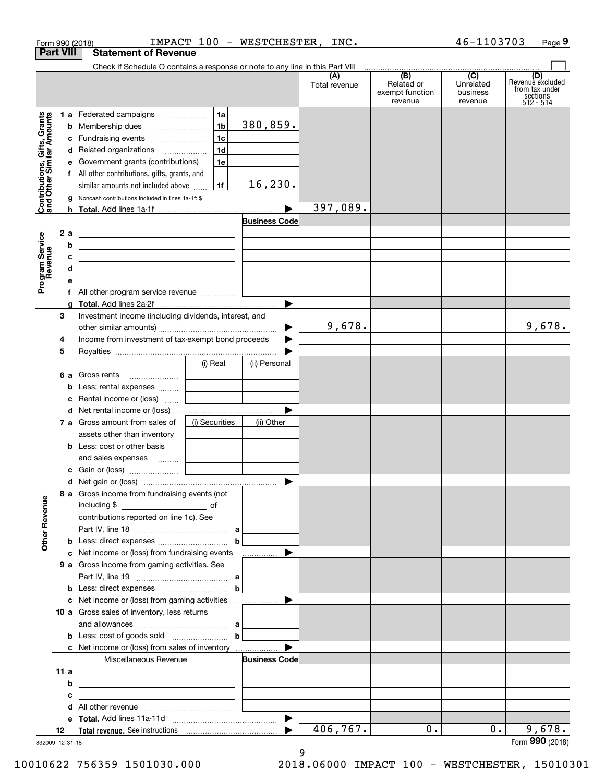|      |                                                       |                                                                                                                                                                                        |                                                                                                                                                                                                                                                                                                                                                                                                                                                                                                                                                                                                                                                                                                                                                                                                                                   |                                                                                                                                                                                                                                                                                                                                                                                                                                                                                                                                                                                                        |                                                                                                                                              |                                  | Page 9                                                             |
|------|-------------------------------------------------------|----------------------------------------------------------------------------------------------------------------------------------------------------------------------------------------|-----------------------------------------------------------------------------------------------------------------------------------------------------------------------------------------------------------------------------------------------------------------------------------------------------------------------------------------------------------------------------------------------------------------------------------------------------------------------------------------------------------------------------------------------------------------------------------------------------------------------------------------------------------------------------------------------------------------------------------------------------------------------------------------------------------------------------------|--------------------------------------------------------------------------------------------------------------------------------------------------------------------------------------------------------------------------------------------------------------------------------------------------------------------------------------------------------------------------------------------------------------------------------------------------------------------------------------------------------------------------------------------------------------------------------------------------------|----------------------------------------------------------------------------------------------------------------------------------------------|----------------------------------|--------------------------------------------------------------------|
|      |                                                       |                                                                                                                                                                                        |                                                                                                                                                                                                                                                                                                                                                                                                                                                                                                                                                                                                                                                                                                                                                                                                                                   |                                                                                                                                                                                                                                                                                                                                                                                                                                                                                                                                                                                                        |                                                                                                                                              |                                  |                                                                    |
|      |                                                       |                                                                                                                                                                                        |                                                                                                                                                                                                                                                                                                                                                                                                                                                                                                                                                                                                                                                                                                                                                                                                                                   |                                                                                                                                                                                                                                                                                                                                                                                                                                                                                                                                                                                                        |                                                                                                                                              |                                  |                                                                    |
|      |                                                       |                                                                                                                                                                                        |                                                                                                                                                                                                                                                                                                                                                                                                                                                                                                                                                                                                                                                                                                                                                                                                                                   | Total revenue                                                                                                                                                                                                                                                                                                                                                                                                                                                                                                                                                                                          | Related or<br>exempt function<br>revenue                                                                                                     | Unrelated<br>business<br>revenue | (D)<br>Revenue excluded<br>from tax under<br>sections<br>512 - 514 |
|      |                                                       | 1a                                                                                                                                                                                     |                                                                                                                                                                                                                                                                                                                                                                                                                                                                                                                                                                                                                                                                                                                                                                                                                                   |                                                                                                                                                                                                                                                                                                                                                                                                                                                                                                                                                                                                        |                                                                                                                                              |                                  |                                                                    |
|      |                                                       |                                                                                                                                                                                        |                                                                                                                                                                                                                                                                                                                                                                                                                                                                                                                                                                                                                                                                                                                                                                                                                                   |                                                                                                                                                                                                                                                                                                                                                                                                                                                                                                                                                                                                        |                                                                                                                                              |                                  |                                                                    |
|      |                                                       |                                                                                                                                                                                        |                                                                                                                                                                                                                                                                                                                                                                                                                                                                                                                                                                                                                                                                                                                                                                                                                                   |                                                                                                                                                                                                                                                                                                                                                                                                                                                                                                                                                                                                        |                                                                                                                                              |                                  |                                                                    |
|      |                                                       |                                                                                                                                                                                        |                                                                                                                                                                                                                                                                                                                                                                                                                                                                                                                                                                                                                                                                                                                                                                                                                                   |                                                                                                                                                                                                                                                                                                                                                                                                                                                                                                                                                                                                        |                                                                                                                                              |                                  |                                                                    |
|      |                                                       | 1e                                                                                                                                                                                     |                                                                                                                                                                                                                                                                                                                                                                                                                                                                                                                                                                                                                                                                                                                                                                                                                                   |                                                                                                                                                                                                                                                                                                                                                                                                                                                                                                                                                                                                        |                                                                                                                                              |                                  |                                                                    |
|      |                                                       |                                                                                                                                                                                        |                                                                                                                                                                                                                                                                                                                                                                                                                                                                                                                                                                                                                                                                                                                                                                                                                                   |                                                                                                                                                                                                                                                                                                                                                                                                                                                                                                                                                                                                        |                                                                                                                                              |                                  |                                                                    |
|      |                                                       |                                                                                                                                                                                        |                                                                                                                                                                                                                                                                                                                                                                                                                                                                                                                                                                                                                                                                                                                                                                                                                                   |                                                                                                                                                                                                                                                                                                                                                                                                                                                                                                                                                                                                        |                                                                                                                                              |                                  |                                                                    |
|      |                                                       |                                                                                                                                                                                        |                                                                                                                                                                                                                                                                                                                                                                                                                                                                                                                                                                                                                                                                                                                                                                                                                                   |                                                                                                                                                                                                                                                                                                                                                                                                                                                                                                                                                                                                        |                                                                                                                                              |                                  |                                                                    |
|      |                                                       |                                                                                                                                                                                        |                                                                                                                                                                                                                                                                                                                                                                                                                                                                                                                                                                                                                                                                                                                                                                                                                                   |                                                                                                                                                                                                                                                                                                                                                                                                                                                                                                                                                                                                        |                                                                                                                                              |                                  |                                                                    |
|      |                                                       |                                                                                                                                                                                        |                                                                                                                                                                                                                                                                                                                                                                                                                                                                                                                                                                                                                                                                                                                                                                                                                                   |                                                                                                                                                                                                                                                                                                                                                                                                                                                                                                                                                                                                        |                                                                                                                                              |                                  |                                                                    |
|      |                                                       |                                                                                                                                                                                        |                                                                                                                                                                                                                                                                                                                                                                                                                                                                                                                                                                                                                                                                                                                                                                                                                                   |                                                                                                                                                                                                                                                                                                                                                                                                                                                                                                                                                                                                        |                                                                                                                                              |                                  |                                                                    |
|      |                                                       |                                                                                                                                                                                        |                                                                                                                                                                                                                                                                                                                                                                                                                                                                                                                                                                                                                                                                                                                                                                                                                                   |                                                                                                                                                                                                                                                                                                                                                                                                                                                                                                                                                                                                        |                                                                                                                                              |                                  |                                                                    |
|      |                                                       |                                                                                                                                                                                        |                                                                                                                                                                                                                                                                                                                                                                                                                                                                                                                                                                                                                                                                                                                                                                                                                                   |                                                                                                                                                                                                                                                                                                                                                                                                                                                                                                                                                                                                        |                                                                                                                                              |                                  |                                                                    |
|      |                                                       |                                                                                                                                                                                        |                                                                                                                                                                                                                                                                                                                                                                                                                                                                                                                                                                                                                                                                                                                                                                                                                                   |                                                                                                                                                                                                                                                                                                                                                                                                                                                                                                                                                                                                        |                                                                                                                                              |                                  |                                                                    |
|      |                                                       |                                                                                                                                                                                        |                                                                                                                                                                                                                                                                                                                                                                                                                                                                                                                                                                                                                                                                                                                                                                                                                                   |                                                                                                                                                                                                                                                                                                                                                                                                                                                                                                                                                                                                        |                                                                                                                                              |                                  |                                                                    |
|      |                                                       |                                                                                                                                                                                        |                                                                                                                                                                                                                                                                                                                                                                                                                                                                                                                                                                                                                                                                                                                                                                                                                                   |                                                                                                                                                                                                                                                                                                                                                                                                                                                                                                                                                                                                        |                                                                                                                                              |                                  |                                                                    |
|      |                                                       |                                                                                                                                                                                        |                                                                                                                                                                                                                                                                                                                                                                                                                                                                                                                                                                                                                                                                                                                                                                                                                                   |                                                                                                                                                                                                                                                                                                                                                                                                                                                                                                                                                                                                        |                                                                                                                                              |                                  |                                                                    |
|      |                                                       |                                                                                                                                                                                        |                                                                                                                                                                                                                                                                                                                                                                                                                                                                                                                                                                                                                                                                                                                                                                                                                                   |                                                                                                                                                                                                                                                                                                                                                                                                                                                                                                                                                                                                        |                                                                                                                                              |                                  | 9,678.                                                             |
|      |                                                       |                                                                                                                                                                                        |                                                                                                                                                                                                                                                                                                                                                                                                                                                                                                                                                                                                                                                                                                                                                                                                                                   |                                                                                                                                                                                                                                                                                                                                                                                                                                                                                                                                                                                                        |                                                                                                                                              |                                  |                                                                    |
|      |                                                       |                                                                                                                                                                                        |                                                                                                                                                                                                                                                                                                                                                                                                                                                                                                                                                                                                                                                                                                                                                                                                                                   |                                                                                                                                                                                                                                                                                                                                                                                                                                                                                                                                                                                                        |                                                                                                                                              |                                  |                                                                    |
|      |                                                       |                                                                                                                                                                                        |                                                                                                                                                                                                                                                                                                                                                                                                                                                                                                                                                                                                                                                                                                                                                                                                                                   |                                                                                                                                                                                                                                                                                                                                                                                                                                                                                                                                                                                                        |                                                                                                                                              |                                  |                                                                    |
|      |                                                       |                                                                                                                                                                                        |                                                                                                                                                                                                                                                                                                                                                                                                                                                                                                                                                                                                                                                                                                                                                                                                                                   |                                                                                                                                                                                                                                                                                                                                                                                                                                                                                                                                                                                                        |                                                                                                                                              |                                  |                                                                    |
|      |                                                       |                                                                                                                                                                                        |                                                                                                                                                                                                                                                                                                                                                                                                                                                                                                                                                                                                                                                                                                                                                                                                                                   |                                                                                                                                                                                                                                                                                                                                                                                                                                                                                                                                                                                                        |                                                                                                                                              |                                  |                                                                    |
|      |                                                       |                                                                                                                                                                                        |                                                                                                                                                                                                                                                                                                                                                                                                                                                                                                                                                                                                                                                                                                                                                                                                                                   |                                                                                                                                                                                                                                                                                                                                                                                                                                                                                                                                                                                                        |                                                                                                                                              |                                  |                                                                    |
|      |                                                       |                                                                                                                                                                                        |                                                                                                                                                                                                                                                                                                                                                                                                                                                                                                                                                                                                                                                                                                                                                                                                                                   |                                                                                                                                                                                                                                                                                                                                                                                                                                                                                                                                                                                                        |                                                                                                                                              |                                  |                                                                    |
|      |                                                       |                                                                                                                                                                                        |                                                                                                                                                                                                                                                                                                                                                                                                                                                                                                                                                                                                                                                                                                                                                                                                                                   |                                                                                                                                                                                                                                                                                                                                                                                                                                                                                                                                                                                                        |                                                                                                                                              |                                  |                                                                    |
|      |                                                       |                                                                                                                                                                                        |                                                                                                                                                                                                                                                                                                                                                                                                                                                                                                                                                                                                                                                                                                                                                                                                                                   |                                                                                                                                                                                                                                                                                                                                                                                                                                                                                                                                                                                                        |                                                                                                                                              |                                  |                                                                    |
|      |                                                       |                                                                                                                                                                                        |                                                                                                                                                                                                                                                                                                                                                                                                                                                                                                                                                                                                                                                                                                                                                                                                                                   |                                                                                                                                                                                                                                                                                                                                                                                                                                                                                                                                                                                                        |                                                                                                                                              |                                  |                                                                    |
|      |                                                       |                                                                                                                                                                                        |                                                                                                                                                                                                                                                                                                                                                                                                                                                                                                                                                                                                                                                                                                                                                                                                                                   |                                                                                                                                                                                                                                                                                                                                                                                                                                                                                                                                                                                                        |                                                                                                                                              |                                  |                                                                    |
|      |                                                       |                                                                                                                                                                                        |                                                                                                                                                                                                                                                                                                                                                                                                                                                                                                                                                                                                                                                                                                                                                                                                                                   |                                                                                                                                                                                                                                                                                                                                                                                                                                                                                                                                                                                                        |                                                                                                                                              |                                  |                                                                    |
|      |                                                       |                                                                                                                                                                                        |                                                                                                                                                                                                                                                                                                                                                                                                                                                                                                                                                                                                                                                                                                                                                                                                                                   |                                                                                                                                                                                                                                                                                                                                                                                                                                                                                                                                                                                                        |                                                                                                                                              |                                  |                                                                    |
|      |                                                       |                                                                                                                                                                                        |                                                                                                                                                                                                                                                                                                                                                                                                                                                                                                                                                                                                                                                                                                                                                                                                                                   |                                                                                                                                                                                                                                                                                                                                                                                                                                                                                                                                                                                                        |                                                                                                                                              |                                  |                                                                    |
|      |                                                       |                                                                                                                                                                                        |                                                                                                                                                                                                                                                                                                                                                                                                                                                                                                                                                                                                                                                                                                                                                                                                                                   |                                                                                                                                                                                                                                                                                                                                                                                                                                                                                                                                                                                                        |                                                                                                                                              |                                  |                                                                    |
|      |                                                       |                                                                                                                                                                                        |                                                                                                                                                                                                                                                                                                                                                                                                                                                                                                                                                                                                                                                                                                                                                                                                                                   |                                                                                                                                                                                                                                                                                                                                                                                                                                                                                                                                                                                                        |                                                                                                                                              |                                  |                                                                    |
|      |                                                       |                                                                                                                                                                                        |                                                                                                                                                                                                                                                                                                                                                                                                                                                                                                                                                                                                                                                                                                                                                                                                                                   |                                                                                                                                                                                                                                                                                                                                                                                                                                                                                                                                                                                                        |                                                                                                                                              |                                  |                                                                    |
|      |                                                       |                                                                                                                                                                                        |                                                                                                                                                                                                                                                                                                                                                                                                                                                                                                                                                                                                                                                                                                                                                                                                                                   |                                                                                                                                                                                                                                                                                                                                                                                                                                                                                                                                                                                                        |                                                                                                                                              |                                  |                                                                    |
|      |                                                       |                                                                                                                                                                                        | ▶<br>.                                                                                                                                                                                                                                                                                                                                                                                                                                                                                                                                                                                                                                                                                                                                                                                                                            |                                                                                                                                                                                                                                                                                                                                                                                                                                                                                                                                                                                                        |                                                                                                                                              |                                  |                                                                    |
|      |                                                       |                                                                                                                                                                                        |                                                                                                                                                                                                                                                                                                                                                                                                                                                                                                                                                                                                                                                                                                                                                                                                                                   |                                                                                                                                                                                                                                                                                                                                                                                                                                                                                                                                                                                                        |                                                                                                                                              |                                  |                                                                    |
|      |                                                       |                                                                                                                                                                                        |                                                                                                                                                                                                                                                                                                                                                                                                                                                                                                                                                                                                                                                                                                                                                                                                                                   |                                                                                                                                                                                                                                                                                                                                                                                                                                                                                                                                                                                                        |                                                                                                                                              |                                  |                                                                    |
|      |                                                       |                                                                                                                                                                                        |                                                                                                                                                                                                                                                                                                                                                                                                                                                                                                                                                                                                                                                                                                                                                                                                                                   |                                                                                                                                                                                                                                                                                                                                                                                                                                                                                                                                                                                                        |                                                                                                                                              |                                  |                                                                    |
|      |                                                       |                                                                                                                                                                                        | ▶                                                                                                                                                                                                                                                                                                                                                                                                                                                                                                                                                                                                                                                                                                                                                                                                                                 |                                                                                                                                                                                                                                                                                                                                                                                                                                                                                                                                                                                                        |                                                                                                                                              |                                  |                                                                    |
|      |                                                       |                                                                                                                                                                                        |                                                                                                                                                                                                                                                                                                                                                                                                                                                                                                                                                                                                                                                                                                                                                                                                                                   |                                                                                                                                                                                                                                                                                                                                                                                                                                                                                                                                                                                                        |                                                                                                                                              |                                  |                                                                    |
|      |                                                       |                                                                                                                                                                                        |                                                                                                                                                                                                                                                                                                                                                                                                                                                                                                                                                                                                                                                                                                                                                                                                                                   |                                                                                                                                                                                                                                                                                                                                                                                                                                                                                                                                                                                                        |                                                                                                                                              |                                  |                                                                    |
|      |                                                       |                                                                                                                                                                                        |                                                                                                                                                                                                                                                                                                                                                                                                                                                                                                                                                                                                                                                                                                                                                                                                                                   |                                                                                                                                                                                                                                                                                                                                                                                                                                                                                                                                                                                                        |                                                                                                                                              |                                  |                                                                    |
|      |                                                       |                                                                                                                                                                                        |                                                                                                                                                                                                                                                                                                                                                                                                                                                                                                                                                                                                                                                                                                                                                                                                                                   |                                                                                                                                                                                                                                                                                                                                                                                                                                                                                                                                                                                                        |                                                                                                                                              |                                  |                                                                    |
|      |                                                       |                                                                                                                                                                                        | <b>Business Code</b>                                                                                                                                                                                                                                                                                                                                                                                                                                                                                                                                                                                                                                                                                                                                                                                                              |                                                                                                                                                                                                                                                                                                                                                                                                                                                                                                                                                                                                        |                                                                                                                                              |                                  |                                                                    |
| 11 a |                                                       |                                                                                                                                                                                        |                                                                                                                                                                                                                                                                                                                                                                                                                                                                                                                                                                                                                                                                                                                                                                                                                                   |                                                                                                                                                                                                                                                                                                                                                                                                                                                                                                                                                                                                        |                                                                                                                                              |                                  |                                                                    |
| b    |                                                       |                                                                                                                                                                                        |                                                                                                                                                                                                                                                                                                                                                                                                                                                                                                                                                                                                                                                                                                                                                                                                                                   |                                                                                                                                                                                                                                                                                                                                                                                                                                                                                                                                                                                                        |                                                                                                                                              |                                  |                                                                    |
| с    |                                                       |                                                                                                                                                                                        |                                                                                                                                                                                                                                                                                                                                                                                                                                                                                                                                                                                                                                                                                                                                                                                                                                   |                                                                                                                                                                                                                                                                                                                                                                                                                                                                                                                                                                                                        |                                                                                                                                              |                                  |                                                                    |
|      |                                                       |                                                                                                                                                                                        |                                                                                                                                                                                                                                                                                                                                                                                                                                                                                                                                                                                                                                                                                                                                                                                                                                   |                                                                                                                                                                                                                                                                                                                                                                                                                                                                                                                                                                                                        |                                                                                                                                              |                                  |                                                                    |
| d    |                                                       |                                                                                                                                                                                        |                                                                                                                                                                                                                                                                                                                                                                                                                                                                                                                                                                                                                                                                                                                                                                                                                                   |                                                                                                                                                                                                                                                                                                                                                                                                                                                                                                                                                                                                        |                                                                                                                                              |                                  |                                                                    |
|      |                                                       |                                                                                                                                                                                        | $\blacktriangleright$                                                                                                                                                                                                                                                                                                                                                                                                                                                                                                                                                                                                                                                                                                                                                                                                             | 406,767.                                                                                                                                                                                                                                                                                                                                                                                                                                                                                                                                                                                               | 0.                                                                                                                                           | $0$ .                            | 9,678.                                                             |
|      | 2 a<br>b<br>c<br>d<br>е<br>g<br>З<br>4<br>5<br>b<br>c | Form 990 (2018)<br><b>Part VIII</b><br><b>b</b> Membership dues<br>7 a Gross amount from sales of<br>assets other than inventory<br><b>b</b> Less: cost or other basis<br>including \$ | <b>Statement of Revenue</b><br>1 a Federated campaigns<br>1 <sub>b</sub><br>1c<br>c Fundraising events<br>1 <sub>d</sub><br>d Related organizations<br>e Government grants (contributions)<br>f All other contributions, gifts, grants, and<br>  1f  <br>similar amounts not included above<br><u> 1980 - Johann Barbara, martxa alemaniar amerikan a</u><br>6 a Gross rents<br>Less: rental expenses<br>Rental income or (loss)<br>(i) Securities<br>and sales expenses   <br>8 a Gross income from fundraising events (not<br><u>of</u> of<br>contributions reported on line 1c). See<br>c Net income or (loss) from fundraising events<br>9 a Gross income from gaming activities. See<br>10 a Gross sales of inventory, less returns<br>Miscellaneous Revenue<br><u> 1989 - Johann Barbara, martxa eta idazlea (h. 1989).</u> | 380,859.<br>16, 230.<br><b>g</b> Noncash contributions included in lines 1a-1f: \$<br><b>Business Code</b><br><u> 1999 - Johann John Stone, markin fan it ferskearre fan it ferskearre fan it ferskearre fan it ferskearre fan i</u><br><u> 1989 - Johann Stein, mars an deutscher Stein († 1958)</u><br>▶<br>Investment income (including dividends, interest, and<br>▶<br>Income from investment of tax-exempt bond proceeds<br>▶<br>(i) Real<br>(ii) Personal<br>(ii) Other<br>$\mathbf b$<br><b>b</b> Less: cost of goods sold $\ldots$ <b>b</b><br>c Net income or (loss) from sales of inventory | IMPACT 100 - WESTCHESTER, INC.<br>Check if Schedule O contains a response or note to any line in this Part VIII<br>(A)<br>397,089.<br>9,678. | (B)                              | 46-1103703<br>$\overline{(C)}$                                     |

9 12-31-18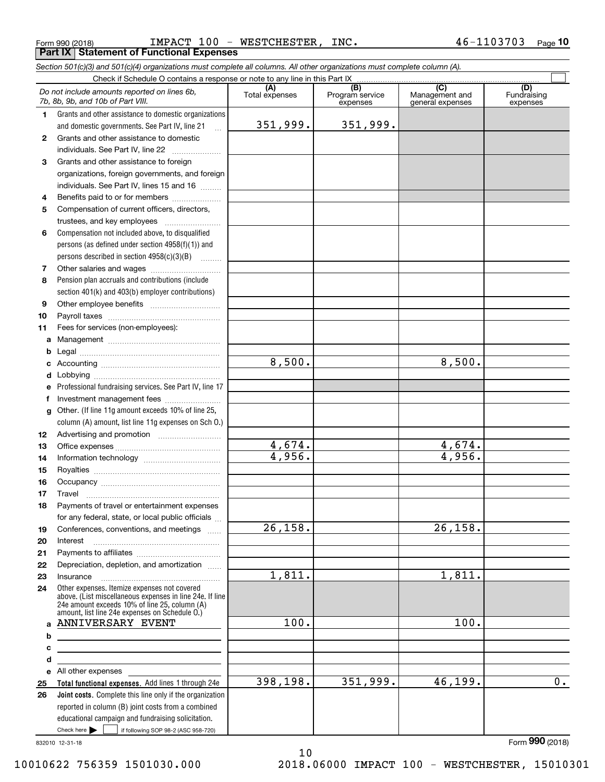|    | Form 990 (2018)                                                                                                                                                                                             | IMPACT 100 - WESTCHESTER, | INC.            |                  | 46-1103703<br><u>Pag</u> e 10 |
|----|-------------------------------------------------------------------------------------------------------------------------------------------------------------------------------------------------------------|---------------------------|-----------------|------------------|-------------------------------|
|    | <b>Part IX   Statement of Functional Expenses</b>                                                                                                                                                           |                           |                 |                  |                               |
|    | Section 501(c)(3) and 501(c)(4) organizations must complete all columns. All other organizations must complete column (A).                                                                                  |                           |                 |                  |                               |
|    | Check if Schedule O contains a response or note to any line in this Part IX                                                                                                                                 | (A)                       | (B)             | $\overline{(C)}$ | (D)                           |
|    | Do not include amounts reported on lines 6b,                                                                                                                                                                | Total expenses            | Program service | Management and   | Fundraising                   |
|    | 7b, 8b, 9b, and 10b of Part VIII.                                                                                                                                                                           |                           | expenses        | general expenses | expenses                      |
| 1. | Grants and other assistance to domestic organizations                                                                                                                                                       |                           |                 |                  |                               |
|    | and domestic governments. See Part IV, line 21                                                                                                                                                              | 351,999.                  | 351,999.        |                  |                               |
| 2  | Grants and other assistance to domestic                                                                                                                                                                     |                           |                 |                  |                               |
|    | individuals. See Part IV, line 22                                                                                                                                                                           |                           |                 |                  |                               |
| 3  | Grants and other assistance to foreign<br>organizations, foreign governments, and foreign                                                                                                                   |                           |                 |                  |                               |
|    | individuals. See Part IV, lines 15 and 16                                                                                                                                                                   |                           |                 |                  |                               |
| 4  | Benefits paid to or for members                                                                                                                                                                             |                           |                 |                  |                               |
| 5  | Compensation of current officers, directors,                                                                                                                                                                |                           |                 |                  |                               |
|    | trustees, and key employees                                                                                                                                                                                 |                           |                 |                  |                               |
| 6  | Compensation not included above, to disqualified                                                                                                                                                            |                           |                 |                  |                               |
|    | persons (as defined under section 4958(f)(1)) and                                                                                                                                                           |                           |                 |                  |                               |
|    | persons described in section 4958(c)(3)(B)                                                                                                                                                                  |                           |                 |                  |                               |
| 7  |                                                                                                                                                                                                             |                           |                 |                  |                               |
| 8  | Pension plan accruals and contributions (include                                                                                                                                                            |                           |                 |                  |                               |
|    | section 401(k) and 403(b) employer contributions)                                                                                                                                                           |                           |                 |                  |                               |
| 9  |                                                                                                                                                                                                             |                           |                 |                  |                               |
| 10 |                                                                                                                                                                                                             |                           |                 |                  |                               |
| 11 | Fees for services (non-employees):                                                                                                                                                                          |                           |                 |                  |                               |
| a  |                                                                                                                                                                                                             |                           |                 |                  |                               |
| b  |                                                                                                                                                                                                             |                           |                 |                  |                               |
| c  |                                                                                                                                                                                                             | 8,500.                    |                 | 8,500.           |                               |
| d  |                                                                                                                                                                                                             |                           |                 |                  |                               |
| e  | Professional fundraising services. See Part IV, line 17                                                                                                                                                     |                           |                 |                  |                               |
| f  | Investment management fees                                                                                                                                                                                  |                           |                 |                  |                               |
| g  | Other. (If line 11g amount exceeds 10% of line 25,                                                                                                                                                          |                           |                 |                  |                               |
|    | column (A) amount, list line 11g expenses on Sch O.)                                                                                                                                                        |                           |                 |                  |                               |
| 12 | Advertising and promotion <i>manually contained</i>                                                                                                                                                         |                           |                 |                  |                               |
| 13 |                                                                                                                                                                                                             | 4,674.                    |                 | 4,674.           |                               |
| 14 |                                                                                                                                                                                                             | 4,956.                    |                 | 4,956.           |                               |
| 15 |                                                                                                                                                                                                             |                           |                 |                  |                               |
| 16 |                                                                                                                                                                                                             |                           |                 |                  |                               |
| 17 | Travel                                                                                                                                                                                                      |                           |                 |                  |                               |
| 18 | Payments of travel or entertainment expenses                                                                                                                                                                |                           |                 |                  |                               |
|    | for any federal, state, or local public officials                                                                                                                                                           |                           |                 |                  |                               |
| 19 | Conferences, conventions, and meetings                                                                                                                                                                      | 26, 158.                  |                 | 26, 158.         |                               |
| 20 | Interest                                                                                                                                                                                                    |                           |                 |                  |                               |
| 21 |                                                                                                                                                                                                             |                           |                 |                  |                               |
| 22 | Depreciation, depletion, and amortization                                                                                                                                                                   |                           |                 |                  |                               |
| 23 | Insurance                                                                                                                                                                                                   | 1,811.                    |                 | 1,811.           |                               |
| 24 | Other expenses. Itemize expenses not covered<br>above. (List miscellaneous expenses in line 24e. If line<br>24e amount exceeds 10% of line 25, column (A)<br>amount, list line 24e expenses on Schedule O.) |                           |                 |                  |                               |
|    | a ANNIVERSARY EVENT                                                                                                                                                                                         | 100.                      |                 | 100.             |                               |
| b  |                                                                                                                                                                                                             |                           |                 |                  |                               |
| с  |                                                                                                                                                                                                             |                           |                 |                  |                               |
| d  |                                                                                                                                                                                                             |                           |                 |                  |                               |
|    | e All other expenses                                                                                                                                                                                        |                           |                 |                  |                               |
| 25 | Total functional expenses. Add lines 1 through 24e                                                                                                                                                          | 398,198.                  | 351,999.        | 46, 199.         | 0.                            |
| 26 | <b>Joint costs.</b> Complete this line only if the organization<br>reported in column (B) joint costs from a combined                                                                                       |                           |                 |                  |                               |

832010 12-31-18

Check here  $\blacktriangleright$ 

Check here  $\begin{array}{|c|c|c|c|c|}\hline \text{ } & \text{ if following SOP 98-2 (ASC 958-720)} \hline \end{array}$ 

educational campaign and fundraising solicitation.

10 10010622 756359 1501030.000 2018.06000 IMPACT 100 - WESTCHESTER, 15010301

Form (2018) **990**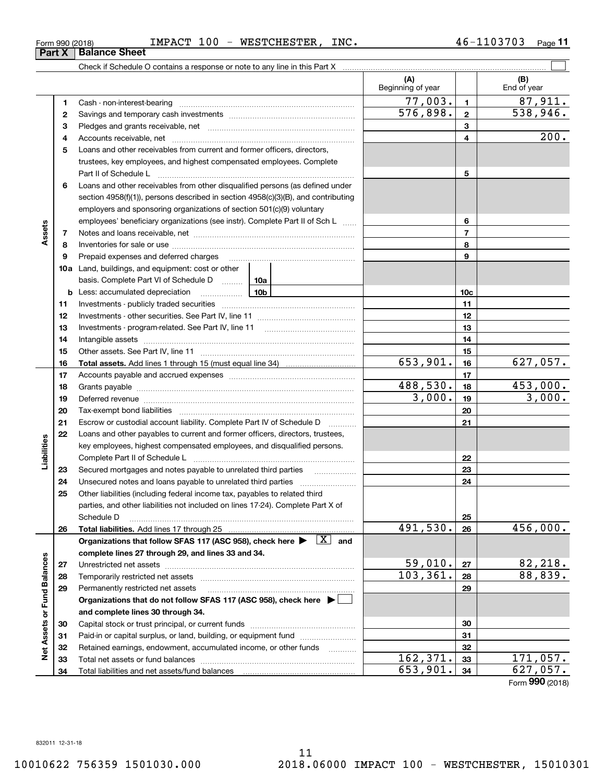Form (2018) **990**

|  | Form 990 (2018) |  |
|--|-----------------|--|
|  |                 |  |

**(A) (B)** Beginning of year | | End of year  $77,003.$  1 87,911. **11**Cash - non-interest-bearing ~~~~~~~~~~~~~~~~~~~~~~~~~  $576,898.$  2 538,946. **22**Savings and temporary cash investments ~~~~~~~~~~~~~~~~~~**33** Pledges and grants receivable, net  $\ldots$  **multimes contained and grants receivable**, net **multimes contained and grants receivable**, net **multimes contained and grants receivable** 200. Accounts receivable, net ~~~~~~~~~~~~~~~~~~~~~~~~~~ **445**Loans and other receivables from current and former officers, directors, trustees, key employees, and highest compensated employees. Complete Part II of Schedule L ~~~~~~~~~~~~~~~~~~~~~~~~~~~~ **56**Loans and other receivables from other disqualified persons (as defined under section 4958(f)(1)), persons described in section 4958(c)(3)(B), and contributing employers and sponsoring organizations of section 501(c)(9) voluntary employees' beneficiary organizations (see instr). Complete Part II of Sch L ...... **6Assets 77**Notes and loans receivable, net ~~~~~~~~~~~~~~~~~~~~~~~ **88**Inventories for sale or use ~~~~~~~~~~~~~~~~~~~~~~~~~~ Prepaid expenses and deferred charges **9910a**Land, buildings, and equipment: cost or other basis. Complete Part VI of Schedule D will aller **10cb** Less: accumulated depreciation \_\_\_\_\_\_\_\_\_\_\_\_\_\_\_ Lub **1111**Investments - publicly traded securities ~~~~~~~~~~~~~~~~~~~ **1212**Investments - other securities. See Part IV, line 11 ~~~~~~~~~~~~~~**13**Investments - program-related. See Part IV, line 11 **131414**Intangible assets ~~~~~~~~~~~~~~~~~~~~~~~~~~~~~~ Other assets. See Part IV, line 11 ~~~~~~~~~~~~~~~~~~~~~~ **1515** $653,901$ .  $16$  627,057. **1616Total assets.**  Add lines 1 through 15 (must equal line 34) **1717**Accounts payable and accrued expenses ~~~~~~~~~~~~~~~~~~488,530. 453,000. **1818**Grants payable ~~~~~~~~~~~~~~~~~~~~~~~~~~~~~~~ 3,000. 3,000. **1919**Deferred revenue et al. and the state of the state of the state of the state of the state of the state of the state of the state of the state of the state of the state of the state of the state of the state of the state of **2020**Tax-exempt bond liabilities …………………………………………………………… **21**Escrow or custodial account liability. Complete Part IV of Schedule D **21**Loans and other payables to current and former officers, directors, trustees, **22**Liabilities **Liabilities** key employees, highest compensated employees, and disqualified persons. Complete Part II of Schedule L <sub>…………………………………………………………</sub> **2223**Secured mortgages and notes payable to unrelated third parties **23**Unsecured notes and loans payable to unrelated third parties ~~~~~~~~~~~~~~~~~~~~ **242425**Other liabilities (including federal income tax, payables to related third parties, and other liabilities not included on lines 17-24). Complete Part X of Schedule D ~~~~~~~~~~~~~~~~~~~~~~~~~~~~~~~~ **25**491,530. 456,000. **2626Total liabilities.**  Add lines 17 through 25 Organizations that follow SFAS 117 (ASC 958), check here  $\blacktriangleright$   $\boxed{\text{X}}$  and **complete lines 27 through 29, and lines 33 and 34. Net Assets or Fund Balances Net Assets or Fund Balances**  $59,010$ .  $|z_7|$  82,218. **2727**Unrestricted net assets ~~~~~~~~~~~~~~~~~~~~~~~~~~~  $103,361. |28|$  88,839. **2828**Temporarily restricted net assets ~~~~~~~~~~~~~~~~~~~~~~ **2929**Permanently restricted net assets …………………………………………………… **Organizations that do not follow SFAS 117 (ASC 958), check here** | **and complete lines 30 through 34. 3030**Capital stock or trust principal, or current funds ~~~~~~~~~~~~~~~ **3131**Paid-in or capital surplus, or land, building, or equipment fund will concurred. **3232**Retained earnings, endowment, accumulated income, or other funds www.com  $162,371.$   $33$  171,057. **33**Total net assets or fund balances ~~~~~~~~~~~~~~~~~~~~~~ **33** $653,901.$   $34$  627,057. **34**Total liabilities and net assets/fund balances **34**

46-1103703 Page 11

 $\mathcal{L}^{\text{max}}$ 

### Form 990 (2018) Page IMPACT 100 - WESTCHESTER, INC. 46-1103703

Check if Schedule O contains a response or note to any line in this Part X **Part X** | **Balance Sheet**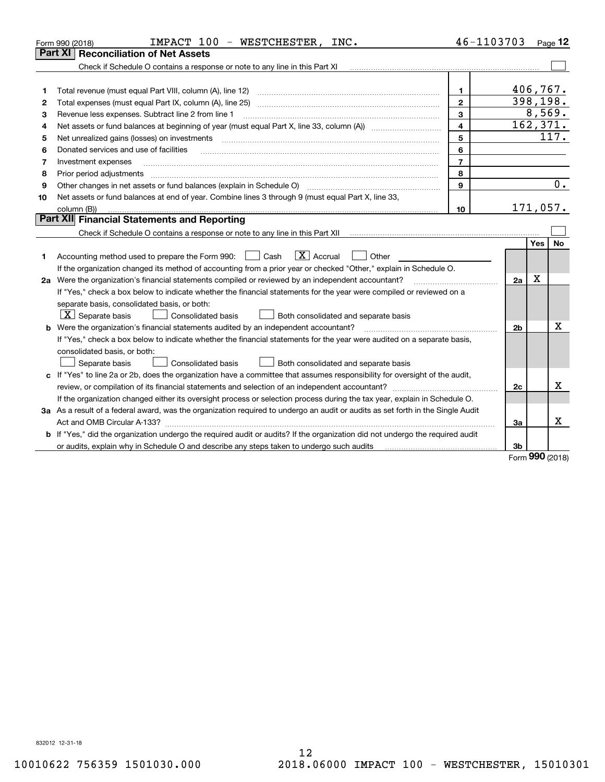|    | IMPACT 100 - WESTCHESTER,<br>INC.<br>Form 990 (2018)                                                                                                                                                                                                                     | 46-1103703     |                |                     | Page $12$        |  |  |
|----|--------------------------------------------------------------------------------------------------------------------------------------------------------------------------------------------------------------------------------------------------------------------------|----------------|----------------|---------------------|------------------|--|--|
|    | Part XI<br><b>Reconciliation of Net Assets</b>                                                                                                                                                                                                                           |                |                |                     |                  |  |  |
|    | Check if Schedule O contains a response or note to any line in this Part XI                                                                                                                                                                                              |                |                |                     |                  |  |  |
|    |                                                                                                                                                                                                                                                                          |                |                |                     |                  |  |  |
| 1  | Total revenue (must equal Part VIII, column (A), line 12)                                                                                                                                                                                                                | 1.             |                | 406,767.            |                  |  |  |
| 2  | Total expenses (must equal Part IX, column (A), line 25)                                                                                                                                                                                                                 | $\overline{2}$ |                | 398,198.            |                  |  |  |
| 3  | Revenue less expenses. Subtract line 2 from line 1                                                                                                                                                                                                                       | 3              |                | 8,569.<br>162, 371. |                  |  |  |
| 4  | $\overline{\mathbf{4}}$                                                                                                                                                                                                                                                  |                |                |                     |                  |  |  |
| 5  | Net unrealized gains (losses) on investments                                                                                                                                                                                                                             | 5              |                |                     | 117.             |  |  |
| 6  | Donated services and use of facilities                                                                                                                                                                                                                                   | 6              |                |                     |                  |  |  |
| 7  | Investment expenses                                                                                                                                                                                                                                                      | $\overline{7}$ |                |                     |                  |  |  |
| 8  | Prior period adjustments                                                                                                                                                                                                                                                 | 8              |                |                     |                  |  |  |
| 9  | Other changes in net assets or fund balances (explain in Schedule O)                                                                                                                                                                                                     | 9              |                |                     | $\overline{0}$ . |  |  |
| 10 | Net assets or fund balances at end of year. Combine lines 3 through 9 (must equal Part X, line 33,                                                                                                                                                                       |                |                |                     |                  |  |  |
|    | column (B))                                                                                                                                                                                                                                                              | 10             |                | 171,057.            |                  |  |  |
|    | Part XII Financial Statements and Reporting                                                                                                                                                                                                                              |                |                |                     |                  |  |  |
|    |                                                                                                                                                                                                                                                                          |                |                |                     |                  |  |  |
| 1. | $\boxed{\mathbf{X}}$ Accrual<br>Accounting method used to prepare the Form 990: [16] Cash<br>Other                                                                                                                                                                       |                |                | Yes                 | <b>No</b>        |  |  |
|    | If the organization changed its method of accounting from a prior year or checked "Other," explain in Schedule O.                                                                                                                                                        |                | 2a             | X                   |                  |  |  |
|    | 2a Were the organization's financial statements compiled or reviewed by an independent accountant?                                                                                                                                                                       |                |                |                     |                  |  |  |
|    | If "Yes," check a box below to indicate whether the financial statements for the year were compiled or reviewed on a<br>separate basis, consolidated basis, or both:<br>$\lfloor x \rfloor$ Separate basis<br>Consolidated basis<br>Both consolidated and separate basis |                |                |                     |                  |  |  |
|    | <b>b</b> Were the organization's financial statements audited by an independent accountant?                                                                                                                                                                              |                | 2 <sub>b</sub> |                     | х                |  |  |
|    | If "Yes," check a box below to indicate whether the financial statements for the year were audited on a separate basis,                                                                                                                                                  |                |                |                     |                  |  |  |
|    | consolidated basis, or both:                                                                                                                                                                                                                                             |                |                |                     |                  |  |  |
|    | <b>Consolidated basis</b><br>Separate basis<br>Both consolidated and separate basis                                                                                                                                                                                      |                |                |                     |                  |  |  |
|    | c If "Yes" to line 2a or 2b, does the organization have a committee that assumes responsibility for oversight of the audit,                                                                                                                                              |                |                |                     |                  |  |  |
|    |                                                                                                                                                                                                                                                                          |                | 2c             |                     | х                |  |  |
|    | If the organization changed either its oversight process or selection process during the tax year, explain in Schedule O.                                                                                                                                                |                |                |                     |                  |  |  |
|    | 3a As a result of a federal award, was the organization required to undergo an audit or audits as set forth in the Single Audit                                                                                                                                          |                |                |                     |                  |  |  |
|    | Act and OMB Circular A-133?                                                                                                                                                                                                                                              |                | За             |                     | x                |  |  |
|    | b If "Yes," did the organization undergo the required audit or audits? If the organization did not undergo the required audit                                                                                                                                            |                |                |                     |                  |  |  |
|    |                                                                                                                                                                                                                                                                          |                | 3b             |                     |                  |  |  |
|    |                                                                                                                                                                                                                                                                          |                |                | $000 \text{ days}$  |                  |  |  |

Form (2018) **990**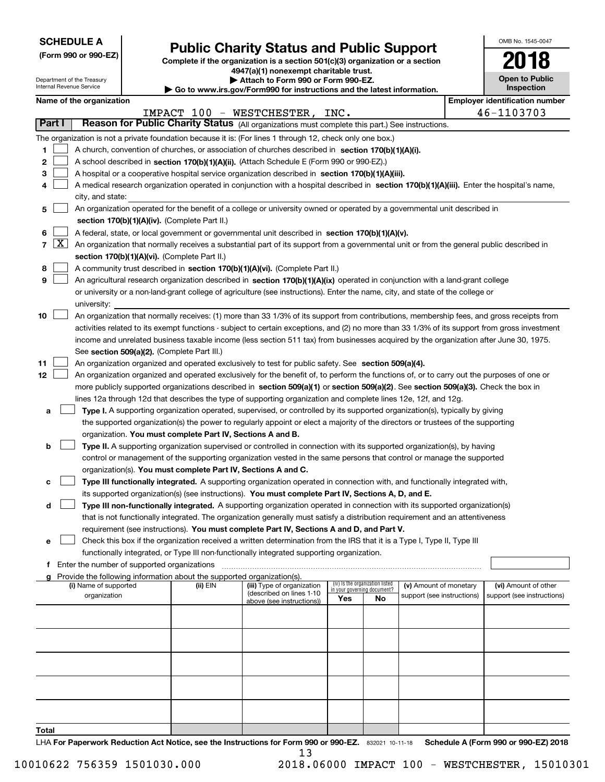| <b>SCHEDULE A</b> |
|-------------------|
|-------------------|

|  |  |  | (Form 990 or 990-EZ) |  |
|--|--|--|----------------------|--|
|--|--|--|----------------------|--|

# **Public Charity Status and Public Support**

**Complete if the organization is a section 501(c)(3) organization or a section 4947(a)(1) nonexempt charitable trust.**

| Attach to Form 990 or Form 990-EZ. |  |  |  |
|------------------------------------|--|--|--|
|                                    |  |  |  |

| OMB No. 1545-0047                   |
|-------------------------------------|
|                                     |
| <b>Open to Public</b><br>Inspection |

|                  |                     | Department of the Treasury<br>Internal Revenue Service                                                                                                                                                                                                                                                                                                                                                                                                                             |                                             |                                                                                    | ▶ Attach to Form 990 or Form 990-EZ.<br>Go to www.irs.gov/Form990 for instructions and the latest information.                                                                                                                                                                                                                                                                                                                                                                                                                                                  |     |                                 |                            |  | <b>Open to Public</b><br><b>Inspection</b> |  |
|------------------|---------------------|------------------------------------------------------------------------------------------------------------------------------------------------------------------------------------------------------------------------------------------------------------------------------------------------------------------------------------------------------------------------------------------------------------------------------------------------------------------------------------|---------------------------------------------|------------------------------------------------------------------------------------|-----------------------------------------------------------------------------------------------------------------------------------------------------------------------------------------------------------------------------------------------------------------------------------------------------------------------------------------------------------------------------------------------------------------------------------------------------------------------------------------------------------------------------------------------------------------|-----|---------------------------------|----------------------------|--|--------------------------------------------|--|
|                  |                     | Name of the organization                                                                                                                                                                                                                                                                                                                                                                                                                                                           |                                             |                                                                                    |                                                                                                                                                                                                                                                                                                                                                                                                                                                                                                                                                                 |     |                                 |                            |  | <b>Employer identification number</b>      |  |
|                  |                     |                                                                                                                                                                                                                                                                                                                                                                                                                                                                                    |                                             |                                                                                    | IMPACT 100 - WESTCHESTER, INC.                                                                                                                                                                                                                                                                                                                                                                                                                                                                                                                                  |     |                                 |                            |  | 46-1103703                                 |  |
|                  | Part I              |                                                                                                                                                                                                                                                                                                                                                                                                                                                                                    |                                             |                                                                                    | Reason for Public Charity Status (All organizations must complete this part.) See instructions.                                                                                                                                                                                                                                                                                                                                                                                                                                                                 |     |                                 |                            |  |                                            |  |
| 1<br>2<br>з<br>4 |                     | city, and state:                                                                                                                                                                                                                                                                                                                                                                                                                                                                   |                                             |                                                                                    | The organization is not a private foundation because it is: (For lines 1 through 12, check only one box.)<br>A church, convention of churches, or association of churches described in section 170(b)(1)(A)(i).<br>A school described in section 170(b)(1)(A)(ii). (Attach Schedule E (Form 990 or 990-EZ).)<br>A hospital or a cooperative hospital service organization described in section 170(b)(1)(A)(iii).<br>A medical research organization operated in conjunction with a hospital described in section 170(b)(1)(A)(iii). Enter the hospital's name, |     |                                 |                            |  |                                            |  |
| 5                |                     |                                                                                                                                                                                                                                                                                                                                                                                                                                                                                    |                                             |                                                                                    | An organization operated for the benefit of a college or university owned or operated by a governmental unit described in                                                                                                                                                                                                                                                                                                                                                                                                                                       |     |                                 |                            |  |                                            |  |
|                  |                     |                                                                                                                                                                                                                                                                                                                                                                                                                                                                                    |                                             | section 170(b)(1)(A)(iv). (Complete Part II.)                                      |                                                                                                                                                                                                                                                                                                                                                                                                                                                                                                                                                                 |     |                                 |                            |  |                                            |  |
| 6                |                     |                                                                                                                                                                                                                                                                                                                                                                                                                                                                                    |                                             |                                                                                    | A federal, state, or local government or governmental unit described in section 170(b)(1)(A)(v).                                                                                                                                                                                                                                                                                                                                                                                                                                                                |     |                                 |                            |  |                                            |  |
| $\overline{7}$   | $\lfloor x \rfloor$ |                                                                                                                                                                                                                                                                                                                                                                                                                                                                                    |                                             |                                                                                    | An organization that normally receives a substantial part of its support from a governmental unit or from the general public described in                                                                                                                                                                                                                                                                                                                                                                                                                       |     |                                 |                            |  |                                            |  |
|                  |                     |                                                                                                                                                                                                                                                                                                                                                                                                                                                                                    |                                             | section 170(b)(1)(A)(vi). (Complete Part II.)                                      |                                                                                                                                                                                                                                                                                                                                                                                                                                                                                                                                                                 |     |                                 |                            |  |                                            |  |
| 8                |                     |                                                                                                                                                                                                                                                                                                                                                                                                                                                                                    |                                             |                                                                                    | A community trust described in section 170(b)(1)(A)(vi). (Complete Part II.)                                                                                                                                                                                                                                                                                                                                                                                                                                                                                    |     |                                 |                            |  |                                            |  |
| 9                |                     |                                                                                                                                                                                                                                                                                                                                                                                                                                                                                    |                                             |                                                                                    | An agricultural research organization described in section 170(b)(1)(A)(ix) operated in conjunction with a land-grant college                                                                                                                                                                                                                                                                                                                                                                                                                                   |     |                                 |                            |  |                                            |  |
|                  |                     |                                                                                                                                                                                                                                                                                                                                                                                                                                                                                    |                                             |                                                                                    | or university or a non-land-grant college of agriculture (see instructions). Enter the name, city, and state of the college or                                                                                                                                                                                                                                                                                                                                                                                                                                  |     |                                 |                            |  |                                            |  |
|                  |                     | university:                                                                                                                                                                                                                                                                                                                                                                                                                                                                        |                                             |                                                                                    |                                                                                                                                                                                                                                                                                                                                                                                                                                                                                                                                                                 |     |                                 |                            |  |                                            |  |
| 10               |                     | An organization that normally receives: (1) more than 33 1/3% of its support from contributions, membership fees, and gross receipts from<br>activities related to its exempt functions - subject to certain exceptions, and (2) no more than 33 1/3% of its support from gross investment<br>income and unrelated business taxable income (less section 511 tax) from businesses acquired by the organization after June 30, 1975.<br>See section 509(a)(2). (Complete Part III.) |                                             |                                                                                    |                                                                                                                                                                                                                                                                                                                                                                                                                                                                                                                                                                 |     |                                 |                            |  |                                            |  |
| 11               |                     |                                                                                                                                                                                                                                                                                                                                                                                                                                                                                    |                                             |                                                                                    | An organization organized and operated exclusively to test for public safety. See section 509(a)(4).                                                                                                                                                                                                                                                                                                                                                                                                                                                            |     |                                 |                            |  |                                            |  |
| 12               |                     |                                                                                                                                                                                                                                                                                                                                                                                                                                                                                    |                                             |                                                                                    | An organization organized and operated exclusively for the benefit of, to perform the functions of, or to carry out the purposes of one or                                                                                                                                                                                                                                                                                                                                                                                                                      |     |                                 |                            |  |                                            |  |
|                  |                     |                                                                                                                                                                                                                                                                                                                                                                                                                                                                                    |                                             |                                                                                    | more publicly supported organizations described in section 509(a)(1) or section 509(a)(2). See section 509(a)(3). Check the box in                                                                                                                                                                                                                                                                                                                                                                                                                              |     |                                 |                            |  |                                            |  |
|                  |                     |                                                                                                                                                                                                                                                                                                                                                                                                                                                                                    |                                             |                                                                                    | lines 12a through 12d that describes the type of supporting organization and complete lines 12e, 12f, and 12g.                                                                                                                                                                                                                                                                                                                                                                                                                                                  |     |                                 |                            |  |                                            |  |
| а                |                     |                                                                                                                                                                                                                                                                                                                                                                                                                                                                                    |                                             |                                                                                    | Type I. A supporting organization operated, supervised, or controlled by its supported organization(s), typically by giving                                                                                                                                                                                                                                                                                                                                                                                                                                     |     |                                 |                            |  |                                            |  |
|                  |                     |                                                                                                                                                                                                                                                                                                                                                                                                                                                                                    |                                             |                                                                                    | the supported organization(s) the power to regularly appoint or elect a majority of the directors or trustees of the supporting                                                                                                                                                                                                                                                                                                                                                                                                                                 |     |                                 |                            |  |                                            |  |
|                  |                     |                                                                                                                                                                                                                                                                                                                                                                                                                                                                                    |                                             | organization. You must complete Part IV, Sections A and B.                         |                                                                                                                                                                                                                                                                                                                                                                                                                                                                                                                                                                 |     |                                 |                            |  |                                            |  |
| b                |                     |                                                                                                                                                                                                                                                                                                                                                                                                                                                                                    |                                             |                                                                                    | Type II. A supporting organization supervised or controlled in connection with its supported organization(s), by having                                                                                                                                                                                                                                                                                                                                                                                                                                         |     |                                 |                            |  |                                            |  |
|                  |                     |                                                                                                                                                                                                                                                                                                                                                                                                                                                                                    |                                             |                                                                                    | control or management of the supporting organization vested in the same persons that control or manage the supported                                                                                                                                                                                                                                                                                                                                                                                                                                            |     |                                 |                            |  |                                            |  |
|                  |                     |                                                                                                                                                                                                                                                                                                                                                                                                                                                                                    |                                             |                                                                                    | organization(s). You must complete Part IV, Sections A and C.                                                                                                                                                                                                                                                                                                                                                                                                                                                                                                   |     |                                 |                            |  |                                            |  |
| с                |                     |                                                                                                                                                                                                                                                                                                                                                                                                                                                                                    |                                             |                                                                                    | Type III functionally integrated. A supporting organization operated in connection with, and functionally integrated with,                                                                                                                                                                                                                                                                                                                                                                                                                                      |     |                                 |                            |  |                                            |  |
|                  |                     |                                                                                                                                                                                                                                                                                                                                                                                                                                                                                    |                                             |                                                                                    | its supported organization(s) (see instructions). You must complete Part IV, Sections A, D, and E.                                                                                                                                                                                                                                                                                                                                                                                                                                                              |     |                                 |                            |  |                                            |  |
| d                |                     |                                                                                                                                                                                                                                                                                                                                                                                                                                                                                    |                                             |                                                                                    | Type III non-functionally integrated. A supporting organization operated in connection with its supported organization(s)                                                                                                                                                                                                                                                                                                                                                                                                                                       |     |                                 |                            |  |                                            |  |
|                  |                     |                                                                                                                                                                                                                                                                                                                                                                                                                                                                                    |                                             |                                                                                    | that is not functionally integrated. The organization generally must satisfy a distribution requirement and an attentiveness                                                                                                                                                                                                                                                                                                                                                                                                                                    |     |                                 |                            |  |                                            |  |
|                  |                     |                                                                                                                                                                                                                                                                                                                                                                                                                                                                                    |                                             |                                                                                    | requirement (see instructions). You must complete Part IV, Sections A and D, and Part V.                                                                                                                                                                                                                                                                                                                                                                                                                                                                        |     |                                 |                            |  |                                            |  |
| е                |                     |                                                                                                                                                                                                                                                                                                                                                                                                                                                                                    |                                             |                                                                                    | Check this box if the organization received a written determination from the IRS that it is a Type I, Type II, Type III                                                                                                                                                                                                                                                                                                                                                                                                                                         |     |                                 |                            |  |                                            |  |
|                  |                     |                                                                                                                                                                                                                                                                                                                                                                                                                                                                                    |                                             |                                                                                    | functionally integrated, or Type III non-functionally integrated supporting organization.                                                                                                                                                                                                                                                                                                                                                                                                                                                                       |     |                                 |                            |  |                                            |  |
|                  |                     |                                                                                                                                                                                                                                                                                                                                                                                                                                                                                    | Enter the number of supported organizations |                                                                                    |                                                                                                                                                                                                                                                                                                                                                                                                                                                                                                                                                                 |     |                                 |                            |  |                                            |  |
|                  |                     | (i) Name of supported                                                                                                                                                                                                                                                                                                                                                                                                                                                              |                                             | Provide the following information about the supported organization(s).<br>(ii) EIN | (iii) Type of organization                                                                                                                                                                                                                                                                                                                                                                                                                                                                                                                                      |     | (iv) Is the organization listed | (v) Amount of monetary     |  | (vi) Amount of other                       |  |
|                  |                     | organization                                                                                                                                                                                                                                                                                                                                                                                                                                                                       |                                             |                                                                                    | (described on lines 1-10                                                                                                                                                                                                                                                                                                                                                                                                                                                                                                                                        |     | in your governing document?     | support (see instructions) |  | support (see instructions)                 |  |
|                  |                     |                                                                                                                                                                                                                                                                                                                                                                                                                                                                                    |                                             |                                                                                    | above (see instructions))                                                                                                                                                                                                                                                                                                                                                                                                                                                                                                                                       | Yes | <b>No</b>                       |                            |  |                                            |  |
|                  |                     |                                                                                                                                                                                                                                                                                                                                                                                                                                                                                    |                                             |                                                                                    |                                                                                                                                                                                                                                                                                                                                                                                                                                                                                                                                                                 |     |                                 |                            |  |                                            |  |
|                  |                     |                                                                                                                                                                                                                                                                                                                                                                                                                                                                                    |                                             |                                                                                    |                                                                                                                                                                                                                                                                                                                                                                                                                                                                                                                                                                 |     |                                 |                            |  |                                            |  |
|                  |                     |                                                                                                                                                                                                                                                                                                                                                                                                                                                                                    |                                             |                                                                                    |                                                                                                                                                                                                                                                                                                                                                                                                                                                                                                                                                                 |     |                                 |                            |  |                                            |  |
|                  |                     |                                                                                                                                                                                                                                                                                                                                                                                                                                                                                    |                                             |                                                                                    |                                                                                                                                                                                                                                                                                                                                                                                                                                                                                                                                                                 |     |                                 |                            |  |                                            |  |
|                  |                     |                                                                                                                                                                                                                                                                                                                                                                                                                                                                                    |                                             |                                                                                    |                                                                                                                                                                                                                                                                                                                                                                                                                                                                                                                                                                 |     |                                 |                            |  |                                            |  |
|                  |                     |                                                                                                                                                                                                                                                                                                                                                                                                                                                                                    |                                             |                                                                                    |                                                                                                                                                                                                                                                                                                                                                                                                                                                                                                                                                                 |     |                                 |                            |  |                                            |  |
|                  |                     |                                                                                                                                                                                                                                                                                                                                                                                                                                                                                    |                                             |                                                                                    |                                                                                                                                                                                                                                                                                                                                                                                                                                                                                                                                                                 |     |                                 |                            |  |                                            |  |
|                  |                     |                                                                                                                                                                                                                                                                                                                                                                                                                                                                                    |                                             |                                                                                    |                                                                                                                                                                                                                                                                                                                                                                                                                                                                                                                                                                 |     |                                 |                            |  |                                            |  |
|                  |                     |                                                                                                                                                                                                                                                                                                                                                                                                                                                                                    |                                             |                                                                                    |                                                                                                                                                                                                                                                                                                                                                                                                                                                                                                                                                                 |     |                                 |                            |  |                                            |  |
|                  |                     |                                                                                                                                                                                                                                                                                                                                                                                                                                                                                    |                                             |                                                                                    |                                                                                                                                                                                                                                                                                                                                                                                                                                                                                                                                                                 |     |                                 |                            |  |                                            |  |

**Total**

LHA For Paperwork Reduction Act Notice, see the Instructions for Form 990 or 990-EZ. 832021 10-11-18 Schedule A (Form 990 or 990-EZ) 2018 13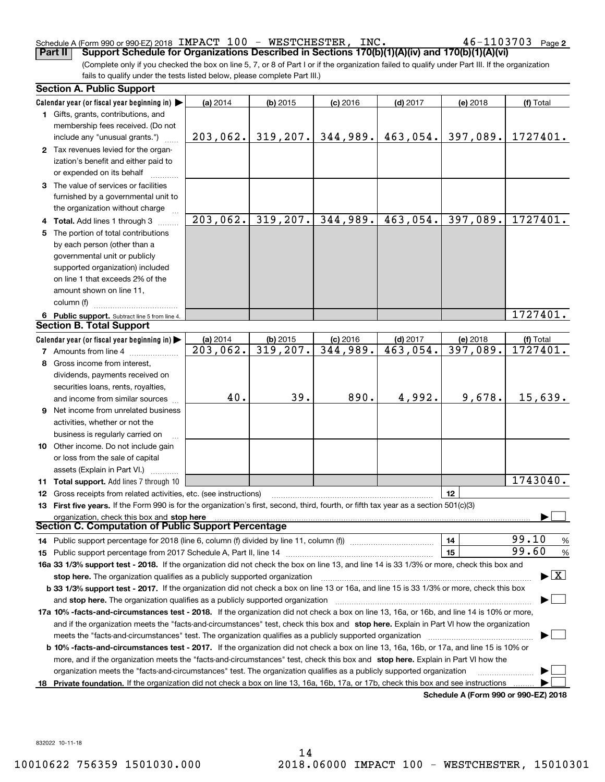### Schedule A (Form 990 or 990-EZ) 2018 Page IMPACT 100 - WESTCHESTER, INC. 46-1103703 **Part II Support Schedule for Organizations Described in Sections 170(b)(1)(A)(iv) and 170(b)(1)(A)(vi)**

 $46 - 1103703$  Page 2

(Complete only if you checked the box on line 5, 7, or 8 of Part I or if the organization failed to qualify under Part III. If the organization fails to qualify under the tests listed below, please complete Part III.)

| <b>Section A. Public Support</b>                                                                                                           |          |            |            |                        |                                      |                                          |
|--------------------------------------------------------------------------------------------------------------------------------------------|----------|------------|------------|------------------------|--------------------------------------|------------------------------------------|
| Calendar year (or fiscal year beginning in) $\blacktriangleright$                                                                          | (a) 2014 | $(b)$ 2015 | $(c)$ 2016 | $(d)$ 2017             | (e) 2018                             | (f) Total                                |
| <b>1</b> Gifts, grants, contributions, and                                                                                                 |          |            |            |                        |                                      |                                          |
| membership fees received. (Do not                                                                                                          |          |            |            |                        |                                      |                                          |
| include any "unusual grants.")                                                                                                             | 203,062. | 319, 207.  | 344,989.   | 463,054.               | 397,089.                             | 1727401.                                 |
| 2 Tax revenues levied for the organ-                                                                                                       |          |            |            |                        |                                      |                                          |
| ization's benefit and either paid to                                                                                                       |          |            |            |                        |                                      |                                          |
| or expended on its behalf                                                                                                                  |          |            |            |                        |                                      |                                          |
| 3 The value of services or facilities                                                                                                      |          |            |            |                        |                                      |                                          |
| furnished by a governmental unit to                                                                                                        |          |            |            |                        |                                      |                                          |
| the organization without charge                                                                                                            |          |            |            |                        |                                      |                                          |
| 4 Total. Add lines 1 through 3                                                                                                             | 203,062. | 319, 207.  | 344,989.   | 463,054.               | 397,089.                             | 1727401.                                 |
| 5 The portion of total contributions                                                                                                       |          |            |            |                        |                                      |                                          |
| by each person (other than a                                                                                                               |          |            |            |                        |                                      |                                          |
| governmental unit or publicly                                                                                                              |          |            |            |                        |                                      |                                          |
| supported organization) included                                                                                                           |          |            |            |                        |                                      |                                          |
| on line 1 that exceeds 2% of the                                                                                                           |          |            |            |                        |                                      |                                          |
| amount shown on line 11,                                                                                                                   |          |            |            |                        |                                      |                                          |
| column (f)                                                                                                                                 |          |            |            |                        |                                      |                                          |
| 6 Public support. Subtract line 5 from line 4.                                                                                             |          |            |            |                        |                                      | 1727401.                                 |
| <b>Section B. Total Support</b>                                                                                                            |          |            |            |                        |                                      |                                          |
| Calendar year (or fiscal year beginning in)                                                                                                | (a) 2014 | $(b)$ 2015 | $(c)$ 2016 | $(d)$ 2017             | (e) 2018                             | (f) Total                                |
| <b>7</b> Amounts from line 4                                                                                                               | 203,062. | 319,207.   | 344,989.   | $\overline{463,054}$ . | 397,089.                             | 1727401.                                 |
| 8 Gross income from interest,                                                                                                              |          |            |            |                        |                                      |                                          |
| dividends, payments received on                                                                                                            |          |            |            |                        |                                      |                                          |
| securities loans, rents, royalties,                                                                                                        |          |            |            |                        |                                      |                                          |
| and income from similar sources                                                                                                            | 40.      | 39.        | 890.       | 4,992.                 | 9,678.                               | 15,639.                                  |
| <b>9</b> Net income from unrelated business                                                                                                |          |            |            |                        |                                      |                                          |
| activities, whether or not the                                                                                                             |          |            |            |                        |                                      |                                          |
| business is regularly carried on                                                                                                           |          |            |            |                        |                                      |                                          |
| <b>10</b> Other income. Do not include gain                                                                                                |          |            |            |                        |                                      |                                          |
| or loss from the sale of capital                                                                                                           |          |            |            |                        |                                      |                                          |
| assets (Explain in Part VI.) <b>Constant</b>                                                                                               |          |            |            |                        |                                      |                                          |
| <b>11 Total support.</b> Add lines 7 through 10                                                                                            |          |            |            |                        |                                      | 1743040.                                 |
| <b>12</b> Gross receipts from related activities, etc. (see instructions)                                                                  |          |            |            |                        | 12                                   |                                          |
| 13 First five years. If the Form 990 is for the organization's first, second, third, fourth, or fifth tax year as a section 501(c)(3)      |          |            |            |                        |                                      |                                          |
| organization, check this box and stop here                                                                                                 |          |            |            |                        |                                      |                                          |
| Section C. Computation of Public Support Percentage                                                                                        |          |            |            |                        |                                      |                                          |
| 14 Public support percentage for 2018 (line 6, column (f) divided by line 11, column (f) <i>mummumumum</i>                                 |          |            |            |                        | 14                                   | 99.10<br>%                               |
|                                                                                                                                            |          |            |            |                        | 15                                   | 99.60<br>$\%$                            |
| 16a 33 1/3% support test - 2018. If the organization did not check the box on line 13, and line 14 is 33 1/3% or more, check this box and  |          |            |            |                        |                                      |                                          |
| stop here. The organization qualifies as a publicly supported organization                                                                 |          |            |            |                        |                                      | $\blacktriangleright$ $\boxed{\text{X}}$ |
| b 33 1/3% support test - 2017. If the organization did not check a box on line 13 or 16a, and line 15 is 33 1/3% or more, check this box   |          |            |            |                        |                                      |                                          |
| and stop here. The organization qualifies as a publicly supported organization                                                             |          |            |            |                        |                                      |                                          |
| 17a 10% -facts-and-circumstances test - 2018. If the organization did not check a box on line 13, 16a, or 16b, and line 14 is 10% or more, |          |            |            |                        |                                      |                                          |
| and if the organization meets the "facts-and-circumstances" test, check this box and stop here. Explain in Part VI how the organization    |          |            |            |                        |                                      |                                          |
| meets the "facts-and-circumstances" test. The organization qualifies as a publicly supported organization <i>manumumumumum</i>             |          |            |            |                        |                                      |                                          |
| b 10% -facts-and-circumstances test - 2017. If the organization did not check a box on line 13, 16a, 16b, or 17a, and line 15 is 10% or    |          |            |            |                        |                                      |                                          |
| more, and if the organization meets the "facts-and-circumstances" test, check this box and stop here. Explain in Part VI how the           |          |            |            |                        |                                      |                                          |
| organization meets the "facts-and-circumstances" test. The organization qualifies as a publicly supported organization                     |          |            |            |                        |                                      |                                          |
| 18 Private foundation. If the organization did not check a box on line 13, 16a, 16b, 17a, or 17b, check this box and see instructions      |          |            |            |                        |                                      |                                          |
|                                                                                                                                            |          |            |            |                        | Schedule A (Form 990 or 990-F7) 2018 |                                          |

**Schedule A (Form 990 or 990-EZ) 2018**

832022 10-11-18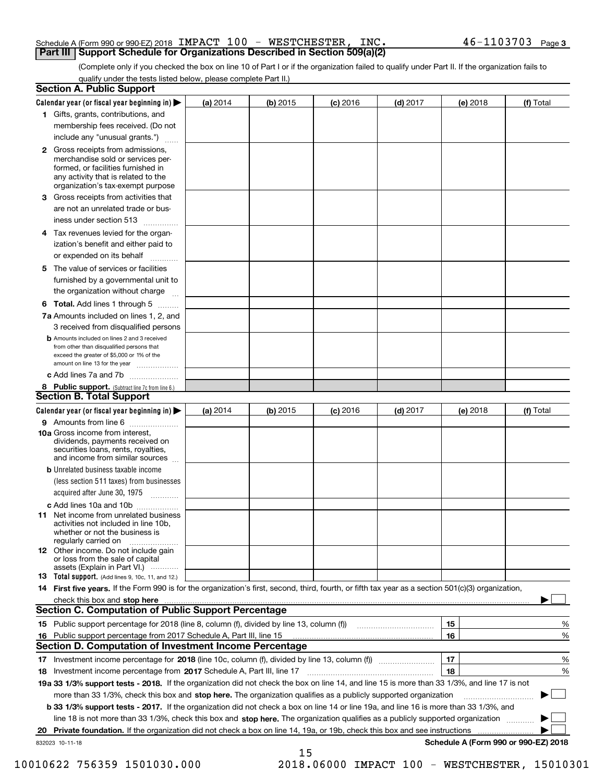### Schedule A (Form 990 or 990-EZ) 2018 Page IMPACT 100 - WESTCHESTER, INC. 46-1103703 **Part III Support Schedule for Organizations Described in Section 509(a)(2)**

(Complete only if you checked the box on line 10 of Part I or if the organization failed to qualify under Part II. If the organization fails to qualify under the tests listed below, please complete Part II.)

|    | <b>Section A. Public Support</b>                                                                                                                                                                                                                      |            |            |            |            |          |                                      |
|----|-------------------------------------------------------------------------------------------------------------------------------------------------------------------------------------------------------------------------------------------------------|------------|------------|------------|------------|----------|--------------------------------------|
|    | Calendar year (or fiscal year beginning in) $\blacktriangleright$                                                                                                                                                                                     | (a) 2014   | $(b)$ 2015 | $(c)$ 2016 | $(d)$ 2017 | (e) 2018 | (f) Total                            |
|    | 1 Gifts, grants, contributions, and                                                                                                                                                                                                                   |            |            |            |            |          |                                      |
|    | membership fees received. (Do not                                                                                                                                                                                                                     |            |            |            |            |          |                                      |
|    | include any "unusual grants.")                                                                                                                                                                                                                        |            |            |            |            |          |                                      |
|    | 2 Gross receipts from admissions,<br>merchandise sold or services per-<br>formed, or facilities furnished in<br>any activity that is related to the<br>organization's tax-exempt purpose                                                              |            |            |            |            |          |                                      |
|    | 3 Gross receipts from activities that<br>are not an unrelated trade or bus-                                                                                                                                                                           |            |            |            |            |          |                                      |
|    | iness under section 513                                                                                                                                                                                                                               |            |            |            |            |          |                                      |
|    | 4 Tax revenues levied for the organ-                                                                                                                                                                                                                  |            |            |            |            |          |                                      |
|    | ization's benefit and either paid to<br>or expended on its behalf<br>.                                                                                                                                                                                |            |            |            |            |          |                                      |
|    | 5 The value of services or facilities                                                                                                                                                                                                                 |            |            |            |            |          |                                      |
|    | furnished by a governmental unit to                                                                                                                                                                                                                   |            |            |            |            |          |                                      |
|    | the organization without charge                                                                                                                                                                                                                       |            |            |            |            |          |                                      |
|    | <b>6 Total.</b> Add lines 1 through 5                                                                                                                                                                                                                 |            |            |            |            |          |                                      |
|    | 7a Amounts included on lines 1, 2, and<br>3 received from disqualified persons                                                                                                                                                                        |            |            |            |            |          |                                      |
|    | <b>b</b> Amounts included on lines 2 and 3 received<br>from other than disqualified persons that<br>exceed the greater of \$5,000 or 1% of the<br>amount on line 13 for the year                                                                      |            |            |            |            |          |                                      |
|    | c Add lines 7a and 7b                                                                                                                                                                                                                                 |            |            |            |            |          |                                      |
|    | 8 Public support. (Subtract line 7c from line 6.)                                                                                                                                                                                                     |            |            |            |            |          |                                      |
|    | <b>Section B. Total Support</b>                                                                                                                                                                                                                       |            |            |            |            |          |                                      |
|    | Calendar year (or fiscal year beginning in) $\blacktriangleright$                                                                                                                                                                                     | (a) $2014$ | $(b)$ 2015 | $(c)$ 2016 | $(d)$ 2017 | (e) 2018 | (f) Total                            |
|    | 9 Amounts from line 6                                                                                                                                                                                                                                 |            |            |            |            |          |                                      |
|    | 10a Gross income from interest,<br>dividends, payments received on<br>securities loans, rents, royalties,<br>and income from similar sources                                                                                                          |            |            |            |            |          |                                      |
|    | <b>b</b> Unrelated business taxable income<br>(less section 511 taxes) from businesses                                                                                                                                                                |            |            |            |            |          |                                      |
|    | acquired after June 30, 1975                                                                                                                                                                                                                          |            |            |            |            |          |                                      |
|    | c Add lines 10a and 10b<br>11 Net income from unrelated business<br>activities not included in line 10b,<br>whether or not the business is<br>regularly carried on                                                                                    |            |            |            |            |          |                                      |
|    | 12 Other income. Do not include gain<br>or loss from the sale of capital<br>assets (Explain in Part VI.)                                                                                                                                              |            |            |            |            |          |                                      |
|    | <b>13</b> Total support. (Add lines 9, 10c, 11, and 12.)                                                                                                                                                                                              |            |            |            |            |          |                                      |
|    | 14 First five years. If the Form 990 is for the organization's first, second, third, fourth, or fifth tax year as a section 501(c)(3) organization,                                                                                                   |            |            |            |            |          |                                      |
|    | check this box and stop here <i>machine and content and stop</i> here <i>manufacture and stop</i> here <i>manufacture</i> and <b>stop here</b> <i>manufacture manufacture and stop</i> here <i>manufacture manufacture manufacture manufacture ma</i> |            |            |            |            |          |                                      |
|    | <b>Section C. Computation of Public Support Percentage</b>                                                                                                                                                                                            |            |            |            |            |          |                                      |
|    | 15 Public support percentage for 2018 (line 8, column (f), divided by line 13, column (f))                                                                                                                                                            |            |            |            |            | 15       | %                                    |
|    | 16 Public support percentage from 2017 Schedule A, Part III, line 15                                                                                                                                                                                  |            |            |            |            | 16       | %                                    |
|    | <b>Section D. Computation of Investment Income Percentage</b>                                                                                                                                                                                         |            |            |            |            |          |                                      |
|    | 17 Investment income percentage for 2018 (line 10c, column (f), divided by line 13, column (f))                                                                                                                                                       |            |            |            |            | 17       | %                                    |
|    | <b>18</b> Investment income percentage from <b>2017</b> Schedule A, Part III, line 17                                                                                                                                                                 |            |            |            |            | 18       | %                                    |
|    | 19a 33 1/3% support tests - 2018. If the organization did not check the box on line 14, and line 15 is more than 33 1/3%, and line 17 is not                                                                                                          |            |            |            |            |          |                                      |
|    | more than 33 1/3%, check this box and stop here. The organization qualifies as a publicly supported organization                                                                                                                                      |            |            |            |            |          | ▶                                    |
|    | b 33 1/3% support tests - 2017. If the organization did not check a box on line 14 or line 19a, and line 16 is more than 33 1/3%, and                                                                                                                 |            |            |            |            |          |                                      |
|    | line 18 is not more than 33 1/3%, check this box and stop here. The organization qualifies as a publicly supported organization                                                                                                                       |            |            |            |            |          |                                      |
| 20 | <b>Private foundation.</b> If the organization did not check a box on line 14, 19a, or 19b, check this box and see instructions                                                                                                                       |            |            |            |            |          |                                      |
|    | 832023 10-11-18                                                                                                                                                                                                                                       |            | 15         |            |            |          | Schedule A (Form 990 or 990-EZ) 2018 |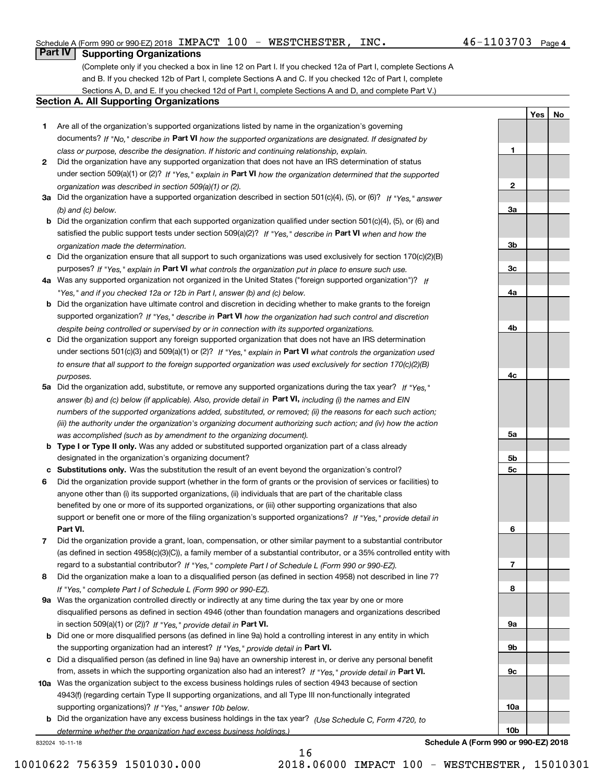**1**

**2**

**3a**

**3b**

**3c**

**4a**

**4b**

**4c**

**5a**

**5b5c**

**6**

**7**

**8**

**9a**

**9b**

**9c**

**10a**

**10b**

**YesNo**

### **Part IV Supporting Organizations**

(Complete only if you checked a box in line 12 on Part I. If you checked 12a of Part I, complete Sections A and B. If you checked 12b of Part I, complete Sections A and C. If you checked 12c of Part I, complete Sections A, D, and E. If you checked 12d of Part I, complete Sections A and D, and complete Part V.)

### **Section A. All Supporting Organizations**

- **1** Are all of the organization's supported organizations listed by name in the organization's governing documents? If "No," describe in **Part VI** how the supported organizations are designated. If designated by *class or purpose, describe the designation. If historic and continuing relationship, explain.*
- **2** Did the organization have any supported organization that does not have an IRS determination of status under section 509(a)(1) or (2)? If "Yes," explain in Part VI how the organization determined that the supported *organization was described in section 509(a)(1) or (2).*
- **3a** Did the organization have a supported organization described in section 501(c)(4), (5), or (6)? If "Yes," answer *(b) and (c) below.*
- **b** Did the organization confirm that each supported organization qualified under section 501(c)(4), (5), or (6) and satisfied the public support tests under section 509(a)(2)? If "Yes," describe in **Part VI** when and how the *organization made the determination.*
- **c**Did the organization ensure that all support to such organizations was used exclusively for section 170(c)(2)(B) purposes? If "Yes," explain in **Part VI** what controls the organization put in place to ensure such use.
- **4a***If* Was any supported organization not organized in the United States ("foreign supported organization")? *"Yes," and if you checked 12a or 12b in Part I, answer (b) and (c) below.*
- **b** Did the organization have ultimate control and discretion in deciding whether to make grants to the foreign supported organization? If "Yes," describe in **Part VI** how the organization had such control and discretion *despite being controlled or supervised by or in connection with its supported organizations.*
- **c** Did the organization support any foreign supported organization that does not have an IRS determination under sections 501(c)(3) and 509(a)(1) or (2)? If "Yes," explain in **Part VI** what controls the organization used *to ensure that all support to the foreign supported organization was used exclusively for section 170(c)(2)(B) purposes.*
- **5a** Did the organization add, substitute, or remove any supported organizations during the tax year? If "Yes," answer (b) and (c) below (if applicable). Also, provide detail in **Part VI,** including (i) the names and EIN *numbers of the supported organizations added, substituted, or removed; (ii) the reasons for each such action; (iii) the authority under the organization's organizing document authorizing such action; and (iv) how the action was accomplished (such as by amendment to the organizing document).*
- **b** Type I or Type II only. Was any added or substituted supported organization part of a class already designated in the organization's organizing document?
- **cSubstitutions only.**  Was the substitution the result of an event beyond the organization's control?
- **6** Did the organization provide support (whether in the form of grants or the provision of services or facilities) to **Part VI.** *If "Yes," provide detail in* support or benefit one or more of the filing organization's supported organizations? anyone other than (i) its supported organizations, (ii) individuals that are part of the charitable class benefited by one or more of its supported organizations, or (iii) other supporting organizations that also
- **7**Did the organization provide a grant, loan, compensation, or other similar payment to a substantial contributor *If "Yes," complete Part I of Schedule L (Form 990 or 990-EZ).* regard to a substantial contributor? (as defined in section 4958(c)(3)(C)), a family member of a substantial contributor, or a 35% controlled entity with
- **8** Did the organization make a loan to a disqualified person (as defined in section 4958) not described in line 7? *If "Yes," complete Part I of Schedule L (Form 990 or 990-EZ).*
- **9a** Was the organization controlled directly or indirectly at any time during the tax year by one or more in section 509(a)(1) or (2))? If "Yes," *provide detail in* <code>Part VI.</code> disqualified persons as defined in section 4946 (other than foundation managers and organizations described
- **b** Did one or more disqualified persons (as defined in line 9a) hold a controlling interest in any entity in which the supporting organization had an interest? If "Yes," provide detail in P**art VI**.
- **c**Did a disqualified person (as defined in line 9a) have an ownership interest in, or derive any personal benefit from, assets in which the supporting organization also had an interest? If "Yes," provide detail in P**art VI.**
- **10a** Was the organization subject to the excess business holdings rules of section 4943 because of section supporting organizations)? If "Yes," answer 10b below. 4943(f) (regarding certain Type II supporting organizations, and all Type III non-functionally integrated
- **b** Did the organization have any excess business holdings in the tax year? (Use Schedule C, Form 4720, to *determine whether the organization had excess business holdings.)*

16

832024 10-11-18

**Schedule A (Form 990 or 990-EZ) 2018**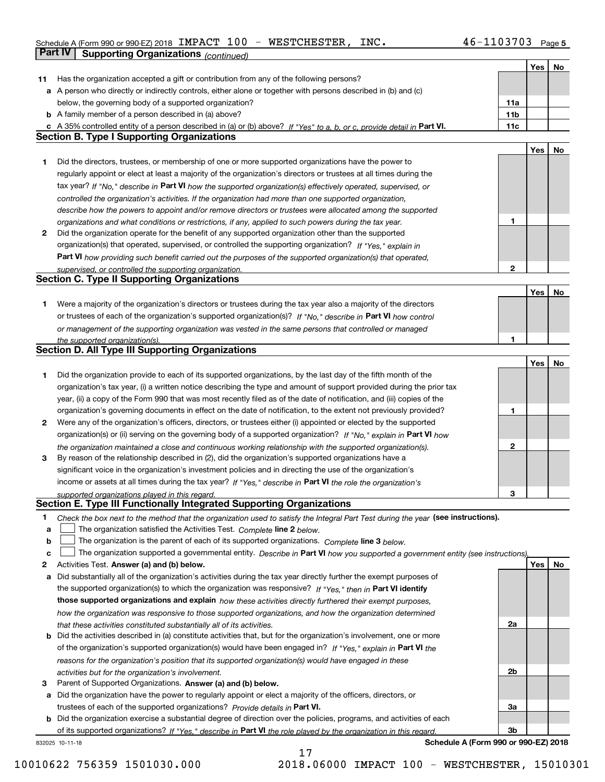### Schedule A (Form 990 or 990-EZ) 2018 Page IMPACT 100 - WESTCHESTER, INC. 46-1103703

|              | Part IV<br><b>Supporting Organizations (continued)</b>                                                                            |              |     |    |
|--------------|-----------------------------------------------------------------------------------------------------------------------------------|--------------|-----|----|
|              |                                                                                                                                   |              | Yes | No |
| 11           | Has the organization accepted a gift or contribution from any of the following persons?                                           |              |     |    |
|              | a A person who directly or indirectly controls, either alone or together with persons described in (b) and (c)                    |              |     |    |
|              | below, the governing body of a supported organization?                                                                            | 11a          |     |    |
|              | <b>b</b> A family member of a person described in (a) above?                                                                      | 11b          |     |    |
|              | c A 35% controlled entity of a person described in (a) or (b) above? If "Yes" to a, b, or c, provide detail in Part VI.           | 11c          |     |    |
|              | <b>Section B. Type I Supporting Organizations</b>                                                                                 |              |     |    |
|              |                                                                                                                                   |              | Yes | No |
| 1            | Did the directors, trustees, or membership of one or more supported organizations have the power to                               |              |     |    |
|              | regularly appoint or elect at least a majority of the organization's directors or trustees at all times during the                |              |     |    |
|              | tax year? If "No," describe in Part VI how the supported organization(s) effectively operated, supervised, or                     |              |     |    |
|              | controlled the organization's activities. If the organization had more than one supported organization,                           |              |     |    |
|              | describe how the powers to appoint and/or remove directors or trustees were allocated among the supported                         |              |     |    |
|              | organizations and what conditions or restrictions, if any, applied to such powers during the tax year.                            | 1            |     |    |
| $\mathbf{2}$ | Did the organization operate for the benefit of any supported organization other than the supported                               |              |     |    |
|              | organization(s) that operated, supervised, or controlled the supporting organization? If "Yes," explain in                        |              |     |    |
|              | Part VI how providing such benefit carried out the purposes of the supported organization(s) that operated,                       |              |     |    |
|              | supervised, or controlled the supporting organization.                                                                            | 2            |     |    |
|              | <b>Section C. Type II Supporting Organizations</b>                                                                                |              |     |    |
|              |                                                                                                                                   |              | Yes | No |
| 1            | Were a majority of the organization's directors or trustees during the tax year also a majority of the directors                  |              |     |    |
|              | or trustees of each of the organization's supported organization(s)? If "No," describe in Part VI how control                     |              |     |    |
|              | or management of the supporting organization was vested in the same persons that controlled or managed                            |              |     |    |
|              | the supported organization(s).                                                                                                    | 1            |     |    |
|              | <b>Section D. All Type III Supporting Organizations</b>                                                                           |              |     |    |
|              |                                                                                                                                   |              | Yes | No |
| 1            | Did the organization provide to each of its supported organizations, by the last day of the fifth month of the                    |              |     |    |
|              | organization's tax year, (i) a written notice describing the type and amount of support provided during the prior tax             |              |     |    |
|              | year, (ii) a copy of the Form 990 that was most recently filed as of the date of notification, and (iii) copies of the            |              |     |    |
|              | organization's governing documents in effect on the date of notification, to the extent not previously provided?                  | 1            |     |    |
| 2            | Were any of the organization's officers, directors, or trustees either (i) appointed or elected by the supported                  |              |     |    |
|              | organization(s) or (ii) serving on the governing body of a supported organization? If "No," explain in Part VI how                |              |     |    |
|              | the organization maintained a close and continuous working relationship with the supported organization(s).                       | $\mathbf{2}$ |     |    |
| 3            | By reason of the relationship described in (2), did the organization's supported organizations have a                             |              |     |    |
|              | significant voice in the organization's investment policies and in directing the use of the organization's                        |              |     |    |
|              | income or assets at all times during the tax year? If "Yes," describe in Part VI the role the organization's                      |              |     |    |
|              | supported organizations played in this regard.                                                                                    | 3            |     |    |
|              | Section E. Type III Functionally Integrated Supporting Organizations                                                              |              |     |    |
| 1            | Check the box next to the method that the organization used to satisfy the Integral Part Test during the year (see instructions). |              |     |    |
| a            | The organization satisfied the Activities Test. Complete line 2 below.                                                            |              |     |    |
| b            | The organization is the parent of each of its supported organizations. Complete line 3 below.                                     |              |     |    |
| C            | The organization supported a governmental entity. Describe in Part VI how you supported a government entity (see instructions),   |              |     |    |
| 2            | Activities Test. Answer (a) and (b) below.                                                                                        |              | Yes | No |
| a            | Did substantially all of the organization's activities during the tax year directly further the exempt purposes of                |              |     |    |
|              | the supported organization(s) to which the organization was responsive? If "Yes," then in Part VI identify                        |              |     |    |
|              | those supported organizations and explain how these activities directly furthered their exempt purposes,                          |              |     |    |
|              | how the organization was responsive to those supported organizations, and how the organization determined                         |              |     |    |
|              | that these activities constituted substantially all of its activities.                                                            | 2a           |     |    |
| b            | Did the activities described in (a) constitute activities that, but for the organization's involvement, one or more               |              |     |    |
|              | of the organization's supported organization(s) would have been engaged in? If "Yes," explain in Part VI the                      |              |     |    |
|              | reasons for the organization's position that its supported organization(s) would have engaged in these                            |              |     |    |
|              | activities but for the organization's involvement.                                                                                | 2b           |     |    |
| 3            | Parent of Supported Organizations. Answer (a) and (b) below.                                                                      |              |     |    |
| а            | Did the organization have the power to regularly appoint or elect a majority of the officers, directors, or                       |              |     |    |
|              | trustees of each of the supported organizations? Provide details in Part VI.                                                      | За           |     |    |
|              | <b>b</b> Did the organization exercise a substantial degree of direction over the policies, programs, and activities of each      |              |     |    |
|              | of its supported organizations? If "Yes," describe in Part VI the role played by the organization in this regard                  | Зb           |     |    |
|              | Schedule A (Form 990 or 990-EZ) 2018<br>832025 10-11-18                                                                           |              |     |    |

17

**Schedule A (Form 990 or 990-EZ) 2018**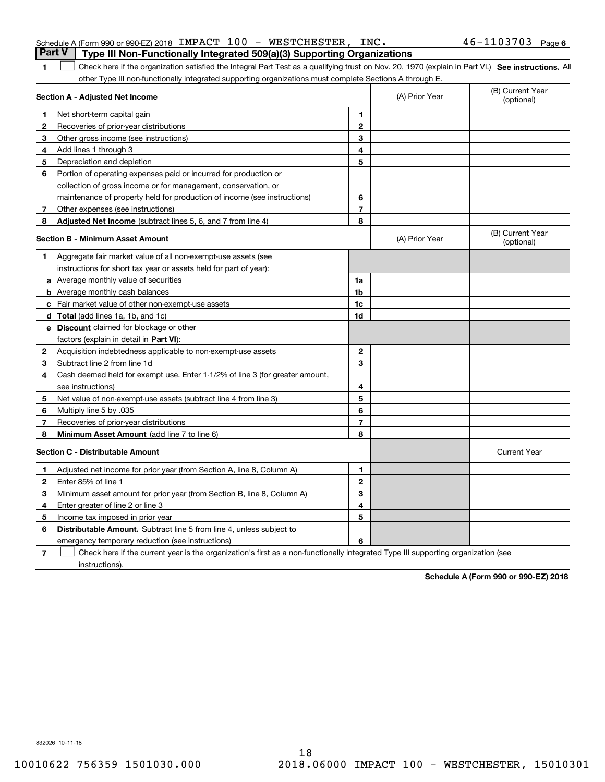|              | other Type III non-functionally integrated supporting organizations must complete Sections A through E.    |                |                                                      |                                |
|--------------|------------------------------------------------------------------------------------------------------------|----------------|------------------------------------------------------|--------------------------------|
|              | Section A - Adjusted Net Income                                                                            |                | (A) Prior Year                                       | (B) Current Year<br>(optional) |
| $\mathbf{1}$ | Net short-term capital gain                                                                                | 1              |                                                      |                                |
| 2            | Recoveries of prior-year distributions                                                                     | $\mathbf{2}$   |                                                      |                                |
| 3            | Other gross income (see instructions)                                                                      | 3              |                                                      |                                |
| 4            | Add lines 1 through 3                                                                                      | 4              |                                                      |                                |
| 5            | Depreciation and depletion                                                                                 | 5              |                                                      |                                |
| 6            | Portion of operating expenses paid or incurred for production or                                           |                |                                                      |                                |
|              | collection of gross income or for management, conservation, or                                             |                |                                                      |                                |
|              | maintenance of property held for production of income (see instructions)                                   | 6              |                                                      |                                |
| 7            | Other expenses (see instructions)                                                                          | $\overline{7}$ |                                                      |                                |
| 8            | Adjusted Net Income (subtract lines 5, 6, and 7 from line 4)                                               | 8              |                                                      |                                |
|              | <b>Section B - Minimum Asset Amount</b>                                                                    |                | (A) Prior Year                                       | (B) Current Year<br>(optional) |
| 1            | Aggregate fair market value of all non-exempt-use assets (see                                              |                |                                                      |                                |
|              | instructions for short tax year or assets held for part of year):                                          |                |                                                      |                                |
|              | a Average monthly value of securities                                                                      | 1a             |                                                      |                                |
|              | <b>b</b> Average monthly cash balances                                                                     | 1 <sub>b</sub> |                                                      |                                |
|              | c Fair market value of other non-exempt-use assets                                                         | 1 <sub>c</sub> |                                                      |                                |
|              | d Total (add lines 1a, 1b, and 1c)                                                                         | 1d             |                                                      |                                |
|              | e Discount claimed for blockage or other                                                                   |                |                                                      |                                |
|              | factors (explain in detail in Part VI):                                                                    |                |                                                      |                                |
| 2            | Acquisition indebtedness applicable to non-exempt-use assets                                               | $\mathbf{2}$   |                                                      |                                |
| 3            | Subtract line 2 from line 1d                                                                               | 3              |                                                      |                                |
| 4            | Cash deemed held for exempt use. Enter 1-1/2% of line 3 (for greater amount,                               |                |                                                      |                                |
|              | see instructions)                                                                                          | 4              |                                                      |                                |
| 5            | Net value of non-exempt-use assets (subtract line 4 from line 3)                                           | 5              |                                                      |                                |
| 6            | Multiply line 5 by .035                                                                                    | 6              |                                                      |                                |
| 7            | Recoveries of prior-year distributions                                                                     | 7              |                                                      |                                |
| 8            | Minimum Asset Amount (add line 7 to line 6)                                                                | 8              |                                                      |                                |
|              | <b>Section C - Distributable Amount</b>                                                                    |                |                                                      | <b>Current Year</b>            |
| $\mathbf{1}$ | Adjusted net income for prior year (from Section A, line 8, Column A)                                      | $\mathbf{1}$   |                                                      |                                |
| 2            | Enter 85% of line 1                                                                                        | $\mathbf{2}$   |                                                      |                                |
| 3            | Minimum asset amount for prior year (from Section B, line 8, Column A)                                     | 3              |                                                      |                                |
| 4            | Enter greater of line 2 or line 3                                                                          | 4              |                                                      |                                |
| 5            | Income tax imposed in prior year                                                                           | 5              |                                                      |                                |
| 6            | <b>Distributable Amount.</b> Subtract line 5 from line 4, unless subject to                                |                |                                                      |                                |
|              | emergency temporary reduction (see instructions)                                                           | 6              |                                                      |                                |
|              | Objects because if they recompand concert in the companishment and final are a more functionally circle of |                | وجار ومناجبا ومرومين ومناجره ومربورا الرميزي المحاجر |                                |

1 Check here if the organization satisfied the Integral Part Test as a qualifying trust on Nov. 20, 1970 (explain in Part VI.) See instructions. All

**7**Check here if the current year is the organization's first as a non-functionally integrated Type III supporting organization (see instructions).

**Schedule A (Form 990 or 990-EZ) 2018**

832026 10-11-18

**1**

### Schedule A (Form 990 or 990-EZ) 2018 Page IMPACT 100 - WESTCHESTER, INC. 46-1103703 **Part V Type III Non-Functionally Integrated 509(a)(3) Supporting Organizations**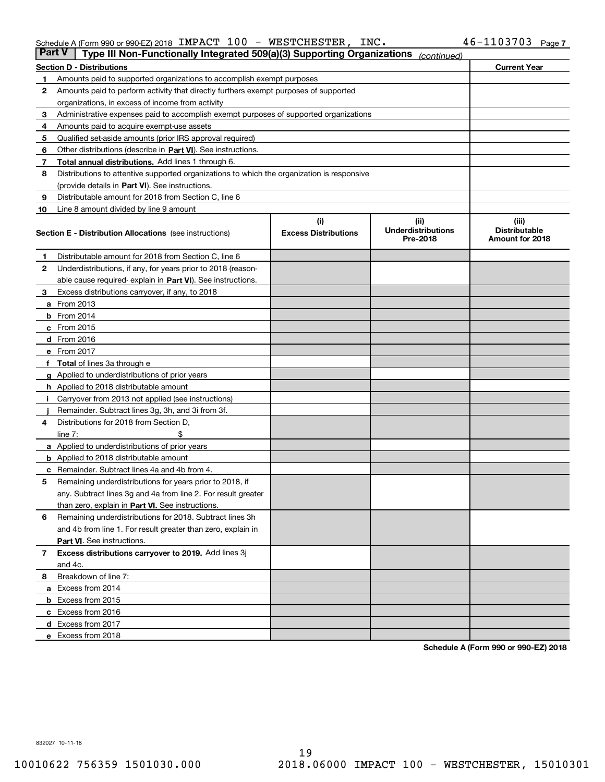### Schedule A (Form 990 or 990-EZ) 2018 Page IMPACT 100 - WESTCHESTER, INC. 46-1103703

| Part V | Type III Non-Functionally Integrated 509(a)(3) Supporting Organizations                    |                             | (continued)                           |                                         |  |  |  |  |  |
|--------|--------------------------------------------------------------------------------------------|-----------------------------|---------------------------------------|-----------------------------------------|--|--|--|--|--|
|        | <b>Section D - Distributions</b>                                                           |                             |                                       | <b>Current Year</b>                     |  |  |  |  |  |
| 1      | Amounts paid to supported organizations to accomplish exempt purposes                      |                             |                                       |                                         |  |  |  |  |  |
| 2      | Amounts paid to perform activity that directly furthers exempt purposes of supported       |                             |                                       |                                         |  |  |  |  |  |
|        | organizations, in excess of income from activity                                           |                             |                                       |                                         |  |  |  |  |  |
| з      | Administrative expenses paid to accomplish exempt purposes of supported organizations      |                             |                                       |                                         |  |  |  |  |  |
| 4      | Amounts paid to acquire exempt-use assets                                                  |                             |                                       |                                         |  |  |  |  |  |
| 5      | Qualified set-aside amounts (prior IRS approval required)                                  |                             |                                       |                                         |  |  |  |  |  |
| 6      | Other distributions (describe in Part VI). See instructions.                               |                             |                                       |                                         |  |  |  |  |  |
| 7      | <b>Total annual distributions.</b> Add lines 1 through 6.                                  |                             |                                       |                                         |  |  |  |  |  |
| 8      | Distributions to attentive supported organizations to which the organization is responsive |                             |                                       |                                         |  |  |  |  |  |
|        | (provide details in Part VI). See instructions.                                            |                             |                                       |                                         |  |  |  |  |  |
| 9      | Distributable amount for 2018 from Section C, line 6                                       |                             |                                       |                                         |  |  |  |  |  |
| 10     | Line 8 amount divided by line 9 amount                                                     |                             |                                       |                                         |  |  |  |  |  |
|        |                                                                                            | (i)                         | (iii)                                 | (iii)                                   |  |  |  |  |  |
|        | <b>Section E - Distribution Allocations</b> (see instructions)                             | <b>Excess Distributions</b> | <b>Underdistributions</b><br>Pre-2018 | <b>Distributable</b><br>Amount for 2018 |  |  |  |  |  |
| 1      | Distributable amount for 2018 from Section C, line 6                                       |                             |                                       |                                         |  |  |  |  |  |
| 2      | Underdistributions, if any, for years prior to 2018 (reason-                               |                             |                                       |                                         |  |  |  |  |  |
|        | able cause required- explain in Part VI). See instructions.                                |                             |                                       |                                         |  |  |  |  |  |
| з      | Excess distributions carryover, if any, to 2018                                            |                             |                                       |                                         |  |  |  |  |  |
|        | <b>a</b> From 2013                                                                         |                             |                                       |                                         |  |  |  |  |  |
|        | $b$ From 2014                                                                              |                             |                                       |                                         |  |  |  |  |  |
|        | c From 2015                                                                                |                             |                                       |                                         |  |  |  |  |  |
|        | d From 2016                                                                                |                             |                                       |                                         |  |  |  |  |  |
|        | e From 2017                                                                                |                             |                                       |                                         |  |  |  |  |  |
|        | Total of lines 3a through e                                                                |                             |                                       |                                         |  |  |  |  |  |
|        | <b>g</b> Applied to underdistributions of prior years                                      |                             |                                       |                                         |  |  |  |  |  |
|        | <b>h</b> Applied to 2018 distributable amount                                              |                             |                                       |                                         |  |  |  |  |  |
|        | Carryover from 2013 not applied (see instructions)                                         |                             |                                       |                                         |  |  |  |  |  |
|        | Remainder. Subtract lines 3g, 3h, and 3i from 3f.                                          |                             |                                       |                                         |  |  |  |  |  |
| 4      | Distributions for 2018 from Section D,                                                     |                             |                                       |                                         |  |  |  |  |  |
|        | line $7:$                                                                                  |                             |                                       |                                         |  |  |  |  |  |
|        | <b>a</b> Applied to underdistributions of prior years                                      |                             |                                       |                                         |  |  |  |  |  |
|        | <b>b</b> Applied to 2018 distributable amount                                              |                             |                                       |                                         |  |  |  |  |  |
| с      | Remainder. Subtract lines 4a and 4b from 4.                                                |                             |                                       |                                         |  |  |  |  |  |
| 5      | Remaining underdistributions for years prior to 2018, if                                   |                             |                                       |                                         |  |  |  |  |  |
|        | any. Subtract lines 3g and 4a from line 2. For result greater                              |                             |                                       |                                         |  |  |  |  |  |
|        | than zero, explain in Part VI. See instructions.                                           |                             |                                       |                                         |  |  |  |  |  |
| 6      | Remaining underdistributions for 2018. Subtract lines 3h                                   |                             |                                       |                                         |  |  |  |  |  |
|        | and 4b from line 1. For result greater than zero, explain in                               |                             |                                       |                                         |  |  |  |  |  |
|        | Part VI. See instructions.                                                                 |                             |                                       |                                         |  |  |  |  |  |
| 7      | Excess distributions carryover to 2019. Add lines 3j                                       |                             |                                       |                                         |  |  |  |  |  |
|        | and 4c.                                                                                    |                             |                                       |                                         |  |  |  |  |  |
| 8      | Breakdown of line 7:                                                                       |                             |                                       |                                         |  |  |  |  |  |
|        | a Excess from 2014                                                                         |                             |                                       |                                         |  |  |  |  |  |
|        | <b>b</b> Excess from 2015                                                                  |                             |                                       |                                         |  |  |  |  |  |
|        | c Excess from 2016                                                                         |                             |                                       |                                         |  |  |  |  |  |
|        | d Excess from 2017                                                                         |                             |                                       |                                         |  |  |  |  |  |
|        | e Excess from 2018                                                                         |                             |                                       |                                         |  |  |  |  |  |
|        |                                                                                            |                             |                                       |                                         |  |  |  |  |  |

**Schedule A (Form 990 or 990-EZ) 2018**

832027 10-11-18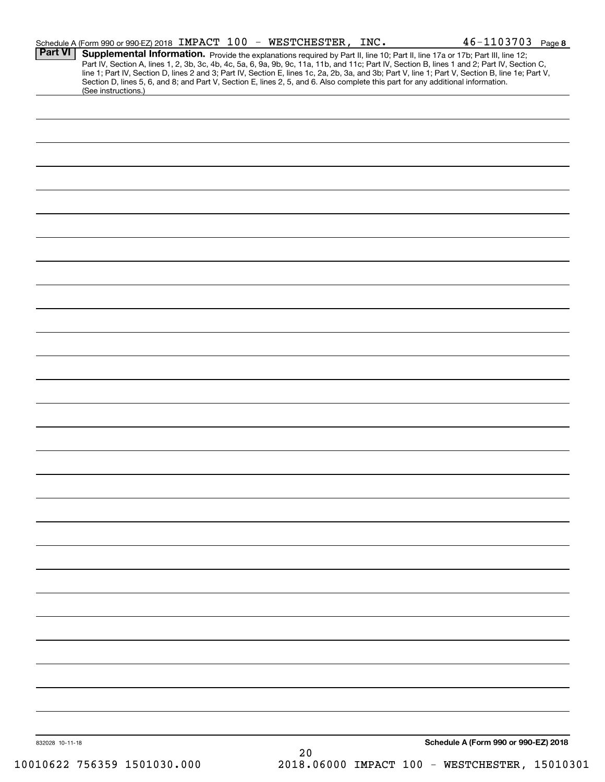|                | Schedule A (Form 990 or 990-EZ) 2018 IMPACT 100 - WESTCHESTER, INC. |  |  | $46 - 1103703$ Page 8                                                                                                                                                                                                                                                                                                                                                                                                                                                                                                         |  |
|----------------|---------------------------------------------------------------------|--|--|-------------------------------------------------------------------------------------------------------------------------------------------------------------------------------------------------------------------------------------------------------------------------------------------------------------------------------------------------------------------------------------------------------------------------------------------------------------------------------------------------------------------------------|--|
| <b>Part VI</b> | (See instructions.)                                                 |  |  | <b>Supplemental Information.</b> Provide the explanations required by Part II, line 10; Part II, line 17a or 17b; Part III, line 12;<br>Part IV, Section A, lines 1, 2, 3b, 3c, 4b, 4c, 5a, 6, 9a, 9b, 9c, 11a, 11b, and 11c; Part IV,<br>line 1; Part IV, Section D, lines 2 and 3; Part IV, Section E, lines 1c, 2a, 2b, 3a, and 3b; Part V, line 1; Part V, Section B, line 1e; Part V,<br>Section D, lines 5, 6, and 8; and Part V, Section E, lines 2, 5, and 6. Also complete this part for any additional information. |  |
|                |                                                                     |  |  |                                                                                                                                                                                                                                                                                                                                                                                                                                                                                                                               |  |
|                |                                                                     |  |  |                                                                                                                                                                                                                                                                                                                                                                                                                                                                                                                               |  |
|                |                                                                     |  |  |                                                                                                                                                                                                                                                                                                                                                                                                                                                                                                                               |  |
|                |                                                                     |  |  |                                                                                                                                                                                                                                                                                                                                                                                                                                                                                                                               |  |
|                |                                                                     |  |  |                                                                                                                                                                                                                                                                                                                                                                                                                                                                                                                               |  |
|                |                                                                     |  |  |                                                                                                                                                                                                                                                                                                                                                                                                                                                                                                                               |  |
|                |                                                                     |  |  |                                                                                                                                                                                                                                                                                                                                                                                                                                                                                                                               |  |
|                |                                                                     |  |  |                                                                                                                                                                                                                                                                                                                                                                                                                                                                                                                               |  |
|                |                                                                     |  |  |                                                                                                                                                                                                                                                                                                                                                                                                                                                                                                                               |  |
|                |                                                                     |  |  |                                                                                                                                                                                                                                                                                                                                                                                                                                                                                                                               |  |
|                |                                                                     |  |  |                                                                                                                                                                                                                                                                                                                                                                                                                                                                                                                               |  |
|                |                                                                     |  |  |                                                                                                                                                                                                                                                                                                                                                                                                                                                                                                                               |  |
|                |                                                                     |  |  |                                                                                                                                                                                                                                                                                                                                                                                                                                                                                                                               |  |
|                |                                                                     |  |  |                                                                                                                                                                                                                                                                                                                                                                                                                                                                                                                               |  |
|                |                                                                     |  |  |                                                                                                                                                                                                                                                                                                                                                                                                                                                                                                                               |  |
|                |                                                                     |  |  |                                                                                                                                                                                                                                                                                                                                                                                                                                                                                                                               |  |
|                |                                                                     |  |  |                                                                                                                                                                                                                                                                                                                                                                                                                                                                                                                               |  |
|                |                                                                     |  |  |                                                                                                                                                                                                                                                                                                                                                                                                                                                                                                                               |  |
|                |                                                                     |  |  |                                                                                                                                                                                                                                                                                                                                                                                                                                                                                                                               |  |
|                |                                                                     |  |  |                                                                                                                                                                                                                                                                                                                                                                                                                                                                                                                               |  |
|                |                                                                     |  |  |                                                                                                                                                                                                                                                                                                                                                                                                                                                                                                                               |  |
|                |                                                                     |  |  |                                                                                                                                                                                                                                                                                                                                                                                                                                                                                                                               |  |
|                |                                                                     |  |  |                                                                                                                                                                                                                                                                                                                                                                                                                                                                                                                               |  |
|                |                                                                     |  |  |                                                                                                                                                                                                                                                                                                                                                                                                                                                                                                                               |  |
|                |                                                                     |  |  |                                                                                                                                                                                                                                                                                                                                                                                                                                                                                                                               |  |
|                |                                                                     |  |  |                                                                                                                                                                                                                                                                                                                                                                                                                                                                                                                               |  |
|                |                                                                     |  |  |                                                                                                                                                                                                                                                                                                                                                                                                                                                                                                                               |  |
|                |                                                                     |  |  |                                                                                                                                                                                                                                                                                                                                                                                                                                                                                                                               |  |
|                |                                                                     |  |  |                                                                                                                                                                                                                                                                                                                                                                                                                                                                                                                               |  |
|                |                                                                     |  |  |                                                                                                                                                                                                                                                                                                                                                                                                                                                                                                                               |  |
|                |                                                                     |  |  |                                                                                                                                                                                                                                                                                                                                                                                                                                                                                                                               |  |
|                |                                                                     |  |  |                                                                                                                                                                                                                                                                                                                                                                                                                                                                                                                               |  |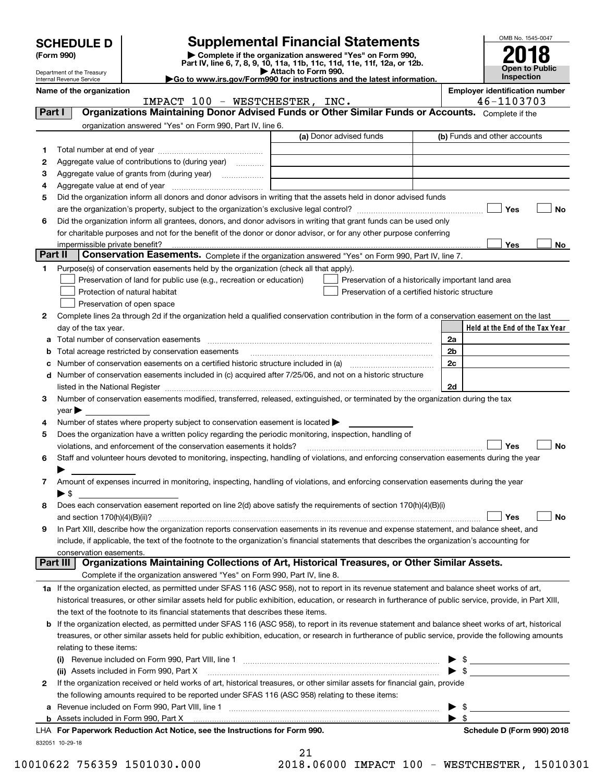|   |                                                                                                                                                                                                                               |                                                                                                                                                           | <b>Supplemental Financial Statements</b>                               |  |    | OMB No. 1545-0047                                   |
|---|-------------------------------------------------------------------------------------------------------------------------------------------------------------------------------------------------------------------------------|-----------------------------------------------------------------------------------------------------------------------------------------------------------|------------------------------------------------------------------------|--|----|-----------------------------------------------------|
|   | <b>SCHEDULE D</b><br>(Form 990)                                                                                                                                                                                               |                                                                                                                                                           |                                                                        |  |    |                                                     |
|   | Department of the Treasury<br>Internal Revenue Service                                                                                                                                                                        |                                                                                                                                                           | <b>Open to Public</b><br>Inspection                                    |  |    |                                                     |
|   | Name of the organization                                                                                                                                                                                                      |                                                                                                                                                           | Go to www.irs.gov/Form990 for instructions and the latest information. |  |    | <b>Employer identification number</b><br>46-1103703 |
|   | Part I                                                                                                                                                                                                                        | IMPACT 100 - WESTCHESTER, INC.<br>Organizations Maintaining Donor Advised Funds or Other Similar Funds or Accounts. Complete if the                       |                                                                        |  |    |                                                     |
|   |                                                                                                                                                                                                                               | organization answered "Yes" on Form 990, Part IV, line 6.                                                                                                 |                                                                        |  |    |                                                     |
|   |                                                                                                                                                                                                                               |                                                                                                                                                           | (a) Donor advised funds                                                |  |    | (b) Funds and other accounts                        |
| 1 |                                                                                                                                                                                                                               |                                                                                                                                                           |                                                                        |  |    |                                                     |
| 2 |                                                                                                                                                                                                                               | Aggregate value of contributions to (during year)                                                                                                         |                                                                        |  |    |                                                     |
| З |                                                                                                                                                                                                                               |                                                                                                                                                           |                                                                        |  |    |                                                     |
| 4 |                                                                                                                                                                                                                               |                                                                                                                                                           |                                                                        |  |    |                                                     |
| 5 |                                                                                                                                                                                                                               | Did the organization inform all donors and donor advisors in writing that the assets held in donor advised funds                                          |                                                                        |  |    |                                                     |
|   |                                                                                                                                                                                                                               |                                                                                                                                                           |                                                                        |  |    | Yes<br>No                                           |
| 6 |                                                                                                                                                                                                                               | Did the organization inform all grantees, donors, and donor advisors in writing that grant funds can be used only                                         |                                                                        |  |    |                                                     |
|   |                                                                                                                                                                                                                               | for charitable purposes and not for the benefit of the donor or donor advisor, or for any other purpose conferring                                        |                                                                        |  |    |                                                     |
|   | impermissible private benefit?                                                                                                                                                                                                |                                                                                                                                                           |                                                                        |  |    | Yes<br>No                                           |
|   | Part II                                                                                                                                                                                                                       | Conservation Easements. Complete if the organization answered "Yes" on Form 990, Part IV, line 7.                                                         |                                                                        |  |    |                                                     |
| 1 |                                                                                                                                                                                                                               | Purpose(s) of conservation easements held by the organization (check all that apply).                                                                     |                                                                        |  |    |                                                     |
|   |                                                                                                                                                                                                                               | Preservation of land for public use (e.g., recreation or education)                                                                                       | Preservation of a historically important land area                     |  |    |                                                     |
|   |                                                                                                                                                                                                                               | Protection of natural habitat                                                                                                                             | Preservation of a certified historic structure                         |  |    |                                                     |
|   |                                                                                                                                                                                                                               | Preservation of open space                                                                                                                                |                                                                        |  |    |                                                     |
| 2 | day of the tax year.                                                                                                                                                                                                          | Complete lines 2a through 2d if the organization held a qualified conservation contribution in the form of a conservation easement on the last            |                                                                        |  |    | Held at the End of the Tax Year                     |
| а |                                                                                                                                                                                                                               |                                                                                                                                                           |                                                                        |  | 2a |                                                     |
|   | Total number of conservation easements<br>Total acreage restricted by conservation easements                                                                                                                                  |                                                                                                                                                           |                                                                        |  |    |                                                     |
| с |                                                                                                                                                                                                                               |                                                                                                                                                           | 2b<br>2c                                                               |  |    |                                                     |
| d | Number of conservation easements included in (c) acquired after 7/25/06, and not on a historic structure                                                                                                                      |                                                                                                                                                           |                                                                        |  |    |                                                     |
|   | listed in the National Register [111] Marshall Register [11] Marshall Register [11] Marshall Register [11] Marshall Register [11] Marshall Register [11] Marshall Register [11] Marshall Register [11] Marshall Register [11] |                                                                                                                                                           |                                                                        |  |    |                                                     |
| 3 |                                                                                                                                                                                                                               | Number of conservation easements modified, transferred, released, extinguished, or terminated by the organization during the tax                          |                                                                        |  |    |                                                     |
|   | $\vee$ ear                                                                                                                                                                                                                    |                                                                                                                                                           |                                                                        |  |    |                                                     |
| 4 |                                                                                                                                                                                                                               | Number of states where property subject to conservation easement is located >                                                                             |                                                                        |  |    |                                                     |
| 5 |                                                                                                                                                                                                                               | Does the organization have a written policy regarding the periodic monitoring, inspection, handling of                                                    |                                                                        |  |    |                                                     |
|   |                                                                                                                                                                                                                               | violations, and enforcement of the conservation easements it holds?                                                                                       |                                                                        |  |    | Yes<br>No                                           |
| 6 |                                                                                                                                                                                                                               | Staff and volunteer hours devoted to monitoring, inspecting, handling of violations, and enforcing conservation easements during the year                 |                                                                        |  |    |                                                     |
|   |                                                                                                                                                                                                                               | Amount of expenses incurred in monitoring, inspecting, handling of violations, and enforcing conservation easements during the year                       |                                                                        |  |    |                                                     |
| 7 | ▶ \$                                                                                                                                                                                                                          |                                                                                                                                                           |                                                                        |  |    |                                                     |
| 8 |                                                                                                                                                                                                                               | Does each conservation easement reported on line 2(d) above satisfy the requirements of section 170(h)(4)(B)(i)                                           |                                                                        |  |    |                                                     |
|   | and section $170(h)(4)(B)(ii)?$                                                                                                                                                                                               |                                                                                                                                                           |                                                                        |  |    | Yes<br><b>No</b>                                    |
| 9 |                                                                                                                                                                                                                               | In Part XIII, describe how the organization reports conservation easements in its revenue and expense statement, and balance sheet, and                   |                                                                        |  |    |                                                     |
|   |                                                                                                                                                                                                                               | include, if applicable, the text of the footnote to the organization's financial statements that describes the organization's accounting for              |                                                                        |  |    |                                                     |
|   | conservation easements.                                                                                                                                                                                                       |                                                                                                                                                           |                                                                        |  |    |                                                     |
|   | Part III                                                                                                                                                                                                                      | Organizations Maintaining Collections of Art, Historical Treasures, or Other Similar Assets.                                                              |                                                                        |  |    |                                                     |
|   |                                                                                                                                                                                                                               | Complete if the organization answered "Yes" on Form 990, Part IV, line 8.                                                                                 |                                                                        |  |    |                                                     |
|   |                                                                                                                                                                                                                               | 1a If the organization elected, as permitted under SFAS 116 (ASC 958), not to report in its revenue statement and balance sheet works of art,             |                                                                        |  |    |                                                     |
|   |                                                                                                                                                                                                                               | historical treasures, or other similar assets held for public exhibition, education, or research in furtherance of public service, provide, in Part XIII, |                                                                        |  |    |                                                     |
|   |                                                                                                                                                                                                                               | the text of the footnote to its financial statements that describes these items.                                                                          |                                                                        |  |    |                                                     |
| b |                                                                                                                                                                                                                               | If the organization elected, as permitted under SFAS 116 (ASC 958), to report in its revenue statement and balance sheet works of art, historical         |                                                                        |  |    |                                                     |
|   |                                                                                                                                                                                                                               | treasures, or other similar assets held for public exhibition, education, or research in furtherance of public service, provide the following amounts     |                                                                        |  |    |                                                     |
|   | relating to these items:                                                                                                                                                                                                      |                                                                                                                                                           |                                                                        |  |    |                                                     |
|   |                                                                                                                                                                                                                               |                                                                                                                                                           |                                                                        |  |    |                                                     |
|   |                                                                                                                                                                                                                               | (ii) Assets included in Form 990, Part X                                                                                                                  |                                                                        |  |    |                                                     |
| 2 |                                                                                                                                                                                                                               | If the organization received or held works of art, historical treasures, or other similar assets for financial gain, provide                              |                                                                        |  |    |                                                     |
|   |                                                                                                                                                                                                                               | the following amounts required to be reported under SFAS 116 (ASC 958) relating to these items:                                                           |                                                                        |  |    |                                                     |
| а |                                                                                                                                                                                                                               |                                                                                                                                                           |                                                                        |  |    | $\frac{1}{2}$                                       |
|   |                                                                                                                                                                                                                               |                                                                                                                                                           |                                                                        |  |    |                                                     |

| LHA For Paperwork Reduction Act Notice, see the Instructions for Form 990. | Schedule D (Form 990) 2018 |
|----------------------------------------------------------------------------|----------------------------|
| 832051 10-29-18                                                            |                            |

| Schedule D (Form 990) 2018 |  |  |  |
|----------------------------|--|--|--|
|                            |  |  |  |

21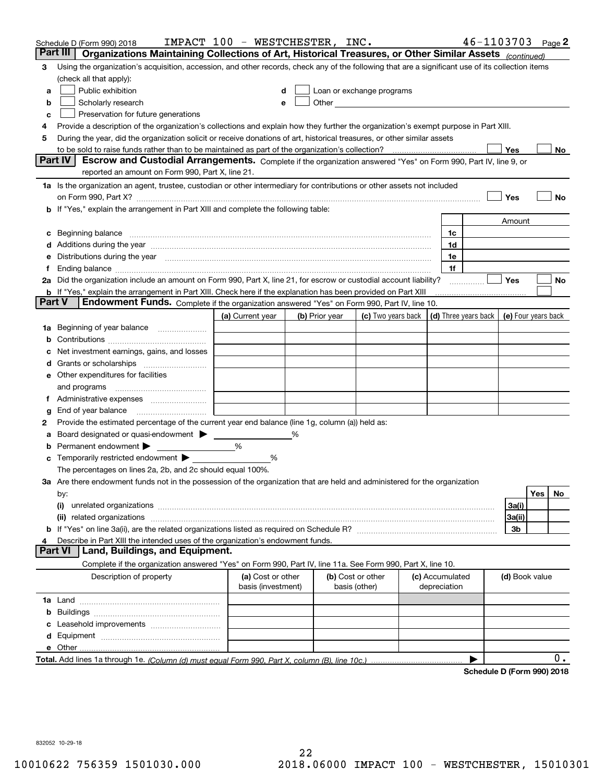|        | Schedule D (Form 990) 2018                                                                                                                                                                                                          | IMPACT 100 - WESTCHESTER, INC.          |   |                |                                    |                                 | $46 - 1103703$ Page 2      |                     |     |       |
|--------|-------------------------------------------------------------------------------------------------------------------------------------------------------------------------------------------------------------------------------------|-----------------------------------------|---|----------------|------------------------------------|---------------------------------|----------------------------|---------------------|-----|-------|
|        | Part III<br>Organizations Maintaining Collections of Art, Historical Treasures, or Other Similar Assets (continued)                                                                                                                 |                                         |   |                |                                    |                                 |                            |                     |     |       |
| 3      | Using the organization's acquisition, accession, and other records, check any of the following that are a significant use of its collection items                                                                                   |                                         |   |                |                                    |                                 |                            |                     |     |       |
|        | (check all that apply):                                                                                                                                                                                                             |                                         |   |                |                                    |                                 |                            |                     |     |       |
| а      | Public exhibition                                                                                                                                                                                                                   | d                                       |   |                | Loan or exchange programs          |                                 |                            |                     |     |       |
| b      | Scholarly research                                                                                                                                                                                                                  | e                                       |   |                |                                    |                                 |                            |                     |     |       |
| с      | Preservation for future generations                                                                                                                                                                                                 |                                         |   |                |                                    |                                 |                            |                     |     |       |
| 4      | Provide a description of the organization's collections and explain how they further the organization's exempt purpose in Part XIII.                                                                                                |                                         |   |                |                                    |                                 |                            |                     |     |       |
| 5      | During the year, did the organization solicit or receive donations of art, historical treasures, or other similar assets                                                                                                            |                                         |   |                |                                    |                                 |                            |                     |     |       |
|        | to be sold to raise funds rather than to be maintained as part of the organization's collection?                                                                                                                                    |                                         |   |                |                                    |                                 |                            | Yes                 |     | No    |
|        | Escrow and Custodial Arrangements. Complete if the organization answered "Yes" on Form 990, Part IV, line 9, or<br><b>Part IV</b><br>reported an amount on Form 990, Part X, line 21.                                               |                                         |   |                |                                    |                                 |                            |                     |     |       |
|        | 1a Is the organization an agent, trustee, custodian or other intermediary for contributions or other assets not included                                                                                                            |                                         |   |                |                                    |                                 |                            |                     |     |       |
|        |                                                                                                                                                                                                                                     |                                         |   |                |                                    |                                 |                            | Yes                 |     | No    |
|        | b If "Yes," explain the arrangement in Part XIII and complete the following table:                                                                                                                                                  |                                         |   |                |                                    |                                 |                            |                     |     |       |
|        |                                                                                                                                                                                                                                     |                                         |   |                |                                    |                                 |                            | Amount              |     |       |
|        |                                                                                                                                                                                                                                     |                                         |   |                |                                    | 1c                              |                            |                     |     |       |
| c      | Beginning balance <b>contract to the contract of the contract of the contract of the contract of the contract of t</b>                                                                                                              |                                         |   |                |                                    | 1d                              |                            |                     |     |       |
|        | d Additions during the year measurement contains and a state of the year measurement of the year measurement of                                                                                                                     |                                         |   |                |                                    |                                 |                            |                     |     |       |
|        | e Distributions during the year manufactured and an according to the distributions during the year manufactured and the state of the state of the state of the state of the state of the state of the state of the state of th      |                                         |   |                |                                    | 1e<br>1f                        |                            |                     |     |       |
|        | 2a Did the organization include an amount on Form 990, Part X, line 21, for escrow or custodial account liability?                                                                                                                  |                                         |   |                |                                    |                                 |                            | Yes                 |     | No    |
|        | <b>b</b> If "Yes," explain the arrangement in Part XIII. Check here if the explanation has been provided on Part XIII                                                                                                               |                                         |   |                |                                    |                                 |                            |                     |     |       |
| Part V | Endowment Funds. Complete if the organization answered "Yes" on Form 990, Part IV, line 10.                                                                                                                                         |                                         |   |                |                                    |                                 |                            |                     |     |       |
|        |                                                                                                                                                                                                                                     | (a) Current year                        |   | (b) Prior year | (c) Two years back                 |                                 | (d) Three years back       | (e) Four years back |     |       |
|        | 1a Beginning of year balance                                                                                                                                                                                                        |                                         |   |                |                                    |                                 |                            |                     |     |       |
|        |                                                                                                                                                                                                                                     |                                         |   |                |                                    |                                 |                            |                     |     |       |
| b      |                                                                                                                                                                                                                                     |                                         |   |                |                                    |                                 |                            |                     |     |       |
| c      | Net investment earnings, gains, and losses                                                                                                                                                                                          |                                         |   |                |                                    |                                 |                            |                     |     |       |
|        |                                                                                                                                                                                                                                     |                                         |   |                |                                    |                                 |                            |                     |     |       |
|        | e Other expenditures for facilities                                                                                                                                                                                                 |                                         |   |                |                                    |                                 |                            |                     |     |       |
|        | and programs                                                                                                                                                                                                                        |                                         |   |                |                                    |                                 |                            |                     |     |       |
|        |                                                                                                                                                                                                                                     |                                         |   |                |                                    |                                 |                            |                     |     |       |
| g      |                                                                                                                                                                                                                                     |                                         |   |                |                                    |                                 |                            |                     |     |       |
| 2      | Provide the estimated percentage of the current year end balance (line 1g, column (a)) held as:                                                                                                                                     |                                         |   |                |                                    |                                 |                            |                     |     |       |
| а      | Board designated or quasi-endowment > ______                                                                                                                                                                                        |                                         | % |                |                                    |                                 |                            |                     |     |       |
| b      | Permanent endowment                                                                                                                                                                                                                 | %                                       |   |                |                                    |                                 |                            |                     |     |       |
| c      | Temporarily restricted endowment $\blacktriangleright$                                                                                                                                                                              | %                                       |   |                |                                    |                                 |                            |                     |     |       |
|        | The percentages on lines 2a, 2b, and 2c should equal 100%.                                                                                                                                                                          |                                         |   |                |                                    |                                 |                            |                     |     |       |
|        | 3a Are there endowment funds not in the possession of the organization that are held and administered for the organization                                                                                                          |                                         |   |                |                                    |                                 |                            |                     |     |       |
|        | by:                                                                                                                                                                                                                                 |                                         |   |                |                                    |                                 |                            |                     | Yes | No    |
|        | (i)                                                                                                                                                                                                                                 |                                         |   |                |                                    |                                 |                            | 3a(i)               |     |       |
|        | (ii) related organizations <b>constructions</b> and construction of the construction of the construction of the construction of the construction of the construction of the construction of the construction of the construction of |                                         |   |                |                                    |                                 |                            | 3a(ii)              |     |       |
|        |                                                                                                                                                                                                                                     |                                         |   |                |                                    |                                 |                            | 3b                  |     |       |
| 4      | Describe in Part XIII the intended uses of the organization's endowment funds.<br>Land, Buildings, and Equipment.<br><b>Part VI</b>                                                                                                 |                                         |   |                |                                    |                                 |                            |                     |     |       |
|        |                                                                                                                                                                                                                                     |                                         |   |                |                                    |                                 |                            |                     |     |       |
|        | Complete if the organization answered "Yes" on Form 990, Part IV, line 11a. See Form 990, Part X, line 10.                                                                                                                          |                                         |   |                |                                    |                                 |                            |                     |     |       |
|        | Description of property                                                                                                                                                                                                             | (a) Cost or other<br>basis (investment) |   |                | (b) Cost or other<br>basis (other) | (c) Accumulated<br>depreciation |                            | (d) Book value      |     |       |
|        |                                                                                                                                                                                                                                     |                                         |   |                |                                    |                                 |                            |                     |     |       |
|        |                                                                                                                                                                                                                                     |                                         |   |                |                                    |                                 |                            |                     |     |       |
| b      |                                                                                                                                                                                                                                     |                                         |   |                |                                    |                                 |                            |                     |     |       |
| с      |                                                                                                                                                                                                                                     |                                         |   |                |                                    |                                 |                            |                     |     |       |
|        |                                                                                                                                                                                                                                     |                                         |   |                |                                    |                                 |                            |                     |     |       |
|        |                                                                                                                                                                                                                                     |                                         |   |                |                                    |                                 |                            |                     |     | $0$ . |
|        |                                                                                                                                                                                                                                     |                                         |   |                |                                    |                                 | Schedule D (Form 990) 2018 |                     |     |       |
|        |                                                                                                                                                                                                                                     |                                         |   |                |                                    |                                 |                            |                     |     |       |

832052 10-29-18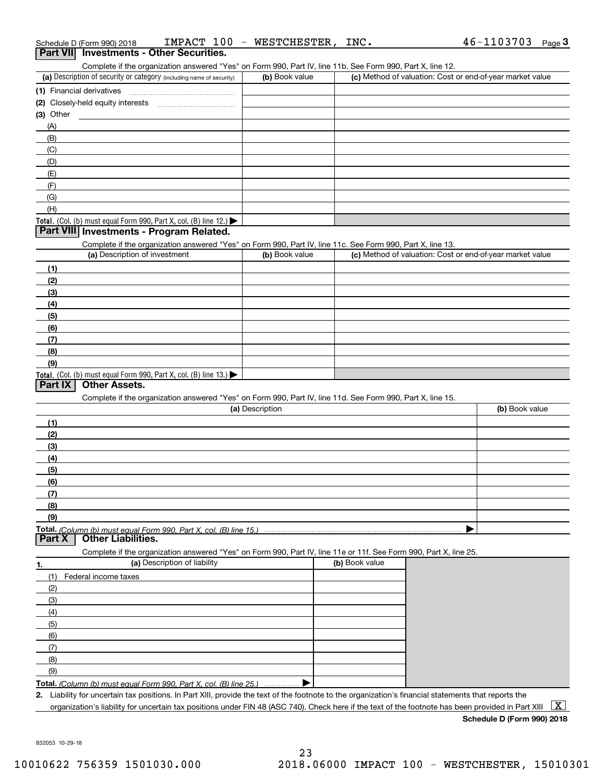| IMPACT<br>-1 J<br>chedule D (Form 990) 2018 |
|---------------------------------------------|
|---------------------------------------------|

|             | Schedule D (Form 990) 2018    | IMPACT 100                                                                                                        | $\sim$<br>WESTCHESTER, | INC.           | 46-1103703<br>Page $3$                                                                                                                               |
|-------------|-------------------------------|-------------------------------------------------------------------------------------------------------------------|------------------------|----------------|------------------------------------------------------------------------------------------------------------------------------------------------------|
|             |                               | Part VII Investments - Other Securities.                                                                          |                        |                |                                                                                                                                                      |
|             |                               | Complete if the organization answered "Yes" on Form 990, Part IV, line 11b. See Form 990, Part X, line 12.        |                        |                |                                                                                                                                                      |
|             |                               | (a) Description of security or category (including name of security)                                              | (b) Book value         |                | (c) Method of valuation: Cost or end-of-year market value                                                                                            |
|             | (1) Financial derivatives     |                                                                                                                   |                        |                |                                                                                                                                                      |
|             |                               |                                                                                                                   |                        |                |                                                                                                                                                      |
| $(3)$ Other |                               |                                                                                                                   |                        |                |                                                                                                                                                      |
| (A)         |                               |                                                                                                                   |                        |                |                                                                                                                                                      |
| (B)         |                               |                                                                                                                   |                        |                |                                                                                                                                                      |
| (C)         |                               |                                                                                                                   |                        |                |                                                                                                                                                      |
| (D)         |                               |                                                                                                                   |                        |                |                                                                                                                                                      |
| (E)         |                               |                                                                                                                   |                        |                |                                                                                                                                                      |
| (F)         |                               |                                                                                                                   |                        |                |                                                                                                                                                      |
| (G)         |                               |                                                                                                                   |                        |                |                                                                                                                                                      |
| (H)         |                               |                                                                                                                   |                        |                |                                                                                                                                                      |
|             |                               | Total. (Col. (b) must equal Form 990, Part X, col. (B) line 12.)                                                  |                        |                |                                                                                                                                                      |
|             |                               | Part VIII Investments - Program Related.                                                                          |                        |                |                                                                                                                                                      |
|             |                               | Complete if the organization answered "Yes" on Form 990, Part IV, line 11c. See Form 990, Part X, line 13.        |                        |                |                                                                                                                                                      |
|             | (a) Description of investment |                                                                                                                   | (b) Book value         |                | (c) Method of valuation: Cost or end-of-year market value                                                                                            |
| (1)         |                               |                                                                                                                   |                        |                |                                                                                                                                                      |
| (2)         |                               |                                                                                                                   |                        |                |                                                                                                                                                      |
| (3)         |                               |                                                                                                                   |                        |                |                                                                                                                                                      |
| (4)         |                               |                                                                                                                   |                        |                |                                                                                                                                                      |
| (5)         |                               |                                                                                                                   |                        |                |                                                                                                                                                      |
| (6)         |                               |                                                                                                                   |                        |                |                                                                                                                                                      |
| (7)         |                               |                                                                                                                   |                        |                |                                                                                                                                                      |
| (8)         |                               |                                                                                                                   |                        |                |                                                                                                                                                      |
| (9)         |                               |                                                                                                                   |                        |                |                                                                                                                                                      |
|             |                               | Total. (Col. (b) must equal Form 990, Part X, col. (B) line 13.)                                                  |                        |                |                                                                                                                                                      |
| Part IX     | <b>Other Assets.</b>          |                                                                                                                   |                        |                |                                                                                                                                                      |
|             |                               | Complete if the organization answered "Yes" on Form 990, Part IV, line 11d. See Form 990, Part X, line 15.        |                        |                |                                                                                                                                                      |
|             |                               |                                                                                                                   | (a) Description        |                | (b) Book value                                                                                                                                       |
| (1)         |                               |                                                                                                                   |                        |                |                                                                                                                                                      |
|             |                               |                                                                                                                   |                        |                |                                                                                                                                                      |
| (2)         |                               |                                                                                                                   |                        |                |                                                                                                                                                      |
| (3)         |                               |                                                                                                                   |                        |                |                                                                                                                                                      |
| (4)         |                               |                                                                                                                   |                        |                |                                                                                                                                                      |
| (5)         |                               |                                                                                                                   |                        |                |                                                                                                                                                      |
| (6)         |                               |                                                                                                                   |                        |                |                                                                                                                                                      |
| (7)         |                               |                                                                                                                   |                        |                |                                                                                                                                                      |
| (8)         |                               |                                                                                                                   |                        |                |                                                                                                                                                      |
| (9)         |                               |                                                                                                                   |                        |                |                                                                                                                                                      |
|             | <b>Other Liabilities.</b>     | Total. (Column (b) must equal Form 990. Part X, col. (B) line 15.)                                                |                        |                |                                                                                                                                                      |
| Part X      |                               |                                                                                                                   |                        |                |                                                                                                                                                      |
|             |                               | Complete if the organization answered "Yes" on Form 990, Part IV, line 11e or 11f. See Form 990, Part X, line 25. |                        |                |                                                                                                                                                      |
| 1.          |                               | (a) Description of liability                                                                                      |                        | (b) Book value |                                                                                                                                                      |
| (1)         | Federal income taxes          |                                                                                                                   |                        |                |                                                                                                                                                      |
| (2)         |                               |                                                                                                                   |                        |                |                                                                                                                                                      |
| (3)         |                               |                                                                                                                   |                        |                |                                                                                                                                                      |
| (4)         |                               |                                                                                                                   |                        |                |                                                                                                                                                      |
| (5)         |                               |                                                                                                                   |                        |                |                                                                                                                                                      |
| (6)         |                               |                                                                                                                   |                        |                |                                                                                                                                                      |
| (7)         |                               |                                                                                                                   |                        |                |                                                                                                                                                      |
| (8)         |                               |                                                                                                                   |                        |                |                                                                                                                                                      |
| (9)         |                               |                                                                                                                   |                        |                |                                                                                                                                                      |
|             |                               | Total. (Column (b) must equal Form 990, Part X, col. (B) line 25.)                                                |                        |                |                                                                                                                                                      |
|             |                               |                                                                                                                   |                        |                | 2. Liability for uncertain tax positions. In Part XIII, provide the text of the footnote to the organization's financial statements that reports the |

organization's liability for uncertain tax positions under FIN 48 (ASC 740). Check here if the text of the footnote has been provided in Part XIII  $~\boxed{\rm X}$ 

**Schedule D (Form 990) 2018**

832053 10-29-18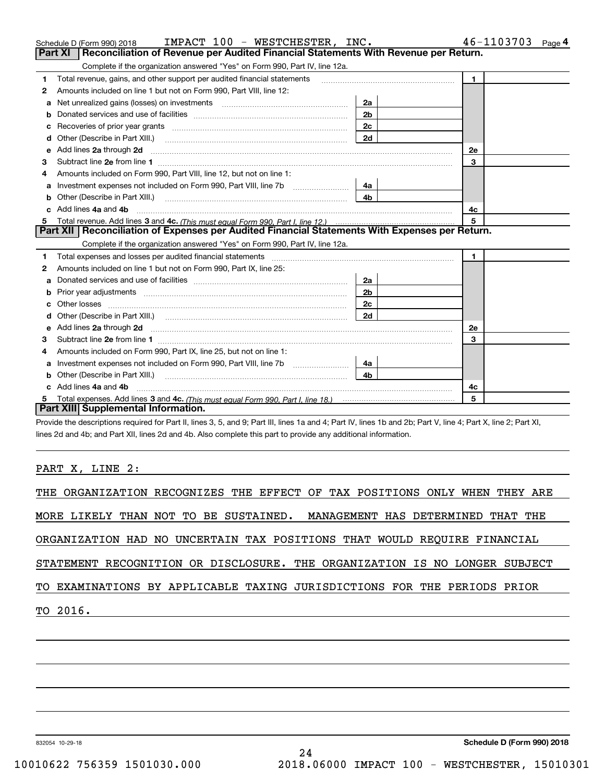|    | Schedule D (Form 990) 2018<br>IMPACT 100 - WESTCHESTER, INC.                                                                                                                                                                        |                | 46-1103703<br>Page 4 |
|----|-------------------------------------------------------------------------------------------------------------------------------------------------------------------------------------------------------------------------------------|----------------|----------------------|
|    | Reconciliation of Revenue per Audited Financial Statements With Revenue per Return.<br><b>Part XI</b>                                                                                                                               |                |                      |
|    | Complete if the organization answered "Yes" on Form 990, Part IV, line 12a.                                                                                                                                                         |                |                      |
| 1  | Total revenue, gains, and other support per audited financial statements                                                                                                                                                            |                | $\blacksquare$       |
| 2  | Amounts included on line 1 but not on Form 990, Part VIII, line 12:                                                                                                                                                                 |                |                      |
| a  | Net unrealized gains (losses) on investments [11] matter contracts and the unrealized gains (losses) on investments                                                                                                                 | 2a             |                      |
|    |                                                                                                                                                                                                                                     | 2 <sub>b</sub> |                      |
| c  |                                                                                                                                                                                                                                     | 2c             |                      |
| d  | Other (Describe in Part XIII.) [2000] [2010] [2010] [2010] [2010] [2010] [2010] [2010] [2010] [2010] [2010] [2010] [2010] [2010] [2010] [2010] [2010] [2010] [2010] [2010] [2010] [2010] [2010] [2010] [2010] [2010] [2010] [2      | 2d             |                      |
| е  | Add lines 2a through 2d <b>continuum continuum contract and continuum contract a</b> through 2d continuum contract and continuum contract a term of the contract and contract a term of the contract and contract a term of the con |                | 2e                   |
| 3  |                                                                                                                                                                                                                                     |                | 3                    |
| 4  | Amounts included on Form 990, Part VIII, line 12, but not on line 1:                                                                                                                                                                |                |                      |
| a  | Investment expenses not included on Form 990, Part VIII, line 7b [100] [100] [100] [100] [100] [100] [100] [10                                                                                                                      | 4a             |                      |
| b  | Other (Describe in Part XIII.) <b>Construction Contract Construction</b> Chemical Construction Chemical Chemical Chemical Chemical Chemical Chemical Chemical Chemical Chemical Chemical Chemical Chemical Chemical Chemical Chemic | 4 <sub>b</sub> |                      |
|    | Add lines 4a and 4b                                                                                                                                                                                                                 | 4с             |                      |
| 5  |                                                                                                                                                                                                                                     |                |                      |
|    | Part XII   Reconciliation of Expenses per Audited Financial Statements With Expenses per Return.                                                                                                                                    |                |                      |
|    | Complete if the organization answered "Yes" on Form 990, Part IV, line 12a.                                                                                                                                                         |                |                      |
| 1. | Total expenses and losses per audited financial statements [11] [12] contain an intervention and contain a statements [13] [13] and the statements [13] [13] and the statements [13] and the statements [13] and the statement      |                | $\mathbf{1}$         |
| 2  | Amounts included on line 1 but not on Form 990, Part IX, line 25:                                                                                                                                                                   |                |                      |
| a  |                                                                                                                                                                                                                                     | 2a             |                      |
| b  |                                                                                                                                                                                                                                     | 2 <sub>b</sub> |                      |
|    |                                                                                                                                                                                                                                     | 2c             |                      |
|    | Other (Describe in Part XIII.) (2000) (2000) (2000) (2000) (2000) (2000) (2000) (2000) (2000) (2000) (2000) (2000) (2000) (2000) (2000) (2000) (2000) (2000) (2000) (2000) (2000) (2000) (2000) (2000) (2000) (2000) (2000) (2      | 2d             |                      |
| е  | Add lines 2a through 2d <b>must be a constructed as the constant of the constant of the constant of the construction</b>                                                                                                            |                | 2e                   |
| 3  |                                                                                                                                                                                                                                     |                | 3                    |
| 4  | Amounts included on Form 990, Part IX, line 25, but not on line 1:                                                                                                                                                                  |                |                      |
| a  |                                                                                                                                                                                                                                     | 4a             |                      |
|    |                                                                                                                                                                                                                                     | 4 <sub>b</sub> |                      |
|    | c Add lines 4a and 4b                                                                                                                                                                                                               |                | 4c                   |
|    |                                                                                                                                                                                                                                     |                | 5                    |
|    | Part XIII Supplemental Information.                                                                                                                                                                                                 |                |                      |

Provide the descriptions required for Part II, lines 3, 5, and 9; Part III, lines 1a and 4; Part IV, lines 1b and 2b; Part V, line 4; Part X, line 2; Part XI, lines 2d and 4b; and Part XII, lines 2d and 4b. Also complete this part to provide any additional information.

### PART X, LINE 2:

|  |          |  |  |  |  |  |                                                                            |  |  |  |  |  | THE ORGANIZATION RECOGNIZES THE EFFECT OF TAX POSITIONS ONLY WHEN THEY ARE |  |
|--|----------|--|--|--|--|--|----------------------------------------------------------------------------|--|--|--|--|--|----------------------------------------------------------------------------|--|
|  |          |  |  |  |  |  | MORE LIKELY THAN NOT TO BE SUSTAINED. MANAGEMENT HAS DETERMINED THAT THE   |  |  |  |  |  |                                                                            |  |
|  |          |  |  |  |  |  | ORGANIZATION HAD NO UNCERTAIN TAX POSITIONS THAT WOULD REQUIRE FINANCIAL   |  |  |  |  |  |                                                                            |  |
|  |          |  |  |  |  |  | STATEMENT RECOGNITION OR DISCLOSURE. THE ORGANIZATION IS NO LONGER SUBJECT |  |  |  |  |  |                                                                            |  |
|  |          |  |  |  |  |  | TO EXAMINATIONS BY APPLICABLE TAXING JURISDICTIONS FOR THE PERIODS PRIOR   |  |  |  |  |  |                                                                            |  |
|  | TO 2016. |  |  |  |  |  |                                                                            |  |  |  |  |  |                                                                            |  |
|  |          |  |  |  |  |  |                                                                            |  |  |  |  |  |                                                                            |  |
|  |          |  |  |  |  |  |                                                                            |  |  |  |  |  |                                                                            |  |

832054 10-29-18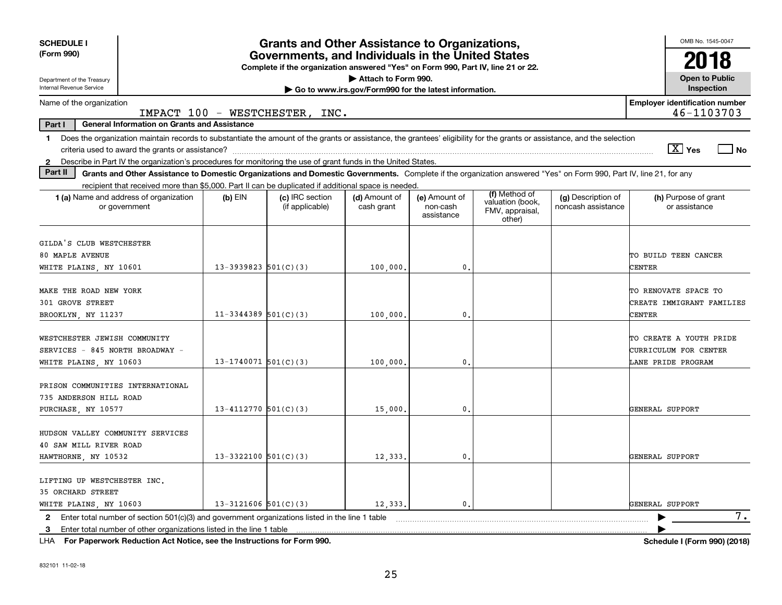| <b>SCHEDULE I</b>                                                                                                                                                              |                                                                                                                   | <b>Grants and Other Assistance to Organizations,</b> |                                                       |                                         |                                                                |                                          | OMB No. 1545-0047                                                      |  |  |
|--------------------------------------------------------------------------------------------------------------------------------------------------------------------------------|-------------------------------------------------------------------------------------------------------------------|------------------------------------------------------|-------------------------------------------------------|-----------------------------------------|----------------------------------------------------------------|------------------------------------------|------------------------------------------------------------------------|--|--|
| (Form 990)<br>Governments, and Individuals in the United States<br>Complete if the organization answered "Yes" on Form 990, Part IV, line 21 or 22.                            |                                                                                                                   |                                                      |                                                       |                                         |                                                                |                                          |                                                                        |  |  |
| Attach to Form 990.<br><b>Open to Public</b><br>Department of the Treasury                                                                                                     |                                                                                                                   |                                                      |                                                       |                                         |                                                                |                                          |                                                                        |  |  |
| Internal Revenue Service                                                                                                                                                       |                                                                                                                   |                                                      | Go to www.irs.gov/Form990 for the latest information. |                                         |                                                                |                                          | Inspection                                                             |  |  |
|                                                                                                                                                                                | <b>Employer identification number</b><br>Name of the organization<br>46-1103703<br>IMPACT 100 - WESTCHESTER, INC. |                                                      |                                                       |                                         |                                                                |                                          |                                                                        |  |  |
| General Information on Grants and Assistance<br>Part I                                                                                                                         |                                                                                                                   |                                                      |                                                       |                                         |                                                                |                                          |                                                                        |  |  |
| Does the organization maintain records to substantiate the amount of the grants or assistance, the grantees' eligibility for the grants or assistance, and the selection<br>1. |                                                                                                                   |                                                      |                                                       |                                         |                                                                |                                          | $\sqrt{X}$ Yes<br>$ $ No                                               |  |  |
| 2 Describe in Part IV the organization's procedures for monitoring the use of grant funds in the United States.                                                                |                                                                                                                   |                                                      |                                                       |                                         |                                                                |                                          |                                                                        |  |  |
| Part II<br>Grants and Other Assistance to Domestic Organizations and Domestic Governments. Complete if the organization answered "Yes" on Form 990, Part IV, line 21, for any  |                                                                                                                   |                                                      |                                                       |                                         |                                                                |                                          |                                                                        |  |  |
| recipient that received more than \$5,000. Part II can be duplicated if additional space is needed.                                                                            |                                                                                                                   |                                                      |                                                       |                                         |                                                                |                                          |                                                                        |  |  |
| 1 (a) Name and address of organization<br>or government                                                                                                                        | $(b)$ EIN                                                                                                         | (c) IRC section<br>(if applicable)                   | (d) Amount of<br>cash grant                           | (e) Amount of<br>non-cash<br>assistance | (f) Method of<br>valuation (book,<br>FMV, appraisal,<br>other) | (g) Description of<br>noncash assistance | (h) Purpose of grant<br>or assistance                                  |  |  |
| GILDA'S CLUB WESTCHESTER<br>80 MAPLE AVENUE<br>WHITE PLAINS, NY 10601                                                                                                          | $13-3939823$ $501(C)(3)$                                                                                          |                                                      | 100,000,                                              | $\mathbf{0}$                            |                                                                |                                          | TO BUILD TEEN CANCER<br>CENTER                                         |  |  |
| MAKE THE ROAD NEW YORK<br>301 GROVE STREET<br>BROOKLYN, NY 11237                                                                                                               | $11-3344389$ 501(C)(3)                                                                                            |                                                      | 100,000                                               | $\mathbf{0}$                            |                                                                |                                          | TO RENOVATE SPACE TO<br>CREATE IMMIGRANT FAMILIES<br>CENTER            |  |  |
| WESTCHESTER JEWISH COMMUNITY<br>SERVICES - 845 NORTH BROADWAY -<br>WHITE PLAINS, NY 10603                                                                                      | $13-1740071$ 501(C)(3)                                                                                            |                                                      | 100,000.                                              | $\mathbf{0}$                            |                                                                |                                          | TO CREATE A YOUTH PRIDE<br>CURRICULUM FOR CENTER<br>LANE PRIDE PROGRAM |  |  |
| PRISON COMMUNITIES INTERNATIONAL<br>735 ANDERSON HILL ROAD<br>PURCHASE, NY 10577                                                                                               | 13-4112770 $501(C)(3)$                                                                                            |                                                      | 15,000                                                | $\mathbf{0}$                            |                                                                |                                          | GENERAL SUPPORT                                                        |  |  |
| HUDSON VALLEY COMMUNITY SERVICES<br>40 SAW MILL RIVER ROAD<br>$13 - 3322100$ 501(C)(3)<br>12,333.<br>0.<br>GENERAL SUPPORT<br>HAWTHORNE, NY 10532                              |                                                                                                                   |                                                      |                                                       |                                         |                                                                |                                          |                                                                        |  |  |
| LIFTING UP WESTCHESTER INC.<br><b>35 ORCHARD STREET</b><br>WHITE PLAINS, NY 10603                                                                                              | $13 - 3121606$ 501(C)(3)                                                                                          |                                                      | 12,333.                                               | 0.                                      |                                                                |                                          | GENERAL SUPPORT                                                        |  |  |
| Enter total number of section $501(c)(3)$ and government organizations listed in the line 1 table<br>$\mathbf{2}$                                                              |                                                                                                                   |                                                      |                                                       |                                         |                                                                |                                          | 7.                                                                     |  |  |
| Enter total number of other organizations listed in the line 1 table<br>3                                                                                                      |                                                                                                                   |                                                      |                                                       |                                         |                                                                |                                          |                                                                        |  |  |

**For Paperwork Reduction Act Notice, see the Instructions for Form 990. Schedule I (Form 990) (2018)** LHA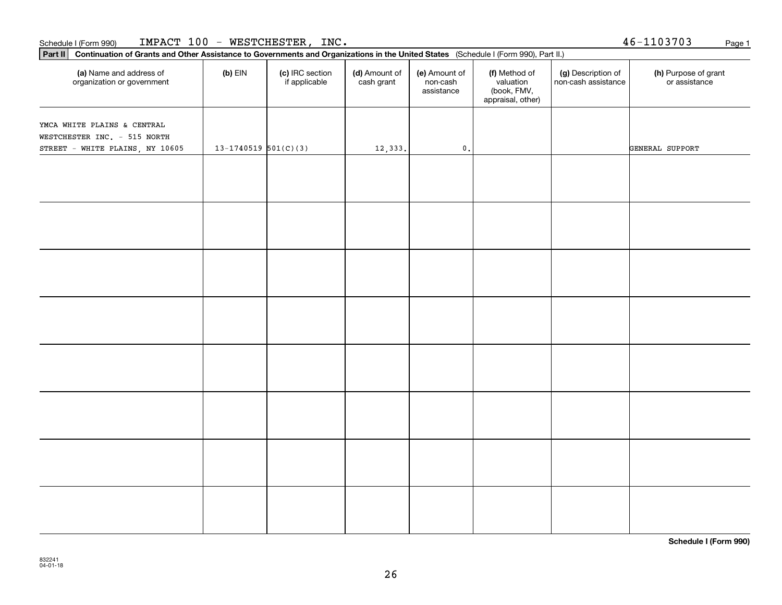### Schedule I (Form 990) <code>IMPACT 100 – WESTCHESTER, INC</code> And the state of the state of the state of the state of the state of the state of the state of the state of the state of the state of the state of the state of the sta

organization or government

**Part II Continuation of Grants and Other Assistance to Governments and Organizations in the United States**  (Schedule I (Form 990), Part II.)

if applicable

 $(b)$  EIN  $(c)$  IRC section

**(a) (b) (c) (d) (e) (f) (g) (h)** Name and address of

(d) Amount of cash grant

(e) Amount of non-cashassistance

(f) Method of valuation (book, FMV, appraisal, other)

(g) Description of non-cash assistance

| YMCA WHITE PLAINS & CENTRAL     |                            |         |                 |  |                 |
|---------------------------------|----------------------------|---------|-----------------|--|-----------------|
| WESTCHESTER INC. - 515 NORTH    |                            |         |                 |  |                 |
| STREET - WHITE PLAINS, NY 10605 | $13 - 1740519$ $501(C)(3)$ | 12,333. | $\mathfrak o$ . |  | GENERAL SUPPORT |
|                                 |                            |         |                 |  |                 |
|                                 |                            |         |                 |  |                 |
|                                 |                            |         |                 |  |                 |
|                                 |                            |         |                 |  |                 |
|                                 |                            |         |                 |  |                 |
|                                 |                            |         |                 |  |                 |
|                                 |                            |         |                 |  |                 |
|                                 |                            |         |                 |  |                 |
|                                 |                            |         |                 |  |                 |
|                                 |                            |         |                 |  |                 |
|                                 |                            |         |                 |  |                 |
|                                 |                            |         |                 |  |                 |
|                                 |                            |         |                 |  |                 |
|                                 |                            |         |                 |  |                 |
|                                 |                            |         |                 |  |                 |
|                                 |                            |         |                 |  |                 |
|                                 |                            |         |                 |  |                 |
|                                 |                            |         |                 |  |                 |
|                                 |                            |         |                 |  |                 |
|                                 |                            |         |                 |  |                 |
|                                 |                            |         |                 |  |                 |
|                                 |                            |         |                 |  |                 |
|                                 |                            |         |                 |  |                 |
|                                 |                            |         |                 |  |                 |
|                                 |                            |         |                 |  |                 |

**Schedule I (Form 990)**

46-1103703

(h) Purpose of grant or assistance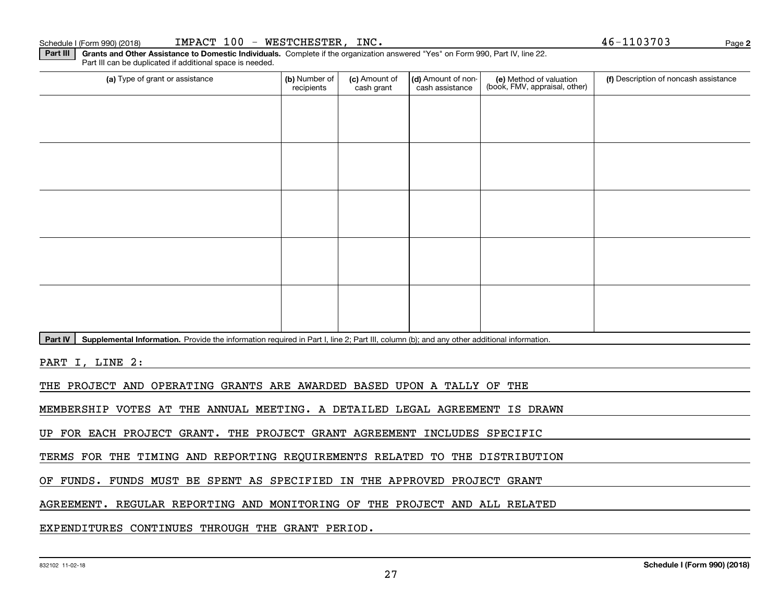### Schedule I (Form 990) (2018) <code>IMPACT 100 – WESTCHESTER</code> , <code>INC</code> . And the state of the state of the state of the state of the state of the state of the state of the state of the state of the state of the state of the s

(a) Type of grant or assistance **Audity Commet Audio Commet Commet Commet Commet Commet Commet Commet Commet Comme** Part III can be duplicated if additional space is needed. (e) Method of valuation (book, FMV, appraisal, other) recipients(c) Amount of cash grant (d) Amount of noncash assistance **(f)** Description of noncash assistance

Part IV | Supplemental Information. Provide the information required in Part I, line 2; Part III, column (b); and any other additional information.

**Part III** | Grants and Other Assistance to Domestic Individuals. Complete if the organization answered "Yes" on Form 990, Part IV, line 22.

PART I, LINE 2:

THE PROJECT AND OPERATING GRANTS ARE AWARDED BASED UPON A TALLY OF THE

MEMBERSHIP VOTES AT THE ANNUAL MEETING. A DETAILED LEGAL AGREEMENT IS DRAWN

UP FOR EACH PROJECT GRANT. THE PROJECT GRANT AGREEMENT INCLUDES SPECIFIC

TERMS FOR THE TIMING AND REPORTING REQUIREMENTS RELATED TO THE DISTRIBUTION

OF FUNDS. FUNDS MUST BE SPENT AS SPECIFIED IN THE APPROVED PROJECT GRANT

AGREEMENT. REGULAR REPORTING AND MONITORING OF THE PROJECT AND ALL RELATED

EXPENDITURES CONTINUES THROUGH THE GRANT PERIOD.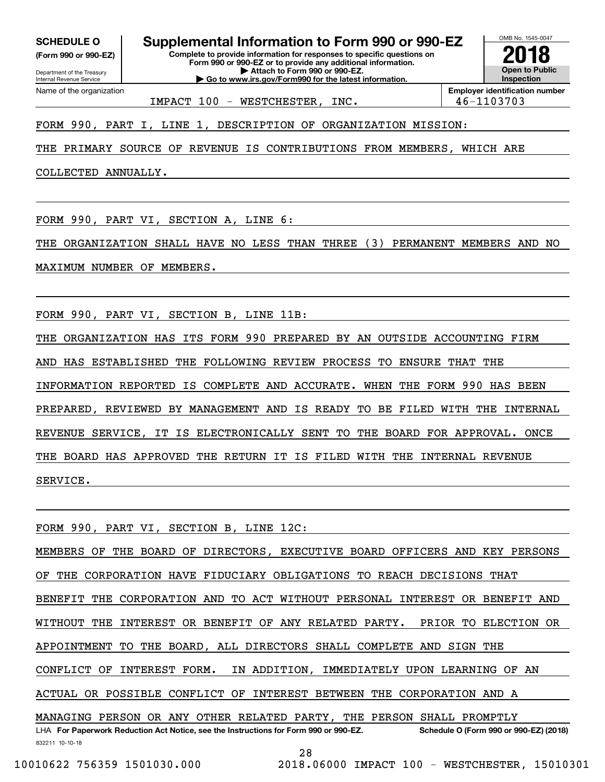**(Form 990 or 990-EZ)**

Department of the Treasury Internal Revenue Service Name of the organization

OMB No. 1545-0047 **SCHEDULE O Supplemental Information to Form 990 or 990-EZ**

**Complete to provide information for responses to specific questions on Form 990 or 990-EZ or to provide any additional information. | Attach to Form 990 or 990-EZ. | Go to www.irs.gov/Form990 for the latest information.**



IMPACT 100 - WESTCHESTER, INC. 46-1103703

FORM 990, PART I, LINE 1, DESCRIPTION OF ORGANIZATION MISSION:

THE PRIMARY SOURCE OF REVENUE IS CONTRIBUTIONS FROM MEMBERS, WHICH ARE

COLLECTED ANNUALLY.

FORM 990, PART VI, SECTION A, LINE 6:

THE ORGANIZATION SHALL HAVE NO LESS THAN THREE (3) PERMANENT MEMBERS AND NO

MAXIMUM NUMBER OF MEMBERS.

FORM 990, PART VI, SECTION B, LINE 11B:

THE ORGANIZATION HAS ITS FORM 990 PREPARED BY AN OUTSIDE ACCOUNTING FIRM AND HAS ESTABLISHED THE FOLLOWING REVIEW PROCESS TO ENSURE THAT THE INFORMATION REPORTED IS COMPLETE AND ACCURATE. WHEN THE FORM 990 HAS BEEN PREPARED, REVIEWED BY MANAGEMENT AND IS READY TO BE FILED WITH THE INTERNAL REVENUE SERVICE, IT IS ELECTRONICALLY SENT TO THE BOARD FOR APPROVAL. ONCE THE BOARD HAS APPROVED THE RETURN IT IS FILED WITH THE INTERNAL REVENUE SERVICE.

832211 10-10-18 LHA For Paperwork Reduction Act Notice, see the Instructions for Form 990 or 990-EZ. Schedule O (Form 990 or 990-EZ) (2018) FORM 990, PART VI, SECTION B, LINE 12C: MEMBERS OF THE BOARD OF DIRECTORS, EXECUTIVE BOARD OFFICERS AND KEY PERSONS OF THE CORPORATION HAVE FIDUCIARY OBLIGATIONS TO REACH DECISIONS THAT BENEFIT THE CORPORATION AND TO ACT WITHOUT PERSONAL INTEREST OR BENEFIT AND WITHOUT THE INTEREST OR BENEFIT OF ANY RELATED PARTY. PRIOR TO ELECTION OR APPOINTMENT TO THE BOARD, ALL DIRECTORS SHALL COMPLETE AND SIGN THE CONFLICT OF INTEREST FORM. IN ADDITION, IMMEDIATELY UPON LEARNING OF AN ACTUAL OR POSSIBLE CONFLICT OF INTEREST BETWEEN THE CORPORATION AND A MANAGING PERSON OR ANY OTHER RELATED PARTY, THE PERSON SHALL PROMPTLY

28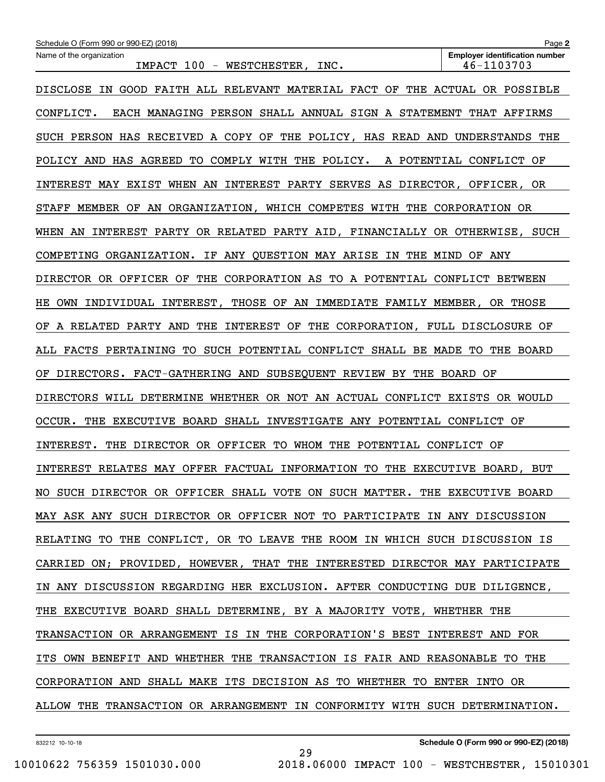| <b>Employer identification number</b><br>Name of the organization<br>IMPACT 100 - WESTCHESTER,<br>46-1103703<br>INC.<br>DISCLOSE IN GOOD FAITH ALL RELEVANT MATERIAL FACT OF<br>THE<br>ACTUAL OR POSSIBLE<br>CONFLICT.<br>EACH MANAGING PERSON SHALL ANNUAL SIGN A STATEMENT THAT AFFIRMS<br>THE POLICY, HAS READ AND UNDERSTANDS THE<br>SUCH PERSON HAS RECEIVED A COPY OF<br>TO COMPLY WITH THE POLICY.<br>A POTENTIAL CONFLICT OF<br>POLICY AND HAS AGREED<br>INTEREST MAY EXIST WHEN AN INTEREST PARTY SERVES AS DIRECTOR, OFFICER, OR<br>STAFF MEMBER OF AN ORGANIZATION, WHICH COMPETES WITH THE CORPORATION OR<br>WHEN AN INTEREST PARTY OR RELATED PARTY AID, FINANCIALLY OR OTHERWISE, SUCH<br>IF ANY QUESTION MAY ARISE IN THE MIND<br>COMPETING ORGANIZATION.<br>OF ANY<br>DIRECTOR OR OFFICER OF THE CORPORATION AS TO A POTENTIAL CONFLICT BETWEEN<br>OWN INDIVIDUAL INTEREST, THOSE OF AN IMMEDIATE FAMILY MEMBER,<br>OR THOSE<br>HЕ<br>THE INTEREST OF THE CORPORATION, FULL DISCLOSURE OF<br>A RELATED PARTY AND<br>ОF<br>ALL FACTS PERTAINING TO SUCH POTENTIAL CONFLICT SHALL BE MADE TO<br>THE BOARD<br>DIRECTORS. FACT-GATHERING AND SUBSEQUENT REVIEW BY THE BOARD OF<br>ΟF<br>DIRECTORS WILL DETERMINE WHETHER OR NOT AN ACTUAL CONFLICT EXISTS OR WOULD<br>THE EXECUTIVE BOARD SHALL INVESTIGATE ANY POTENTIAL CONFLICT OF<br>OCCUR.<br>DIRECTOR OR OFFICER TO WHOM THE POTENTIAL CONFLICT OF<br>INTEREST.<br>THE<br>INTEREST RELATES MAY OFFER FACTUAL INFORMATION TO THE EXECUTIVE BOARD, BUT<br>NO SUCH DIRECTOR OR OFFICER SHALL VOTE ON SUCH MATTER. THE EXECUTIVE BOARD<br>MAY ASK ANY SUCH DIRECTOR OR OFFICER NOT TO PARTICIPATE IN ANY DISCUSSION<br>RELATING TO THE CONFLICT, OR TO LEAVE THE ROOM IN WHICH SUCH DISCUSSION IS<br>CARRIED ON; PROVIDED, HOWEVER, THAT THE INTERESTED DIRECTOR MAY PARTICIPATE<br>IN ANY DISCUSSION REGARDING HER EXCLUSION. AFTER CONDUCTING DUE DILIGENCE,<br>THE EXECUTIVE BOARD SHALL DETERMINE, BY A MAJORITY VOTE, WHETHER THE<br>TRANSACTION OR ARRANGEMENT IS IN THE CORPORATION'S BEST INTEREST AND FOR<br>ITS OWN BENEFIT AND WHETHER THE TRANSACTION IS FAIR AND REASONABLE TO THE<br>CORPORATION AND SHALL MAKE ITS DECISION AS TO WHETHER TO ENTER INTO OR<br>ALLOW THE TRANSACTION OR ARRANGEMENT IN CONFORMITY WITH SUCH DETERMINATION. | Schedule O (Form 990 or 990-EZ) (2018) | Page 2 |  |  |  |  |  |
|------------------------------------------------------------------------------------------------------------------------------------------------------------------------------------------------------------------------------------------------------------------------------------------------------------------------------------------------------------------------------------------------------------------------------------------------------------------------------------------------------------------------------------------------------------------------------------------------------------------------------------------------------------------------------------------------------------------------------------------------------------------------------------------------------------------------------------------------------------------------------------------------------------------------------------------------------------------------------------------------------------------------------------------------------------------------------------------------------------------------------------------------------------------------------------------------------------------------------------------------------------------------------------------------------------------------------------------------------------------------------------------------------------------------------------------------------------------------------------------------------------------------------------------------------------------------------------------------------------------------------------------------------------------------------------------------------------------------------------------------------------------------------------------------------------------------------------------------------------------------------------------------------------------------------------------------------------------------------------------------------------------------------------------------------------------------------------------------------------------------------------------------------------------------------------------------------------------------------------------------------------------------------------------------------------------------|----------------------------------------|--------|--|--|--|--|--|
|                                                                                                                                                                                                                                                                                                                                                                                                                                                                                                                                                                                                                                                                                                                                                                                                                                                                                                                                                                                                                                                                                                                                                                                                                                                                                                                                                                                                                                                                                                                                                                                                                                                                                                                                                                                                                                                                                                                                                                                                                                                                                                                                                                                                                                                                                                                        |                                        |        |  |  |  |  |  |
|                                                                                                                                                                                                                                                                                                                                                                                                                                                                                                                                                                                                                                                                                                                                                                                                                                                                                                                                                                                                                                                                                                                                                                                                                                                                                                                                                                                                                                                                                                                                                                                                                                                                                                                                                                                                                                                                                                                                                                                                                                                                                                                                                                                                                                                                                                                        |                                        |        |  |  |  |  |  |
|                                                                                                                                                                                                                                                                                                                                                                                                                                                                                                                                                                                                                                                                                                                                                                                                                                                                                                                                                                                                                                                                                                                                                                                                                                                                                                                                                                                                                                                                                                                                                                                                                                                                                                                                                                                                                                                                                                                                                                                                                                                                                                                                                                                                                                                                                                                        |                                        |        |  |  |  |  |  |
|                                                                                                                                                                                                                                                                                                                                                                                                                                                                                                                                                                                                                                                                                                                                                                                                                                                                                                                                                                                                                                                                                                                                                                                                                                                                                                                                                                                                                                                                                                                                                                                                                                                                                                                                                                                                                                                                                                                                                                                                                                                                                                                                                                                                                                                                                                                        |                                        |        |  |  |  |  |  |
|                                                                                                                                                                                                                                                                                                                                                                                                                                                                                                                                                                                                                                                                                                                                                                                                                                                                                                                                                                                                                                                                                                                                                                                                                                                                                                                                                                                                                                                                                                                                                                                                                                                                                                                                                                                                                                                                                                                                                                                                                                                                                                                                                                                                                                                                                                                        |                                        |        |  |  |  |  |  |
|                                                                                                                                                                                                                                                                                                                                                                                                                                                                                                                                                                                                                                                                                                                                                                                                                                                                                                                                                                                                                                                                                                                                                                                                                                                                                                                                                                                                                                                                                                                                                                                                                                                                                                                                                                                                                                                                                                                                                                                                                                                                                                                                                                                                                                                                                                                        |                                        |        |  |  |  |  |  |
|                                                                                                                                                                                                                                                                                                                                                                                                                                                                                                                                                                                                                                                                                                                                                                                                                                                                                                                                                                                                                                                                                                                                                                                                                                                                                                                                                                                                                                                                                                                                                                                                                                                                                                                                                                                                                                                                                                                                                                                                                                                                                                                                                                                                                                                                                                                        |                                        |        |  |  |  |  |  |
|                                                                                                                                                                                                                                                                                                                                                                                                                                                                                                                                                                                                                                                                                                                                                                                                                                                                                                                                                                                                                                                                                                                                                                                                                                                                                                                                                                                                                                                                                                                                                                                                                                                                                                                                                                                                                                                                                                                                                                                                                                                                                                                                                                                                                                                                                                                        |                                        |        |  |  |  |  |  |
|                                                                                                                                                                                                                                                                                                                                                                                                                                                                                                                                                                                                                                                                                                                                                                                                                                                                                                                                                                                                                                                                                                                                                                                                                                                                                                                                                                                                                                                                                                                                                                                                                                                                                                                                                                                                                                                                                                                                                                                                                                                                                                                                                                                                                                                                                                                        |                                        |        |  |  |  |  |  |
|                                                                                                                                                                                                                                                                                                                                                                                                                                                                                                                                                                                                                                                                                                                                                                                                                                                                                                                                                                                                                                                                                                                                                                                                                                                                                                                                                                                                                                                                                                                                                                                                                                                                                                                                                                                                                                                                                                                                                                                                                                                                                                                                                                                                                                                                                                                        |                                        |        |  |  |  |  |  |
|                                                                                                                                                                                                                                                                                                                                                                                                                                                                                                                                                                                                                                                                                                                                                                                                                                                                                                                                                                                                                                                                                                                                                                                                                                                                                                                                                                                                                                                                                                                                                                                                                                                                                                                                                                                                                                                                                                                                                                                                                                                                                                                                                                                                                                                                                                                        |                                        |        |  |  |  |  |  |
|                                                                                                                                                                                                                                                                                                                                                                                                                                                                                                                                                                                                                                                                                                                                                                                                                                                                                                                                                                                                                                                                                                                                                                                                                                                                                                                                                                                                                                                                                                                                                                                                                                                                                                                                                                                                                                                                                                                                                                                                                                                                                                                                                                                                                                                                                                                        |                                        |        |  |  |  |  |  |
|                                                                                                                                                                                                                                                                                                                                                                                                                                                                                                                                                                                                                                                                                                                                                                                                                                                                                                                                                                                                                                                                                                                                                                                                                                                                                                                                                                                                                                                                                                                                                                                                                                                                                                                                                                                                                                                                                                                                                                                                                                                                                                                                                                                                                                                                                                                        |                                        |        |  |  |  |  |  |
|                                                                                                                                                                                                                                                                                                                                                                                                                                                                                                                                                                                                                                                                                                                                                                                                                                                                                                                                                                                                                                                                                                                                                                                                                                                                                                                                                                                                                                                                                                                                                                                                                                                                                                                                                                                                                                                                                                                                                                                                                                                                                                                                                                                                                                                                                                                        |                                        |        |  |  |  |  |  |
|                                                                                                                                                                                                                                                                                                                                                                                                                                                                                                                                                                                                                                                                                                                                                                                                                                                                                                                                                                                                                                                                                                                                                                                                                                                                                                                                                                                                                                                                                                                                                                                                                                                                                                                                                                                                                                                                                                                                                                                                                                                                                                                                                                                                                                                                                                                        |                                        |        |  |  |  |  |  |
|                                                                                                                                                                                                                                                                                                                                                                                                                                                                                                                                                                                                                                                                                                                                                                                                                                                                                                                                                                                                                                                                                                                                                                                                                                                                                                                                                                                                                                                                                                                                                                                                                                                                                                                                                                                                                                                                                                                                                                                                                                                                                                                                                                                                                                                                                                                        |                                        |        |  |  |  |  |  |
|                                                                                                                                                                                                                                                                                                                                                                                                                                                                                                                                                                                                                                                                                                                                                                                                                                                                                                                                                                                                                                                                                                                                                                                                                                                                                                                                                                                                                                                                                                                                                                                                                                                                                                                                                                                                                                                                                                                                                                                                                                                                                                                                                                                                                                                                                                                        |                                        |        |  |  |  |  |  |
|                                                                                                                                                                                                                                                                                                                                                                                                                                                                                                                                                                                                                                                                                                                                                                                                                                                                                                                                                                                                                                                                                                                                                                                                                                                                                                                                                                                                                                                                                                                                                                                                                                                                                                                                                                                                                                                                                                                                                                                                                                                                                                                                                                                                                                                                                                                        |                                        |        |  |  |  |  |  |
|                                                                                                                                                                                                                                                                                                                                                                                                                                                                                                                                                                                                                                                                                                                                                                                                                                                                                                                                                                                                                                                                                                                                                                                                                                                                                                                                                                                                                                                                                                                                                                                                                                                                                                                                                                                                                                                                                                                                                                                                                                                                                                                                                                                                                                                                                                                        |                                        |        |  |  |  |  |  |
|                                                                                                                                                                                                                                                                                                                                                                                                                                                                                                                                                                                                                                                                                                                                                                                                                                                                                                                                                                                                                                                                                                                                                                                                                                                                                                                                                                                                                                                                                                                                                                                                                                                                                                                                                                                                                                                                                                                                                                                                                                                                                                                                                                                                                                                                                                                        |                                        |        |  |  |  |  |  |
|                                                                                                                                                                                                                                                                                                                                                                                                                                                                                                                                                                                                                                                                                                                                                                                                                                                                                                                                                                                                                                                                                                                                                                                                                                                                                                                                                                                                                                                                                                                                                                                                                                                                                                                                                                                                                                                                                                                                                                                                                                                                                                                                                                                                                                                                                                                        |                                        |        |  |  |  |  |  |
|                                                                                                                                                                                                                                                                                                                                                                                                                                                                                                                                                                                                                                                                                                                                                                                                                                                                                                                                                                                                                                                                                                                                                                                                                                                                                                                                                                                                                                                                                                                                                                                                                                                                                                                                                                                                                                                                                                                                                                                                                                                                                                                                                                                                                                                                                                                        |                                        |        |  |  |  |  |  |
|                                                                                                                                                                                                                                                                                                                                                                                                                                                                                                                                                                                                                                                                                                                                                                                                                                                                                                                                                                                                                                                                                                                                                                                                                                                                                                                                                                                                                                                                                                                                                                                                                                                                                                                                                                                                                                                                                                                                                                                                                                                                                                                                                                                                                                                                                                                        |                                        |        |  |  |  |  |  |
|                                                                                                                                                                                                                                                                                                                                                                                                                                                                                                                                                                                                                                                                                                                                                                                                                                                                                                                                                                                                                                                                                                                                                                                                                                                                                                                                                                                                                                                                                                                                                                                                                                                                                                                                                                                                                                                                                                                                                                                                                                                                                                                                                                                                                                                                                                                        |                                        |        |  |  |  |  |  |
|                                                                                                                                                                                                                                                                                                                                                                                                                                                                                                                                                                                                                                                                                                                                                                                                                                                                                                                                                                                                                                                                                                                                                                                                                                                                                                                                                                                                                                                                                                                                                                                                                                                                                                                                                                                                                                                                                                                                                                                                                                                                                                                                                                                                                                                                                                                        |                                        |        |  |  |  |  |  |
|                                                                                                                                                                                                                                                                                                                                                                                                                                                                                                                                                                                                                                                                                                                                                                                                                                                                                                                                                                                                                                                                                                                                                                                                                                                                                                                                                                                                                                                                                                                                                                                                                                                                                                                                                                                                                                                                                                                                                                                                                                                                                                                                                                                                                                                                                                                        |                                        |        |  |  |  |  |  |
|                                                                                                                                                                                                                                                                                                                                                                                                                                                                                                                                                                                                                                                                                                                                                                                                                                                                                                                                                                                                                                                                                                                                                                                                                                                                                                                                                                                                                                                                                                                                                                                                                                                                                                                                                                                                                                                                                                                                                                                                                                                                                                                                                                                                                                                                                                                        |                                        |        |  |  |  |  |  |
|                                                                                                                                                                                                                                                                                                                                                                                                                                                                                                                                                                                                                                                                                                                                                                                                                                                                                                                                                                                                                                                                                                                                                                                                                                                                                                                                                                                                                                                                                                                                                                                                                                                                                                                                                                                                                                                                                                                                                                                                                                                                                                                                                                                                                                                                                                                        |                                        |        |  |  |  |  |  |

29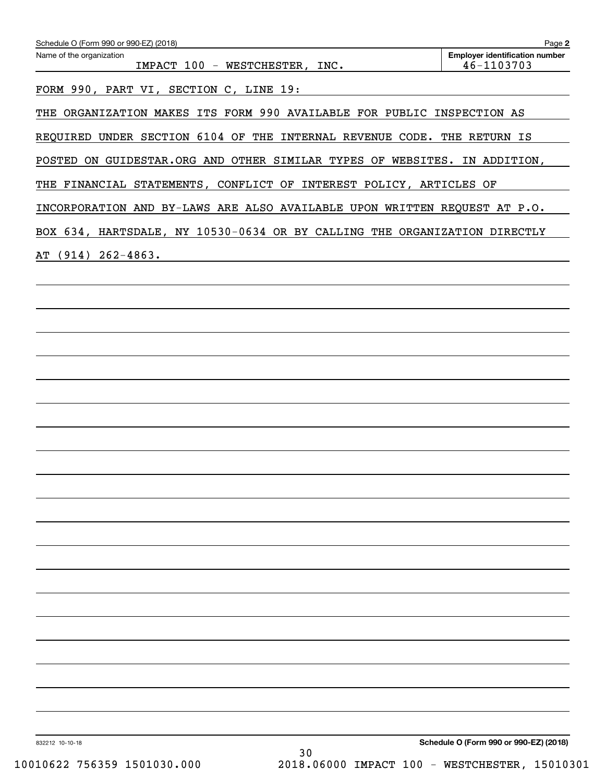| Name of the organization<br>IMPACT 100 - WESTCHESTER, INC.                | <b>Employer identification number</b><br>46-1103703 |
|---------------------------------------------------------------------------|-----------------------------------------------------|
| FORM 990, PART VI, SECTION C, LINE 19:                                    |                                                     |
| THE ORGANIZATION MAKES ITS FORM 990 AVAILABLE FOR PUBLIC INSPECTION AS    |                                                     |
| REQUIRED UNDER SECTION 6104 OF THE INTERNAL REVENUE CODE. THE RETURN IS   |                                                     |
| POSTED ON GUIDESTAR.ORG AND OTHER SIMILAR TYPES OF WEBSITES. IN ADDITION, |                                                     |
| THE FINANCIAL STATEMENTS, CONFLICT OF INTEREST POLICY, ARTICLES OF        |                                                     |
| INCORPORATION AND BY-LAWS ARE ALSO AVAILABLE UPON WRITTEN REQUEST AT P.O. |                                                     |
| BOX 634, HARTSDALE, NY 10530-0634 OR BY CALLING THE ORGANIZATION DIRECTLY |                                                     |
| AT (914) 262-4863.                                                        |                                                     |
|                                                                           |                                                     |
|                                                                           |                                                     |
|                                                                           |                                                     |
|                                                                           |                                                     |
|                                                                           |                                                     |
|                                                                           |                                                     |
|                                                                           |                                                     |
|                                                                           |                                                     |
|                                                                           |                                                     |
|                                                                           |                                                     |
|                                                                           |                                                     |
|                                                                           |                                                     |
|                                                                           |                                                     |
|                                                                           |                                                     |
|                                                                           |                                                     |
|                                                                           |                                                     |
|                                                                           |                                                     |
|                                                                           |                                                     |
|                                                                           |                                                     |
|                                                                           |                                                     |
|                                                                           |                                                     |
| 832212 10-10-18                                                           | Schedule O (Form 990 or 990-EZ) (2018)              |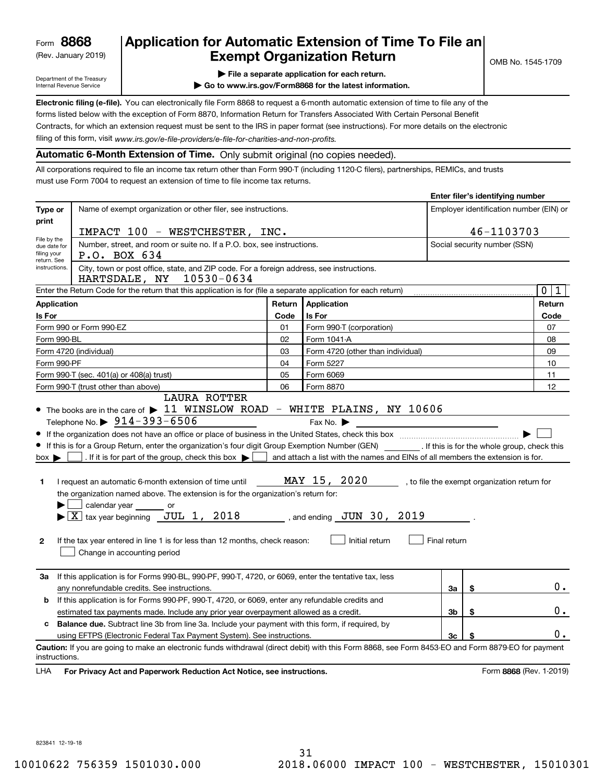(Rev. January 2019)

## **Application for Automatic Extension of Time To File an Exempt Organization Return**

**Enter filer's identifying number**

Department of the Treasury Internal Revenue Service

**| File a separate application for each return.**

**| Go to www.irs.gov/Form8868 for the latest information.**

**Electronic filing (e-file).**  You can electronically file Form 8868 to request a 6-month automatic extension of time to file any of the filing of this form, visit www.irs.gov/e-file-providers/e-file-for-charities-and-non-profits. forms listed below with the exception of Form 8870, Information Return for Transfers Associated With Certain Personal Benefit Contracts, for which an extension request must be sent to the IRS in paper format (see instructions). For more details on the electronic

**Automatic 6-Month Extension of Time.** Only submit original (no copies needed).

All corporations required to file an income tax return other than Form 990-T (including 1120-C filers), partnerships, REMICs, and trusts must use Form 7004 to request an extension of time to file income tax returns.

|                                                                                                                                          |                                                                                                                                                    |                                         |                                                                                |                              | Effer the stuerunging number |                                              |  |
|------------------------------------------------------------------------------------------------------------------------------------------|----------------------------------------------------------------------------------------------------------------------------------------------------|-----------------------------------------|--------------------------------------------------------------------------------|------------------------------|------------------------------|----------------------------------------------|--|
| Type or                                                                                                                                  | Name of exempt organization or other filer, see instructions.                                                                                      | Employer identification number (EIN) or |                                                                                |                              |                              |                                              |  |
| print                                                                                                                                    |                                                                                                                                                    |                                         |                                                                                |                              |                              |                                              |  |
| File by the                                                                                                                              | 46-1103703<br>IMPACT 100 - WESTCHESTER, INC.                                                                                                       |                                         |                                                                                |                              |                              |                                              |  |
| due date for<br>filing your                                                                                                              | Number, street, and room or suite no. If a P.O. box, see instructions.                                                                             |                                         |                                                                                | Social security number (SSN) |                              |                                              |  |
| return. See                                                                                                                              | P.O. BOX 634                                                                                                                                       |                                         |                                                                                |                              |                              |                                              |  |
| City, town or post office, state, and ZIP code. For a foreign address, see instructions.<br>instructions.<br>10530-0634<br>HARTSDALE, NY |                                                                                                                                                    |                                         |                                                                                |                              |                              |                                              |  |
|                                                                                                                                          | Enter the Return Code for the return that this application is for (file a separate application for each return)                                    |                                         |                                                                                |                              |                              | $\mathbf{0}$<br>1                            |  |
| <b>Application</b>                                                                                                                       |                                                                                                                                                    | Return                                  | <b>Application</b>                                                             |                              |                              | Return                                       |  |
| Is For                                                                                                                                   |                                                                                                                                                    | Code                                    | Is For                                                                         |                              |                              | Code                                         |  |
|                                                                                                                                          | Form 990 or Form 990-EZ                                                                                                                            | 01                                      | Form 990-T (corporation)                                                       |                              |                              | 07                                           |  |
| Form 990-BL                                                                                                                              |                                                                                                                                                    | 02                                      | Form 1041-A                                                                    | 08                           |                              |                                              |  |
|                                                                                                                                          | Form 4720 (individual)                                                                                                                             | 03                                      | Form 4720 (other than individual)                                              | 09                           |                              |                                              |  |
| Form 990-PF                                                                                                                              |                                                                                                                                                    | 04                                      | Form 5227                                                                      |                              |                              | 10                                           |  |
|                                                                                                                                          | Form 990-T (sec. 401(a) or 408(a) trust)                                                                                                           | 05                                      | Form 6069                                                                      |                              |                              | 11                                           |  |
|                                                                                                                                          | Form 990-T (trust other than above)                                                                                                                | 06                                      | Form 8870                                                                      |                              |                              | 12                                           |  |
|                                                                                                                                          | <b>LAURA ROTTER</b>                                                                                                                                |                                         |                                                                                |                              |                              |                                              |  |
|                                                                                                                                          | $\bullet$ The books are in the care of $\blacktriangleright$ 11 WINSLOW ROAD - WHITE PLAINS, NY 10606                                              |                                         |                                                                                |                              |                              |                                              |  |
|                                                                                                                                          | Telephone No. $\triangleright$ 914-393-6506                                                                                                        |                                         | Fax No. $\blacktriangleright$                                                  |                              |                              |                                              |  |
|                                                                                                                                          |                                                                                                                                                    |                                         |                                                                                |                              |                              |                                              |  |
|                                                                                                                                          | If this is for a Group Return, enter the organization's four digit Group Exemption Number (GEN) If this is for the whole group, check this         |                                         |                                                                                |                              |                              |                                              |  |
| $box \blacktriangleright$                                                                                                                | . If it is for part of the group, check this box $\blacktriangleright$                                                                             |                                         | and attach a list with the names and EINs of all members the extension is for. |                              |                              |                                              |  |
|                                                                                                                                          |                                                                                                                                                    |                                         |                                                                                |                              |                              |                                              |  |
| 1.                                                                                                                                       | I request an automatic 6-month extension of time until                                                                                             |                                         | MAY 15, 2020                                                                   |                              |                              | , to file the exempt organization return for |  |
|                                                                                                                                          | the organization named above. The extension is for the organization's return for:                                                                  |                                         |                                                                                |                              |                              |                                              |  |
|                                                                                                                                          | calendar year _______ or                                                                                                                           |                                         |                                                                                |                              |                              |                                              |  |
|                                                                                                                                          | $\blacktriangleright$ $\lfloor \overline{X} \rfloor$ tax year beginning $\lfloor \overline{J} U L \rfloor$ 1, 2018                                 |                                         | , and ending $JUN$ 30, 2019                                                    |                              |                              |                                              |  |
|                                                                                                                                          |                                                                                                                                                    |                                         |                                                                                |                              |                              |                                              |  |
| $\mathbf{2}$                                                                                                                             | If the tax year entered in line 1 is for less than 12 months, check reason:                                                                        |                                         | Initial return                                                                 | Final return                 |                              |                                              |  |
|                                                                                                                                          | Change in accounting period                                                                                                                        |                                         |                                                                                |                              |                              |                                              |  |
|                                                                                                                                          |                                                                                                                                                    |                                         |                                                                                |                              |                              |                                              |  |
| За                                                                                                                                       | If this application is for Forms 990-BL, 990-PF, 990-T, 4720, or 6069, enter the tentative tax, less                                               |                                         |                                                                                |                              |                              |                                              |  |
|                                                                                                                                          | 3a<br>\$<br>any nonrefundable credits. See instructions.                                                                                           |                                         |                                                                                |                              |                              |                                              |  |
| b                                                                                                                                        | If this application is for Forms 990-PF, 990-T, 4720, or 6069, enter any refundable credits and                                                    |                                         |                                                                                |                              |                              |                                              |  |
| estimated tax payments made. Include any prior year overpayment allowed as a credit.<br>Зb<br>\$                                         |                                                                                                                                                    |                                         |                                                                                |                              | 0.                           |                                              |  |
| <b>Balance due.</b> Subtract line 3b from line 3a. Include your payment with this form, if required, by<br>c                             |                                                                                                                                                    |                                         |                                                                                |                              |                              |                                              |  |
|                                                                                                                                          | 3 <sub>c</sub><br>using EFTPS (Electronic Federal Tax Payment System). See instructions.<br>\$                                                     |                                         |                                                                                |                              |                              |                                              |  |
|                                                                                                                                          | Caution: If you are going to make an electronic funds withdrawal (direct debit) with this Form 8868, see Form 8453-EO and Form 8879-EO for payment |                                         |                                                                                |                              |                              |                                              |  |
| instructions.                                                                                                                            |                                                                                                                                                    |                                         |                                                                                |                              |                              |                                              |  |
| LHA                                                                                                                                      | For Privacy Act and Paperwork Reduction Act Notice, see instructions.                                                                              |                                         |                                                                                |                              |                              | Form 8868 (Rev. 1-2019)                      |  |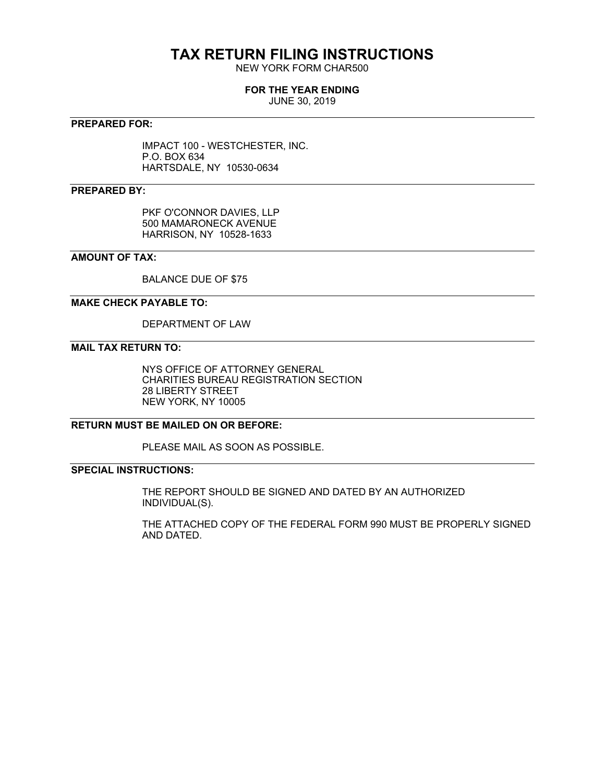## **TAX RETURN FILING INSTRUCTIONS**

NEW YORK FORM CHAR500

### **FOR THE YEAR ENDING**

JUNE 30, 2019

### **PREPARED FOR:**

IMPACT 100 - WESTCHESTER, INC. P.O. BOX 634 HARTSDALE, NY 10530-0634

### **PREPARED BY:**

PKF O'CONNOR DAVIES, LLP 500 MAMARONECK AVENUE HARRISON, NY 10528-1633

### **AMOUNT OF TAX:**

BALANCE DUE OF \$75

### **MAKE CHECK PAYABLE TO:**

DEPARTMENT OF LAW

### **MAIL TAX RETURN TO:**

NYS OFFICE OF ATTORNEY GENERAL CHARITIES BUREAU REGISTRATION SECTION 28 LIBERTY STREET NEW YORK, NY 10005

### **RETURN MUST BE MAILED ON OR BEFORE:**

PLEASE MAIL AS SOON AS POSSIBLE.

### **SPECIAL INSTRUCTIONS:**

THE REPORT SHOULD BE SIGNED AND DATED BY AN AUTHORIZED INDIVIDUAL(S).

THE ATTACHED COPY OF THE FEDERAL FORM 990 MUST BE PROPERLY SIGNED AND DATED.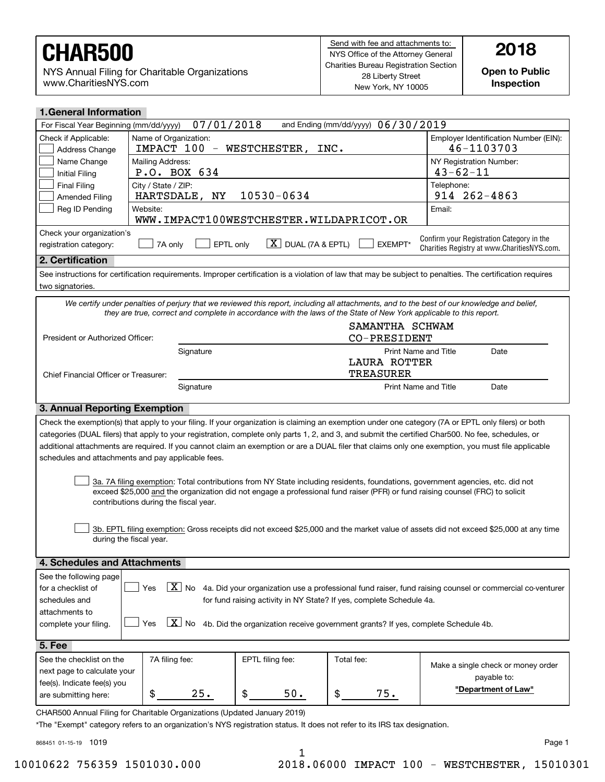NYS Annual Filing for Charitable Organizations www.CharitiesNYS.com

**Inspection**

| <b>1. General Information</b>                                                                                                                       |                                                                                                                                                                |                                      |                                    |                                                                                                                                                            |  |  |  |  |
|-----------------------------------------------------------------------------------------------------------------------------------------------------|----------------------------------------------------------------------------------------------------------------------------------------------------------------|--------------------------------------|------------------------------------|------------------------------------------------------------------------------------------------------------------------------------------------------------|--|--|--|--|
| For Fiscal Year Beginning (mm/dd/yyyy)                                                                                                              | 07/01/2018                                                                                                                                                     |                                      | and Ending (mm/dd/yyyy) 06/30/2019 |                                                                                                                                                            |  |  |  |  |
| Check if Applicable:                                                                                                                                | Name of Organization:                                                                                                                                          |                                      |                                    | Employer Identification Number (EIN):                                                                                                                      |  |  |  |  |
| Address Change                                                                                                                                      | IMPACT 100 - WESTCHESTER,<br>46-1103703<br>INC.                                                                                                                |                                      |                                    |                                                                                                                                                            |  |  |  |  |
| Name Change                                                                                                                                         | Mailing Address:                                                                                                                                               |                                      |                                    |                                                                                                                                                            |  |  |  |  |
| <b>Initial Filing</b>                                                                                                                               | P.O. BOX 634                                                                                                                                                   |                                      |                                    |                                                                                                                                                            |  |  |  |  |
| <b>Final Filing</b>                                                                                                                                 | City / State / ZIP:                                                                                                                                            |                                      |                                    | Telephone:                                                                                                                                                 |  |  |  |  |
| <b>Amended Filing</b>                                                                                                                               | HARTSDALE,<br>NY                                                                                                                                               | 10530-0634                           |                                    | 914 262-4863                                                                                                                                               |  |  |  |  |
| Reg ID Pending<br>Website:<br>Email:<br>WWW.IMPACT100WESTCHESTER.WILDAPRICOT.OR                                                                     |                                                                                                                                                                |                                      |                                    |                                                                                                                                                            |  |  |  |  |
| Check your organization's                                                                                                                           |                                                                                                                                                                |                                      |                                    |                                                                                                                                                            |  |  |  |  |
| registration category:                                                                                                                              | EPTL only<br>7A only                                                                                                                                           | $\lfloor X \rfloor$ DUAL (7A & EPTL) | EXEMPT*                            | Confirm your Registration Category in the<br>Charities Registry at www.CharitiesNYS.com.                                                                   |  |  |  |  |
| 2. Certification                                                                                                                                    |                                                                                                                                                                |                                      |                                    |                                                                                                                                                            |  |  |  |  |
|                                                                                                                                                     |                                                                                                                                                                |                                      |                                    | See instructions for certification requirements. Improper certification is a violation of law that may be subject to penalties. The certification requires |  |  |  |  |
| two signatories.                                                                                                                                    |                                                                                                                                                                |                                      |                                    |                                                                                                                                                            |  |  |  |  |
|                                                                                                                                                     | they are true, correct and complete in accordance with the laws of the State of New York applicable to this report.                                            |                                      |                                    | We certify under penalties of perjury that we reviewed this report, including all attachments, and to the best of our knowledge and belief,                |  |  |  |  |
| President or Authorized Officer:                                                                                                                    |                                                                                                                                                                |                                      | SAMANTHA SCHWAM<br>CO-PRESIDENT    |                                                                                                                                                            |  |  |  |  |
|                                                                                                                                                     |                                                                                                                                                                |                                      | <b>Print Name and Title</b>        |                                                                                                                                                            |  |  |  |  |
|                                                                                                                                                     | Signature                                                                                                                                                      |                                      | <b>LAURA ROTTER</b>                | Date                                                                                                                                                       |  |  |  |  |
| Chief Financial Officer or Treasurer:                                                                                                               |                                                                                                                                                                |                                      | <b>TREASURER</b>                   |                                                                                                                                                            |  |  |  |  |
|                                                                                                                                                     | Signature                                                                                                                                                      |                                      | <b>Print Name and Title</b>        | Date                                                                                                                                                       |  |  |  |  |
|                                                                                                                                                     |                                                                                                                                                                |                                      |                                    |                                                                                                                                                            |  |  |  |  |
| 3. Annual Reporting Exemption                                                                                                                       |                                                                                                                                                                |                                      |                                    |                                                                                                                                                            |  |  |  |  |
| Check the exemption(s) that apply to your filing. If your organization is claiming an exemption under one category (7A or EPTL only filers) or both |                                                                                                                                                                |                                      |                                    |                                                                                                                                                            |  |  |  |  |
|                                                                                                                                                     |                                                                                                                                                                |                                      |                                    | categories (DUAL filers) that apply to your registration, complete only parts 1, 2, and 3, and submit the certified Char500. No fee, schedules, or         |  |  |  |  |
|                                                                                                                                                     |                                                                                                                                                                |                                      |                                    | additional attachments are required. If you cannot claim an exemption or are a DUAL filer that claims only one exemption, you must file applicable         |  |  |  |  |
|                                                                                                                                                     | schedules and attachments and pay applicable fees.                                                                                                             |                                      |                                    |                                                                                                                                                            |  |  |  |  |
|                                                                                                                                                     |                                                                                                                                                                |                                      |                                    |                                                                                                                                                            |  |  |  |  |
|                                                                                                                                                     |                                                                                                                                                                |                                      |                                    | 3a. 7A filing exemption: Total contributions from NY State including residents, foundations, government agencies, etc. did not                             |  |  |  |  |
|                                                                                                                                                     |                                                                                                                                                                |                                      |                                    | exceed \$25,000 and the organization did not engage a professional fund raiser (PFR) or fund raising counsel (FRC) to solicit                              |  |  |  |  |
|                                                                                                                                                     | contributions during the fiscal year.                                                                                                                          |                                      |                                    |                                                                                                                                                            |  |  |  |  |
|                                                                                                                                                     |                                                                                                                                                                |                                      |                                    |                                                                                                                                                            |  |  |  |  |
|                                                                                                                                                     |                                                                                                                                                                |                                      |                                    | 3b. EPTL filing exemption: Gross receipts did not exceed \$25,000 and the market value of assets did not exceed \$25,000 at any time                       |  |  |  |  |
| during the fiscal year.                                                                                                                             |                                                                                                                                                                |                                      |                                    |                                                                                                                                                            |  |  |  |  |
| 4. Schedules and Attachments                                                                                                                        |                                                                                                                                                                |                                      |                                    |                                                                                                                                                            |  |  |  |  |
|                                                                                                                                                     |                                                                                                                                                                |                                      |                                    |                                                                                                                                                            |  |  |  |  |
| See the following page                                                                                                                              |                                                                                                                                                                |                                      |                                    |                                                                                                                                                            |  |  |  |  |
|                                                                                                                                                     | $\boxed{\text{X}}$ No<br>Yes<br>4a. Did your organization use a professional fund raiser, fund raising counsel or commercial co-venturer<br>for a checklist of |                                      |                                    |                                                                                                                                                            |  |  |  |  |
| for fund raising activity in NY State? If yes, complete Schedule 4a.<br>schedules and                                                               |                                                                                                                                                                |                                      |                                    |                                                                                                                                                            |  |  |  |  |
| attachments to                                                                                                                                      |                                                                                                                                                                |                                      |                                    |                                                                                                                                                            |  |  |  |  |
| $ X $ No<br>Yes<br>4b. Did the organization receive government grants? If yes, complete Schedule 4b.<br>complete your filing.                       |                                                                                                                                                                |                                      |                                    |                                                                                                                                                            |  |  |  |  |
| <b>5. Fee</b>                                                                                                                                       |                                                                                                                                                                |                                      |                                    |                                                                                                                                                            |  |  |  |  |
| See the checklist on the                                                                                                                            | 7A filing fee:                                                                                                                                                 | EPTL filing fee:                     | Total fee:                         |                                                                                                                                                            |  |  |  |  |
| next page to calculate your                                                                                                                         |                                                                                                                                                                |                                      |                                    | Make a single check or money order                                                                                                                         |  |  |  |  |
| fee(s). Indicate fee(s) you                                                                                                                         | payable to:                                                                                                                                                    |                                      |                                    |                                                                                                                                                            |  |  |  |  |

CHAR500 Annual Filing for Charitable Organizations (Updated January 2019)

\$

\*The "Exempt" category refers to an organization's NYS registration status. It does not refer to its IRS tax designation.

25.  $\frac{1}{3}$  50.  $\frac{1}{3}$ 

868451 01-15-19 1019

are submitting here:

Page 1

**"Department of Law"**

1

 $50.$  | \$ 75.